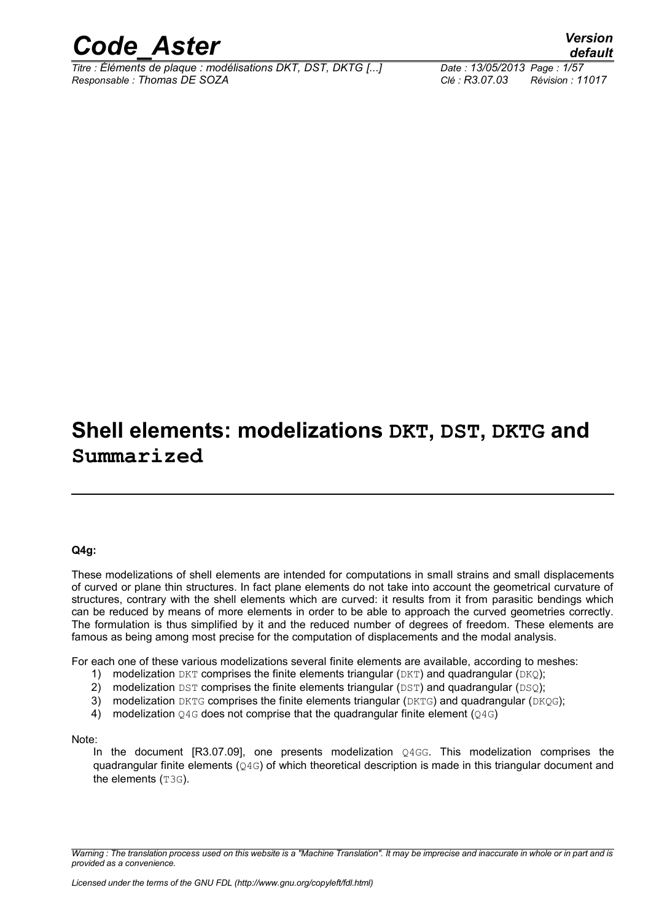

*Titre : Éléments de plaque : modélisations DKT, DST, DKTG [...] Date : 13/05/2013 Page : 1/57 Responsable : Thomas DE SOZA Clé : R3.07.03 Révision : 11017*

*default*

### **Shell elements: modelizations DKT, DST, DKTG and Summarized**

#### **Q4g:**

These modelizations of shell elements are intended for computations in small strains and small displacements of curved or plane thin structures. In fact plane elements do not take into account the geometrical curvature of structures, contrary with the shell elements which are curved: it results from it from parasitic bendings which can be reduced by means of more elements in order to be able to approach the curved geometries correctly. The formulation is thus simplified by it and the reduced number of degrees of freedom. These elements are famous as being among most precise for the computation of displacements and the modal analysis.

For each one of these various modelizations several finite elements are available, according to meshes:

- 1) modelization DKT comprises the finite elements triangular (DKT) and quadrangular (DKQ);
- 2) modelization DST comprises the finite elements triangular (DST) and quadrangular (DSQ);
- 3) modelization DKTG comprises the finite elements triangular (DKTG) and quadrangular (DKQG);
- 4) modelization 04G does not comprise that the quadrangular finite element (04G)

#### Note:

In the document  $[R3.07.09]$ , one presents modelization  $Q4GG$ . This modelization comprises the quadrangular finite elements (Q4G) of which theoretical description is made in this triangular document and the elements (T3G).

*Warning : The translation process used on this website is a "Machine Translation". It may be imprecise and inaccurate in whole or in part and is provided as a convenience.*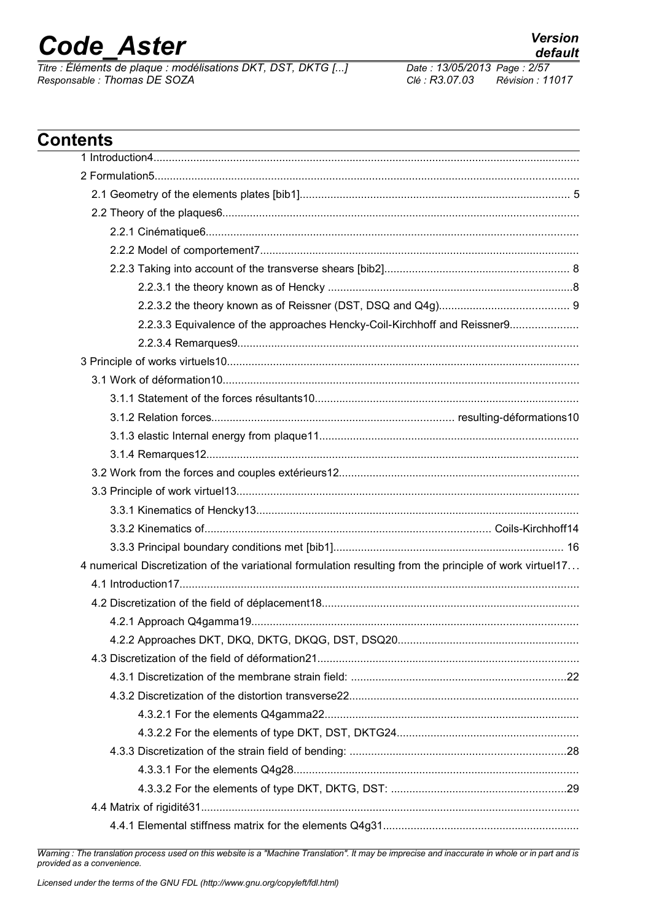# *Code\_Aster Version*<br> *Titre : Éléments de plaque : modélisations DKT. DST. DKTG [...]* Date : 13/05/2013 Page : 2/57

*Titre : Éléments de plaque : modélisations DKT, DST, DKTG [...] Date : 13/05/2013 Page : 2/57 Responsable : Thomas DE SOZA Clé : R3.07.03 Révision : 11017*

| <b>Contents</b>                                                                                          |
|----------------------------------------------------------------------------------------------------------|
|                                                                                                          |
|                                                                                                          |
|                                                                                                          |
|                                                                                                          |
|                                                                                                          |
|                                                                                                          |
|                                                                                                          |
|                                                                                                          |
|                                                                                                          |
| 2.2.3.3 Equivalence of the approaches Hencky-Coil-Kirchhoff and Reissner9                                |
|                                                                                                          |
|                                                                                                          |
|                                                                                                          |
|                                                                                                          |
|                                                                                                          |
|                                                                                                          |
|                                                                                                          |
|                                                                                                          |
|                                                                                                          |
|                                                                                                          |
|                                                                                                          |
|                                                                                                          |
| 4 numerical Discretization of the variational formulation resulting from the principle of work virtuel17 |
|                                                                                                          |
|                                                                                                          |
|                                                                                                          |
|                                                                                                          |
|                                                                                                          |
|                                                                                                          |
|                                                                                                          |
|                                                                                                          |
|                                                                                                          |
|                                                                                                          |
|                                                                                                          |
|                                                                                                          |
|                                                                                                          |
|                                                                                                          |

*Warning : The translation process used on this website is a "Machine Translation". It may be imprecise and inaccurate in whole or in part and is provided as a convenience.*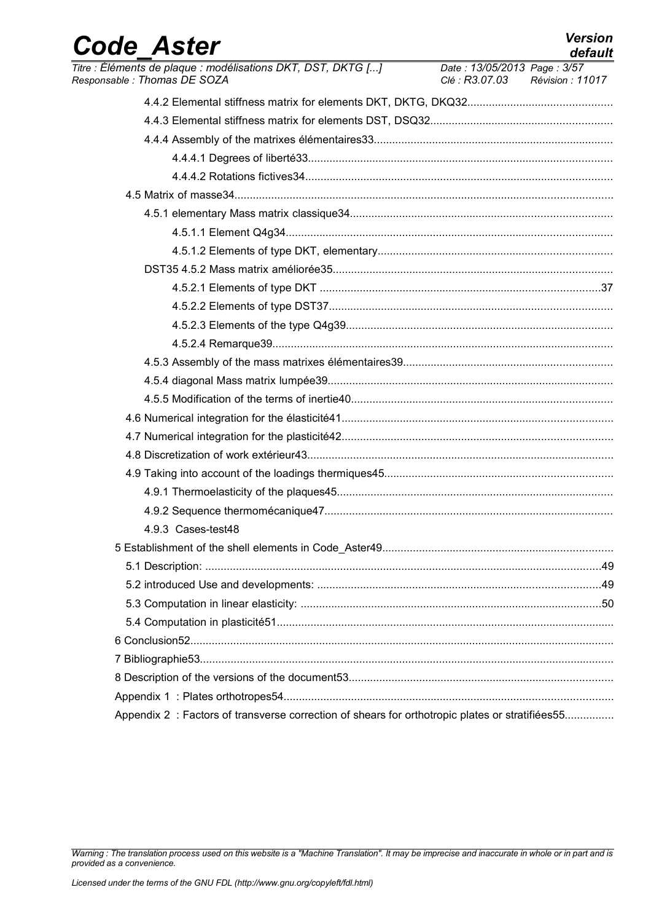| <b>Code Aster</b>                                                                                                                                             | <b>Version</b><br>default |
|---------------------------------------------------------------------------------------------------------------------------------------------------------------|---------------------------|
| Titre : Éléments de plaque : modélisations DKT, DST, DKTG []<br>Date: 13/05/2013 Page: 3/57<br>Responsable: Thomas DE SOZA<br>Clé : R3.07.03 Révision : 11017 |                           |
|                                                                                                                                                               |                           |
|                                                                                                                                                               |                           |
|                                                                                                                                                               |                           |
|                                                                                                                                                               |                           |
|                                                                                                                                                               |                           |
|                                                                                                                                                               |                           |
|                                                                                                                                                               |                           |
|                                                                                                                                                               |                           |
|                                                                                                                                                               |                           |
|                                                                                                                                                               |                           |
|                                                                                                                                                               |                           |
|                                                                                                                                                               |                           |
|                                                                                                                                                               |                           |
|                                                                                                                                                               |                           |
|                                                                                                                                                               |                           |
|                                                                                                                                                               |                           |
|                                                                                                                                                               |                           |
|                                                                                                                                                               |                           |
|                                                                                                                                                               |                           |
|                                                                                                                                                               |                           |
|                                                                                                                                                               |                           |
|                                                                                                                                                               |                           |
|                                                                                                                                                               |                           |
| 4.9.3 Cases-test48                                                                                                                                            |                           |
|                                                                                                                                                               |                           |
|                                                                                                                                                               |                           |
|                                                                                                                                                               |                           |
|                                                                                                                                                               |                           |
|                                                                                                                                                               |                           |
|                                                                                                                                                               |                           |
|                                                                                                                                                               |                           |
|                                                                                                                                                               |                           |
|                                                                                                                                                               |                           |
| Appendix 2 : Factors of transverse correction of shears for orthotropic plates or stratifiées55                                                               |                           |

*Warning : The translation process used on this website is a "Machine Translation". It may be imprecise and inaccurate in whole or in part and is provided as a convenience.*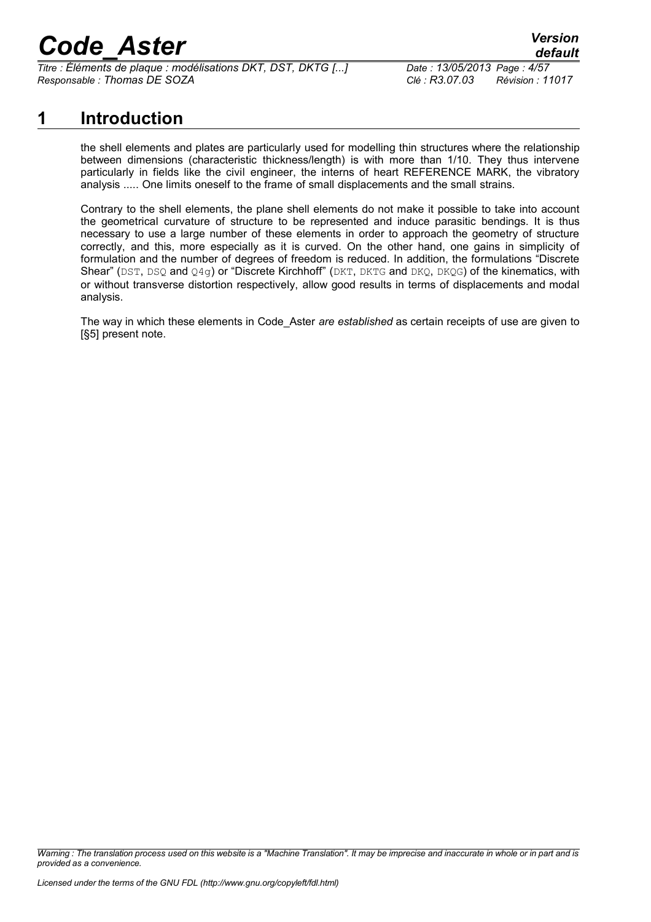*Titre : Éléments de plaque : modélisations DKT, DST, DKTG [...] Date : 13/05/2013 Page : 4/57 Responsable : Thomas DE SOZA Clé : R3.07.03 Révision : 11017*

### **1 Introduction**

the shell elements and plates are particularly used for modelling thin structures where the relationship between dimensions (characteristic thickness/length) is with more than 1/10. They thus intervene particularly in fields like the civil engineer, the interns of heart REFERENCE MARK, the vibratory analysis ..... One limits oneself to the frame of small displacements and the small strains.

Contrary to the shell elements, the plane shell elements do not make it possible to take into account the geometrical curvature of structure to be represented and induce parasitic bendings. It is thus necessary to use a large number of these elements in order to approach the geometry of structure correctly, and this, more especially as it is curved. On the other hand, one gains in simplicity of formulation and the number of degrees of freedom is reduced. In addition, the formulations "Discrete Shear" (DST, DSQ and Q4g) or "Discrete Kirchhoff" (DKT, DKTG and DKQ, DKQG) of the kinematics, with or without transverse distortion respectively, allow good results in terms of displacements and modal analysis.

The way in which these elements in Code\_Aster *are established* as certain receipts of use are given to [§5] present note.

*Warning : The translation process used on this website is a "Machine Translation". It may be imprecise and inaccurate in whole or in part and is provided as a convenience.*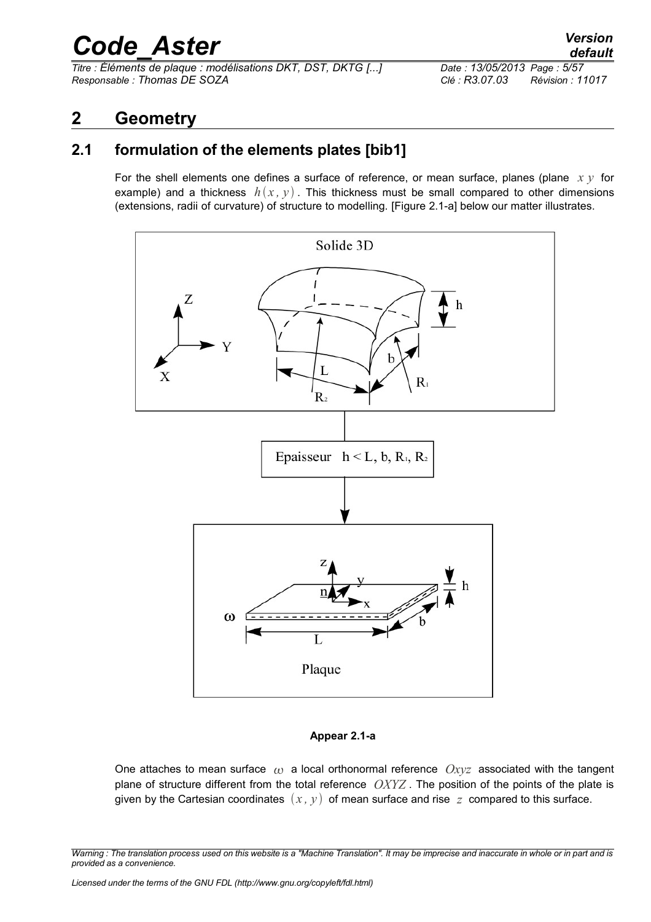*Titre : Éléments de plaque : modélisations DKT, DST, DKTG [...] Date : 13/05/2013 Page : 5/57 Responsable : Thomas DE SOZA Clé : R3.07.03 Révision : 11017*

### **2 Geometry**

### **2.1 formulation of the elements plates [bib1]**

For the shell elements one defines a surface of reference, or mean surface, planes (plane *x y* for example) and a thickness  $h(x, y)$ . This thickness must be small compared to other dimensions (extensions, radii of curvature) of structure to modelling. [Figure 2.1-a] below our matter illustrates.



**Appear 2.1-a**

One attaches to mean surface  $\omega$  a local orthonormal reference  $Oxyz$  associated with the tangent plane of structure different from the total reference *OXYZ* . The position of the points of the plate is given by the Cartesian coordinates  $(x, y)$  of mean surface and rise  $z$  compared to this surface.

*Warning : The translation process used on this website is a "Machine Translation". It may be imprecise and inaccurate in whole or in part and is provided as a convenience.*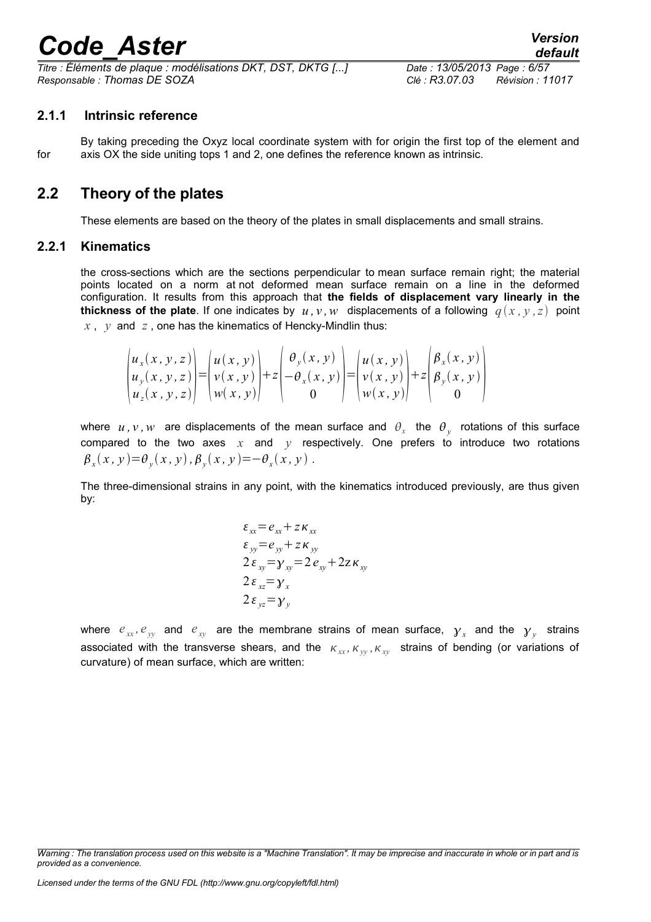*Titre : Éléments de plaque : modélisations DKT, DST, DKTG [...] Date : 13/05/2013 Page : 6/57 Responsable : Thomas DE SOZA Clé : R3.07.03 Révision : 11017*

#### **2.1.1 Intrinsic reference**

By taking preceding the Oxyz local coordinate system with for origin the first top of the element and for axis OX the side uniting tops 1 and 2, one defines the reference known as intrinsic.

### **2.2 Theory of the plates**

These elements are based on the theory of the plates in small displacements and small strains.

#### **2.2.1 Kinematics**

the cross-sections which are the sections perpendicular to mean surface remain right; the material points located on a norm at not deformed mean surface remain on a line in the deformed configuration. It results from this approach that **the fields of displacement vary linearly in the thickness of the plate**. If one indicates by  $u, v, w$  displacements of a following  $q(x, y, z)$  point *x* , *y* and *z* , one has the kinematics of Hencky-Mindlin thus:

$$
\begin{pmatrix} u_x(x, y, z) \\ u_y(x, y, z) \\ u_z(x, y, z) \end{pmatrix} = \begin{pmatrix} u(x, y) \\ v(x, y) \\ w(x, y) \end{pmatrix} + z \begin{pmatrix} \theta_y(x, y) \\ -\theta_x(x, y) \\ 0 \end{pmatrix} = \begin{pmatrix} u(x, y) \\ v(x, y) \\ w(x, y) \end{pmatrix} + z \begin{pmatrix} \beta_x(x, y) \\ \beta_y(x, y) \\ 0 \end{pmatrix}
$$

where  $u$ ,  $v$ ,  $w$  are displacements of the mean surface and  $\theta_x$  the  $\theta_y$  rotations of this surface compared to the two axes *x* and *y* respectively. One prefers to introduce two rotations  $\beta_x(x, y) = \theta_y(x, y), \beta_y(x, y) = -\theta_x(x, y)$ .

The three-dimensional strains in any point, with the kinematics introduced previously, are thus given by:

$$
\varepsilon_{xx} = e_{xx} + z\kappa_{xx}
$$
  
\n
$$
\varepsilon_{yy} = e_{yy} + z\kappa_{yy}
$$
  
\n
$$
2\varepsilon_{xy} = \gamma_{xy} = 2e_{xy} + 2z\kappa_{xy}
$$
  
\n
$$
2\varepsilon_{xz} = \gamma_x
$$
  
\n
$$
2\varepsilon_{yz} = \gamma_y
$$

where  $e_{xx}$ ,  $e_{yy}$  and  $e_{xy}$  are the membrane strains of mean surface,  $\gamma_x$  and the  $\gamma_y$  strains associated with the transverse shears, and the  $K_{xx}$ ,  $K_{yy}$ ,  $K_{xy}$  strains of bending (or variations of curvature) of mean surface, which are written:

*Warning : The translation process used on this website is a "Machine Translation". It may be imprecise and inaccurate in whole or in part and is provided as a convenience.*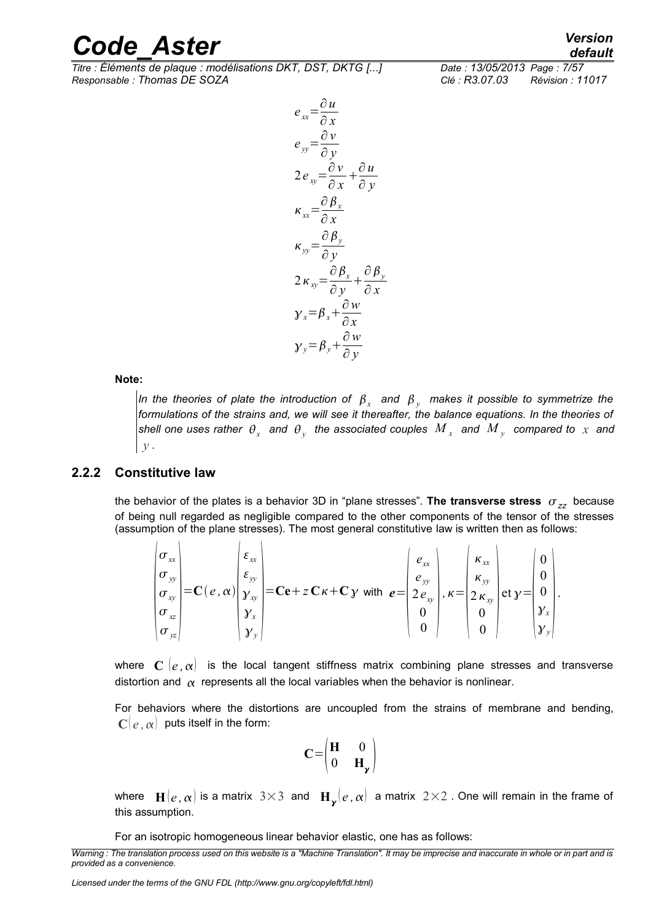*Titre : Éléments de plaque : modélisations DKT, DST, DKTG [...] Date : 13/05/2013 Page : 7/57 Responsable : Thomas DE SOZA Clé : R3.07.03 Révision : 11017*

$$
e_{xx} = \frac{\partial u}{\partial x}
$$
  
\n
$$
e_{yy} = \frac{\partial v}{\partial y}
$$
  
\n
$$
2 e_{xy} = \frac{\partial v}{\partial x} + \frac{\partial u}{\partial y}
$$
  
\n
$$
\kappa_{xx} = \frac{\partial \beta_x}{\partial x}
$$
  
\n
$$
\kappa_{yy} = \frac{\partial \beta_y}{\partial y}
$$
  
\n
$$
2 \kappa_{xy} = \frac{\partial \beta_x}{\partial y} + \frac{\partial \beta_y}{\partial x}
$$
  
\n
$$
y_x = \beta_x + \frac{\partial w}{\partial x}
$$
  
\n
$$
y_y = \beta_y + \frac{\partial w}{\partial y}
$$

**Note:**

In the theories of plate the introduction of  $\ \beta_{_X} \ \$  and  $\ \beta_{_Y} \ \$  makes it possible to symmetrize the *formulations of the strains and, we will see it thereafter, the balance equations. In the theories of* shell one uses rather  $\,\theta_{_X}^{}\,$  and  $\,\theta_{_Y}^{}\,$  the associated couples  $\,M_{_X}^{}\,$  and  $\,M_{_Y}^{}\,$  compared to  $\,x\,$  and *y .*

#### **2.2.2 Constitutive law**

 $\mathbf{I}$   $\mathbf{I}$ 

 $\overline{1}$   $\overline{1}$ 

the behavior of the plates is a behavior 3D in "plane stresses". **The transverse stress**  $\sigma_{zz}$  because of being null regarded as negligible compared to the other components of the tensor of the stresses (assumption of the plane stresses). The most general constitutive law is written then as follows:

$$
\begin{vmatrix} \sigma_{xx} \\ \sigma_{yy} \\ \sigma_{xy} \\ \sigma_{xz} \\ \sigma_{yz} \end{vmatrix} = C(e, \alpha) \begin{vmatrix} \varepsilon_{xx} \\ \varepsilon_{yy} \\ \gamma_{xy} \\ \gamma_{x} \\ \gamma_{y} \end{vmatrix} = Ce + zC\kappa + Cy \text{ with } e = \begin{vmatrix} e_{xx} \\ e_{yy} \\ 2e_{xy} \\ 0 \\ 0 \end{vmatrix}, \kappa = \begin{vmatrix} \kappa_{xx} \\ \kappa_{yy} \\ 2\kappa_{xy} \\ 0 \\ 0 \end{vmatrix} et y = \begin{vmatrix} 0 \\ 0 \\ 0 \\ 0 \\ \gamma_{y} \\ \gamma_{y} \end{vmatrix}.
$$

where  $C \mid e, \alpha$  is the local tangent stiffness matrix combining plane stresses and transverse distortion and  $\alpha$  represents all the local variables when the behavior is nonlinear.

For behaviors where the distortions are uncoupled from the strains of membrane and bending,  $C|e, \alpha|$  puts itself in the form:

$$
\mathbf{C} = \begin{pmatrix} \mathbf{H} & \mathbf{0} \\ \mathbf{0} & \mathbf{H}_{\mathbf{y}} \end{pmatrix}
$$

where  $\textbf{H}(e, \alpha)$  is a matrix  $3 \times 3$  and  $\textbf{H}_{\gamma}(e, \alpha)$  a matrix  $2 \times 2$  . One will remain in the frame of this assumption.

For an isotropic homogeneous linear behavior elastic, one has as follows:

*Warning : The translation process used on this website is a "Machine Translation". It may be imprecise and inaccurate in whole or in part and is provided as a convenience.*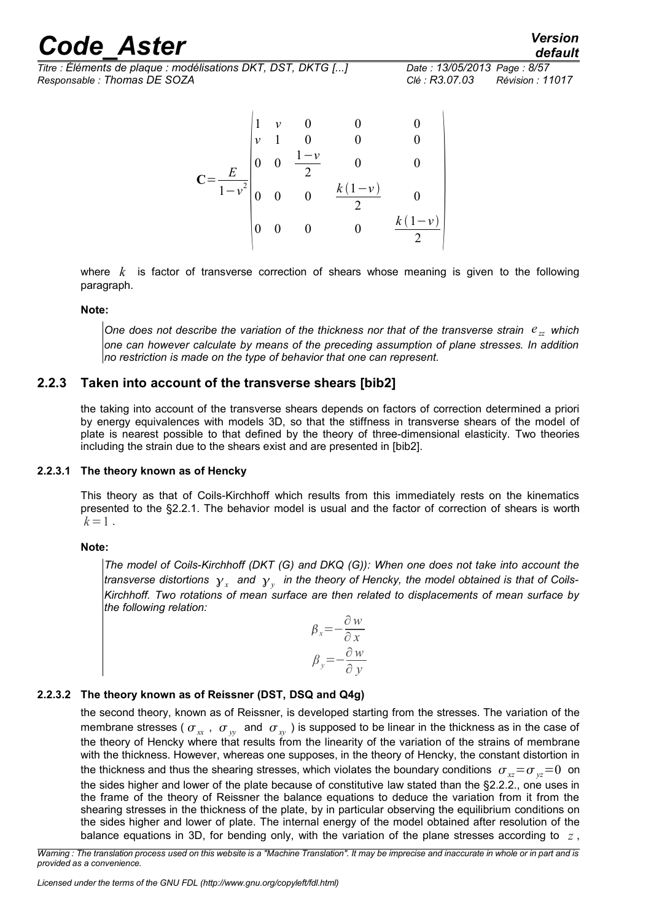*Titre : Éléments de plaque : modélisations DKT, DST, DKTG [...] Date : 13/05/2013 Page : 8/57 Responsable : Thomas DE SOZA Clé : R3.07.03 Révision : 11017*

$$
\mathbf{C} = \frac{E}{1 - v^2} \begin{vmatrix} 1 & v & 0 & 0 & 0 \\ v & 1 & 0 & 0 & 0 \\ 0 & 0 & \frac{1 - v}{2} & 0 & 0 \\ 0 & 0 & 0 & \frac{k(1 - v)}{2} & 0 \\ 0 & 0 & 0 & 0 & \frac{k(1 - v)}{2} \end{vmatrix}
$$

where *k* is factor of transverse correction of shears whose meaning is given to the following paragraph.

#### **Note:**

*One does not describe the variation of the thickness nor that of the transverse strain*  $e_{zz}$  *which one can however calculate by means of the preceding assumption of plane stresses. In addition no restriction is made on the type of behavior that one can represent.* 

#### **2.2.3 Taken into account of the transverse shears [bib2]**

the taking into account of the transverse shears depends on factors of correction determined a priori by energy equivalences with models 3D, so that the stiffness in transverse shears of the model of plate is nearest possible to that defined by the theory of three-dimensional elasticity. Two theories including the strain due to the shears exist and are presented in [bib2].

#### **2.2.3.1 The theory known as of Hencky**

This theory as that of Coils-Kirchhoff which results from this immediately rests on the kinematics presented to the §2.2.1. The behavior model is usual and the factor of correction of shears is worth  $k=1$ .

#### **Note:**

*The model of Coils-Kirchhoff (DKT (G) and DKQ (G)): When one does not take into account the* transverse distortions  $\left. \mathcal{Y}_{x} \right.$  and  $\left. \mathcal{Y}_{y} \right.$  in the theory of Hencky, the model obtained is that of Coils-*Kirchhoff. Two rotations of mean surface are then related to displacements of mean surface by the following relation:* 

$$
\beta_x = -\frac{\partial w}{\partial x}
$$

$$
\beta_y = -\frac{\partial w}{\partial y}
$$

#### **2.2.3.2 The theory known as of Reissner (DST, DSQ and Q4g)**

the second theory, known as of Reissner, is developed starting from the stresses. The variation of the membrane stresses (  $\sigma_{_{X\!X}}$  ,  $\sigma_{_{Y\!Y}}$  and  $\,\sigma_{_{X\!Y}}$  ) is supposed to be linear in the thickness as in the case of the theory of Hencky where that results from the linearity of the variation of the strains of membrane with the thickness. However, whereas one supposes, in the theory of Hencky, the constant distortion in the thickness and thus the shearing stresses, which violates the boundary conditions  $\sigma_{xz} = \sigma_{yz} = 0$  on the sides higher and lower of the plate because of constitutive law stated than the §2.2.2., one uses in the frame of the theory of Reissner the balance equations to deduce the variation from it from the shearing stresses in the thickness of the plate, by in particular observing the equilibrium conditions on the sides higher and lower of plate. The internal energy of the model obtained after resolution of the balance equations in 3D, for bending only, with the variation of the plane stresses according to *z* ,

*Warning : The translation process used on this website is a "Machine Translation". It may be imprecise and inaccurate in whole or in part and is provided as a convenience.*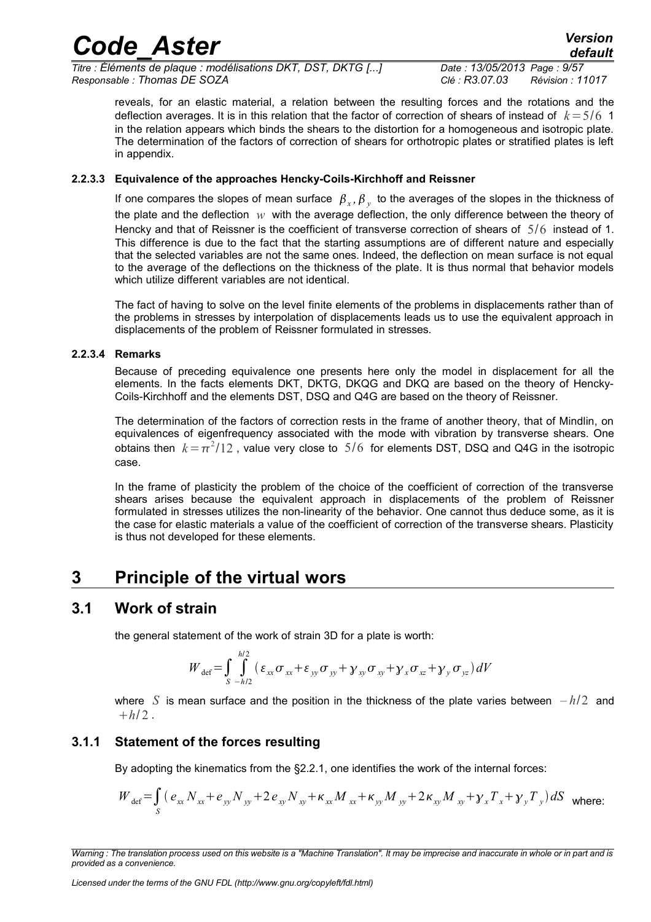*Titre : Éléments de plaque : modélisations DKT, DST, DKTG [...] Date : 13/05/2013 Page : 9/57 Responsable : Thomas DE SOZA Clé : R3.07.03 Révision : 11017*

reveals, for an elastic material, a relation between the resulting forces and the rotations and the deflection averages. It is in this relation that the factor of correction of shears of instead of *k*=5/6 1 in the relation appears which binds the shears to the distortion for a homogeneous and isotropic plate. The determination of the factors of correction of shears for orthotropic plates or stratified plates is left in appendix.

#### **2.2.3.3 Equivalence of the approaches Hencky-Coils-Kirchhoff and Reissner**

If one compares the slopes of mean surface  $\beta_{x},\beta_{y}$  to the averages of the slopes in the thickness of the plate and the deflection  $w$  with the average deflection, the only difference between the theory of Hencky and that of Reissner is the coefficient of transverse correction of shears of 5/6 instead of 1. This difference is due to the fact that the starting assumptions are of different nature and especially that the selected variables are not the same ones. Indeed, the deflection on mean surface is not equal to the average of the deflections on the thickness of the plate. It is thus normal that behavior models which utilize different variables are not identical.

The fact of having to solve on the level finite elements of the problems in displacements rather than of the problems in stresses by interpolation of displacements leads us to use the equivalent approach in displacements of the problem of Reissner formulated in stresses.

#### **2.2.3.4 Remarks**

Because of preceding equivalence one presents here only the model in displacement for all the elements. In the facts elements DKT, DKTG, DKQG and DKQ are based on the theory of Hencky-Coils-Kirchhoff and the elements DST, DSQ and Q4G are based on the theory of Reissner.

The determination of the factors of correction rests in the frame of another theory, that of Mindlin, on equivalences of eigenfrequency associated with the mode with vibration by transverse shears. One obtains then  $k \!=\! \pi^2/12$  , value very close to  $~5/6~$  for elements DST, DSQ and Q4G in the isotropic case.

In the frame of plasticity the problem of the choice of the coefficient of correction of the transverse shears arises because the equivalent approach in displacements of the problem of Reissner formulated in stresses utilizes the non-linearity of the behavior. One cannot thus deduce some, as it is the case for elastic materials a value of the coefficient of correction of the transverse shears. Plasticity is thus not developed for these elements.

### **3 Principle of the virtual wors**

#### **3.1 Work of strain**

the general statement of the work of strain 3D for a plate is worth:

$$
W_{\text{def}} = \int_{S} \int_{-h/2}^{h/2} \left( \varepsilon_{xx} \sigma_{xx} + \varepsilon_{yy} \sigma_{yy} + \gamma_{xy} \sigma_{xy} + \gamma_x \sigma_{xz} + \gamma_y \sigma_{yz} \right) dV
$$

where *S* is mean surface and the position in the thickness of the plate varies between *– h*/2 and  $+h/2$ .

#### **3.1.1 Statement of the forces resulting**

By adopting the kinematics from the §2.2.1, one identifies the work of the internal forces:

$$
W_{\text{def}} = \int_{S} (e_{xx} N_{xx} + e_{yy} N_{yy} + 2 e_{xy} N_{xy} + \kappa_{xx} M_{xx} + \kappa_{yy} M_{yy} + 2 \kappa_{xy} M_{xy} + \gamma_{x} T_{x} + \gamma_{y} T_{y}) dS \text{ where:}
$$

*Warning : The translation process used on this website is a "Machine Translation". It may be imprecise and inaccurate in whole or in part and is provided as a convenience.*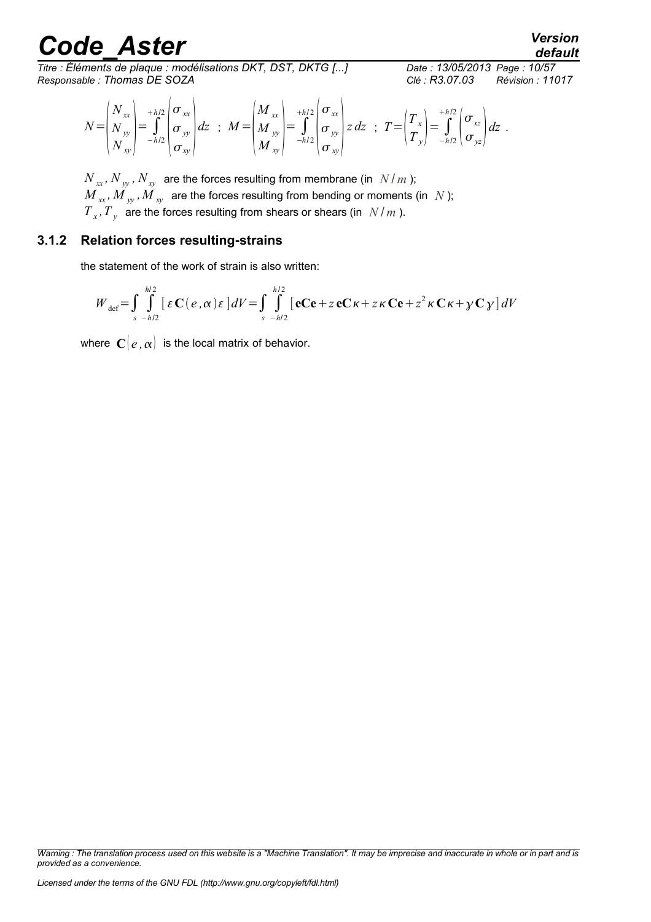*Titre : Éléments de plaque : modélisations DKT, DST, DKTG [...] Date : 13/05/2013 Page : 10/57 Responsable : Thomas DE SOZA Clé : R3.07.03 Révision : 11017*

*default*

$$
N = \begin{pmatrix} N_{xx} \\ N_{yy} \\ N_{xy} \end{pmatrix} = \int_{-h/2}^{h/2} \begin{pmatrix} \sigma_{xx} \\ \sigma_{yy} \\ \sigma_{xy} \end{pmatrix} dz \; ; \; M = \begin{pmatrix} M_{xx} \\ M_{yy} \\ M_{xy} \end{pmatrix} = \int_{-h/2}^{h/2} \begin{pmatrix} \sigma_{xx} \\ \sigma_{yy} \\ \sigma_{xy} \end{pmatrix} z \, dz \; ; \; T = \begin{pmatrix} T_x \\ T_y \end{pmatrix} = \int_{-h/2}^{h/2} \begin{pmatrix} \sigma_{xz} \\ \sigma_{yz} \end{pmatrix} dz \; .
$$

 $N_{xx}$ ,  $N_{yy}$ ,  $N_{xy}$  are the forces resulting from membrane (in  $N/m$ );  $M_{xx}$ ,  $\overline{M}_{yy}$ ,  $\overline{M}_{xy}$  are the forces resulting from bending or moments (in *N*);  $T_{\rm x}$ ,  $T_{\rm y}$  are the forces resulting from shears or shears (in  $\left\lfloor N/m\right\rfloor$ ).

#### **3.1.2 Relation forces resulting-strains**

the statement of the work of strain is also written:

$$
W_{\text{def}} = \int_{s} \int_{-h/2}^{h/2} \left[ \varepsilon \mathbf{C}(e, \alpha) \varepsilon \right] dV = \int_{s} \int_{-h/2}^{h/2} \left[ \mathbf{e} \mathbf{C} \mathbf{e} + z \mathbf{e} \mathbf{C} \kappa + z \kappa \mathbf{C} \mathbf{e} + z^2 \kappa \mathbf{C} \kappa + y \mathbf{C} \mathbf{y} \right] dV
$$

where  $C(e, \alpha)$  is the local matrix of behavior.

*Warning : The translation process used on this website is a "Machine Translation". It may be imprecise and inaccurate in whole or in part and is provided as a convenience.*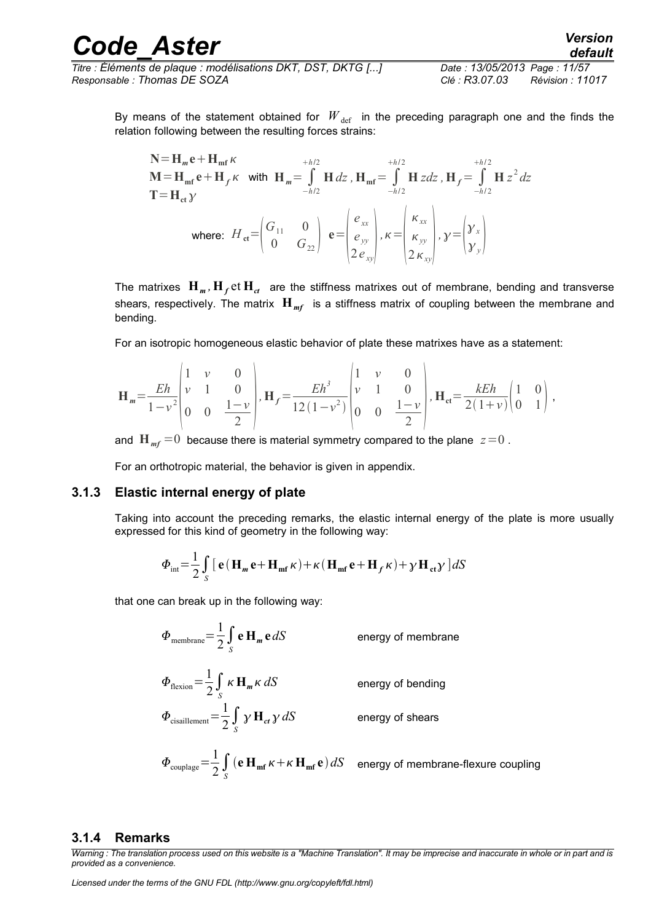| <b>Code Aster</b>                                            | <b>Version</b><br>default                 |
|--------------------------------------------------------------|-------------------------------------------|
| Titre : Éléments de plaque : modélisations DKT, DST, DKTG [] | Date: 13/05/2013 Page: 11/57              |
| Responsable : Thomas DE SOZA                                 | <b>Révision : 11017</b><br>Clé : R3.07.03 |

By means of the statement obtained for  $W_{\text{def}}$  in the preceding paragraph one and the finds the relation following between the resulting forces strains:

$$
\mathbf{N} = \mathbf{H}_{\mathbf{m}} \mathbf{e} + \mathbf{H}_{\mathbf{m}f} \kappa
$$
\n
$$
\mathbf{M} = \mathbf{H}_{\mathbf{m}f} \mathbf{e} + \mathbf{H}_{f} \kappa \quad \text{with} \quad \mathbf{H}_{m} = \int_{-h/2}^{+h/2} \mathbf{H} \, dz \,, \mathbf{H}_{\mathbf{m}f} = \int_{-h/2}^{+h/2} \mathbf{H} \, z \, dz \,, \mathbf{H}_{f} = \int_{-h/2}^{+h/2} \mathbf{H} \, z^{2} \, dz
$$
\n
$$
\mathbf{T} = \mathbf{H}_{\mathbf{ct}} \mathbf{y}
$$
\n
$$
\text{where:} \quad H_{\mathbf{ct}} = \begin{pmatrix} G_{11} & 0 \\ 0 & G_{22} \end{pmatrix} \quad \mathbf{e} = \begin{pmatrix} e_{xx} \\ e_{yy} \\ 2 \, e_{xy} \end{pmatrix}, \kappa = \begin{pmatrix} \kappa_{xx} \\ \kappa_{yy} \\ 2 \, \kappa_{xy} \end{pmatrix}, \mathbf{y} = \begin{pmatrix} \mathbf{y}_{x} \\ \mathbf{y}_{y} \end{pmatrix}
$$

The matrixes  $\mathbf{H}_{m}$ ,  $\mathbf{H}_{f}$  et  $\mathbf{H}_{ct}$  are the stiffness matrixes out of membrane, bending and transverse shears, respectively. The matrix **H***mf* is a stiffness matrix of coupling between the membrane and bending.

For an isotropic homogeneous elastic behavior of plate these matrixes have as a statement:

$$
\mathbf{H}_{m} = \frac{Eh}{1 - v^{2}} \begin{vmatrix} 1 & v & 0 \\ v & 1 & 0 \\ 0 & 0 & \frac{1 - v}{2} \end{vmatrix}, \mathbf{H}_{f} = \frac{Eh^{3}}{12(1 - v^{2})} \begin{vmatrix} 1 & v & 0 \\ v & 1 & 0 \\ 0 & 0 & \frac{1 - v}{2} \end{vmatrix}, \mathbf{H}_{ct} = \frac{kEh}{2(1 + v)} \begin{pmatrix} 1 & 0 \\ 0 & 1 \end{pmatrix},
$$

and  $\mathbf{H}_{mf} = 0$  because there is material symmetry compared to the plane  $z = 0$ .

For an orthotropic material, the behavior is given in appendix.

#### **3.1.3 Elastic internal energy of plate**

Taking into account the preceding remarks, the elastic internal energy of the plate is more usually expressed for this kind of geometry in the following way:

$$
\Phi_{\rm int} = \frac{1}{2} \int_{S} \left[ \mathbf{e} \left( \mathbf{H}_{m} \mathbf{e} + \mathbf{H}_{\rm int} \kappa \right) + \kappa \left( \mathbf{H}_{\rm int} \mathbf{e} + \mathbf{H}_{f} \kappa \right) + \gamma \mathbf{H}_{\rm ct} \gamma \right] dS
$$

that one can break up in the following way:

- $\Phi_{\text{membrane}} = \frac{1}{2}$  $rac{1}{2}$  $\int_S$ **e H***<sup>m</sup>* **energy of membrane**
- $\Phi_{\text{flexion}} = \frac{1}{2}$  $rac{1}{2}$  $\int_S$ **energy of bending**  $\Phi_{\text{cissillement}} = \frac{1}{2}$  $rac{1}{2}$  $\int_{S}$ **energy of shears**

$$
\Phi_{\text{couplace}} = \frac{1}{2} \int_{S} (\mathbf{e} \, \mathbf{H}_{\text{mf}} \, \kappa + \kappa \, \mathbf{H}_{\text{mf}} \, \mathbf{e}) \, dS \quad \text{energy of membrane-flexure coupling}
$$

#### **3.1.4 Remarks**

*Warning : The translation process used on this website is a "Machine Translation". It may be imprecise and inaccurate in whole or in part and is provided as a convenience.*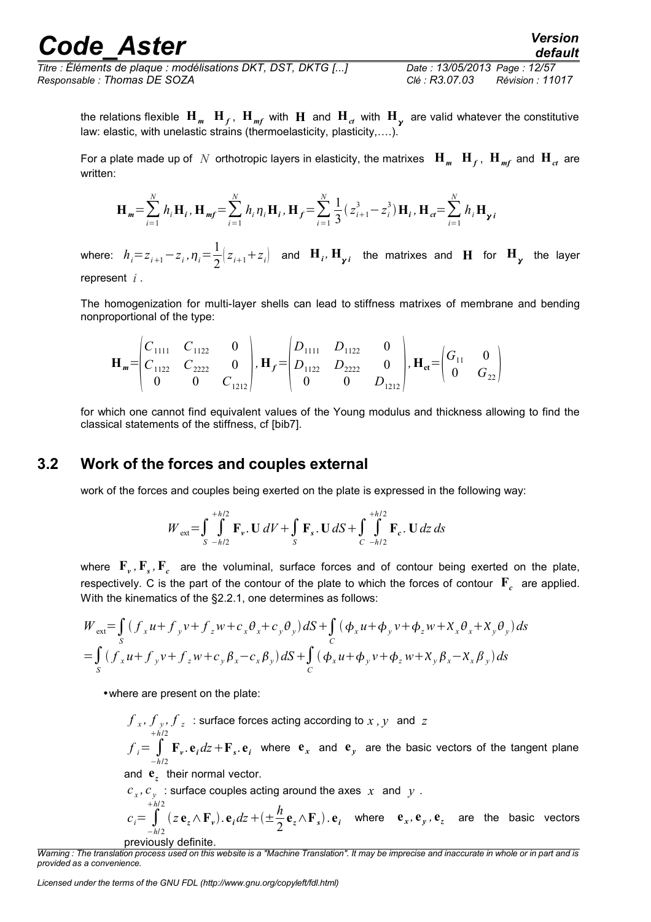the relations flexible  $\mathbf{H}_m$   $\mathbf{H}_f$ ,  $\mathbf{H}_{mf}$  with  $\mathbf{H}$  and  $\mathbf{H}_{ct}$  with  $\mathbf{H}_\gamma$  are valid whatever the constitutive law: elastic, with unelastic strains (thermoelasticity, plasticity,….).

For a plate made up of  $N$  orthotropic layers in elasticity, the matrixes  $\mathbf{H}_m$   $\mathbf{H}_f$ ,  $\mathbf{H}_{mf}$  and  $\mathbf{H}_{ct}$  are written:

$$
\mathbf{H}_{m} = \sum_{i=1}^{N} h_{i} \mathbf{H}_{i}, \mathbf{H}_{m} = \sum_{i=1}^{N} h_{i} \eta_{i} \mathbf{H}_{i}, \mathbf{H}_{f} = \sum_{i=1}^{N} \frac{1}{3} (z_{i+1}^{3} - z_{i}^{3}) \mathbf{H}_{i}, \mathbf{H}_{cf} = \sum_{i=1}^{N} h_{i} \mathbf{H}_{\gamma i}
$$

where:  $h_i = z_{i+1} - z_i$ ,  $\eta_i = \frac{1}{2}$  $\frac{1}{2}$  $\left(z_{i+1}+z_i\right)$  and  $\mathbf{H}_i$ ,  $\mathbf{H}_{\gamma i}$  the matrixes and **H** for  $\mathbf{H}_{\gamma}$  the layer

represent *i* .

The homogenization for multi-layer shells can lead to stiffness matrixes of membrane and bending nonproportional of the type:

$$
\mathbf{H}_{m} = \begin{pmatrix} C_{1111} & C_{1122} & 0 \\ C_{1122} & C_{2222} & 0 \\ 0 & 0 & C_{1212} \end{pmatrix}, \mathbf{H}_{f} = \begin{pmatrix} D_{1111} & D_{1122} & 0 \\ D_{1122} & D_{2222} & 0 \\ 0 & 0 & D_{1212} \end{pmatrix}, \mathbf{H}_{ct} = \begin{pmatrix} G_{11} & 0 \\ 0 & G_{22} \end{pmatrix}
$$

for which one cannot find equivalent values of the Young modulus and thickness allowing to find the classical statements of the stiffness, cf [bib7].

### **3.2 Work of the forces and couples external**

work of the forces and couples being exerted on the plate is expressed in the following way:

$$
W_{ext} = \int_{S}^{+h/2} \int_{-h/2}^{h/2} \mathbf{F}_{v} \cdot \mathbf{U} \, dV + \int_{S} \mathbf{F}_{s} \cdot \mathbf{U} \, dS + \int_{C}^{+h/2} \int_{-h/2}^{h/2} \mathbf{F}_{e} \cdot \mathbf{U} \, dz \, ds
$$

where  $\mathbf{F}_v$ ,  $\mathbf{F}_s$ ,  $\mathbf{F}_c$  are the voluminal, surface forces and of contour being exerted on the plate, respectively. C is the part of the contour of the plate to which the forces of contour **F***<sup>c</sup>* are applied. With the kinematics of the §2.2.1, one determines as follows:

$$
W_{ext} = \int_{S} (f_x u + f_y v + f_z w + c_x \theta_x + c_y \theta_y) dS + \int_{C} (\phi_x u + \phi_y v + \phi_z w + X_x \theta_x + X_y \theta_y) ds
$$
  
= 
$$
\int_{S} (f_x u + f_y v + f_z w + c_y \beta_x - c_x \beta_y) dS + \int_{C} (\phi_x u + \phi_y v + \phi_z w + X_y \beta_x - X_x \beta_y) ds
$$

•where are present on the plate:

$$
f_x
$$
,  $f_y$ ,  $f_z$  : surface forces acting according to x, y and z  
\n
$$
f_i = \int_{-h/2}^{h/2} \mathbf{F}_y \cdot \mathbf{e}_i dz + \mathbf{F}_s \cdot \mathbf{e}_i
$$
 where  $\mathbf{e}_x$  and  $\mathbf{e}_y$  are the basic vectors of the tangent plane

and **e***<sup>z</sup>* their normal vector.

 $c_x$ ,  $c_y$ : surface couples acting around the axes x and y. *h*/ 2 *h*

$$
c_i = \int_{-h/2}^{h/2} (z \, \mathbf{e}_z \wedge \mathbf{F}_v) \cdot \mathbf{e}_i dz + (\pm \frac{h}{2} \mathbf{e}_z \wedge \mathbf{F}_s) \cdot \mathbf{e}_i \quad \text{where} \quad \mathbf{e}_x, \mathbf{e}_y, \mathbf{e}_z \quad \text{are the basic vectors}
$$

previously definite.

*Warning : The translation process used on this website is a "Machine Translation". It may be imprecise and inaccurate in whole or in part and is provided as a convenience.*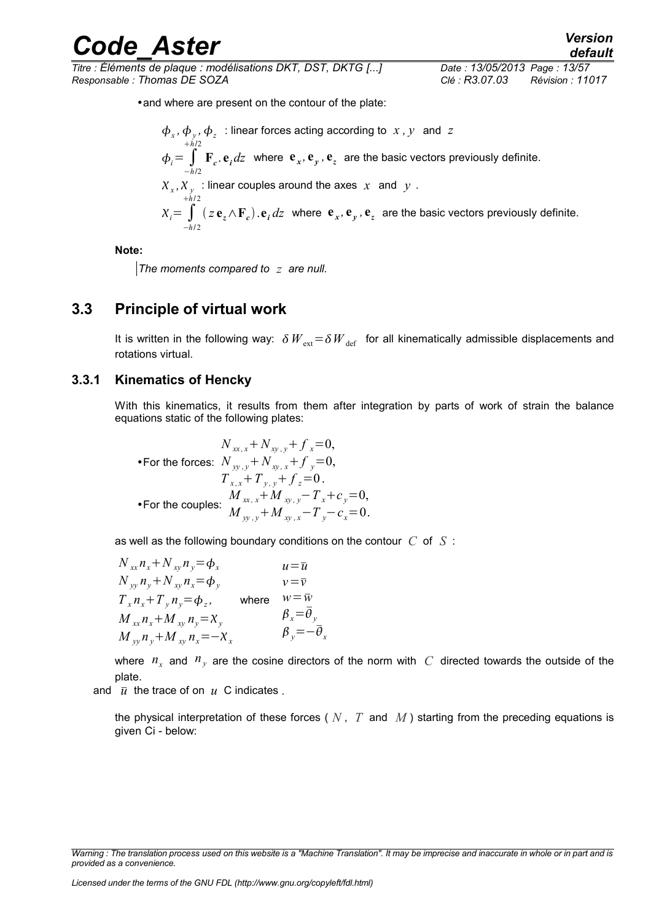*Titre : Éléments de plaque : modélisations DKT, DST, DKTG [...] Date : 13/05/2013 Page : 13/57 Responsable : Thomas DE SOZA Clé : R3.07.03 Révision : 11017*

• and where are present on the contour of the plate:

$$
\phi_x, \phi_y, \phi_z
$$
 : linear forces acting according to  $x, y$  and  $z$   
\n
$$
\phi_i = \int_{-h/2}^{h/2} \mathbf{F}_c \cdot \mathbf{e}_i dz
$$
 where  $\mathbf{e}_x, \mathbf{e}_y, \mathbf{e}_z$  are the basic vectors previously definite.  
\n
$$
X_x, X_y
$$
 : linear couples around the axes  $x$  and  $y$ .  
\n
$$
X_i = \int_{-h/2}^{h/2} (z \mathbf{e}_z \wedge \mathbf{F}_c) \cdot \mathbf{e}_i dz
$$
 where  $\mathbf{e}_x, \mathbf{e}_y, \mathbf{e}_z$  are the basic vectors previously definite.

**Note:**

*The moments compared to z are null.*

### **3.3 Principle of virtual work**

It is written in the following way:  $\delta W_{\text{ext}} = \delta W_{\text{def}}$  for all kinematically admissible displacements and rotations virtual.

#### **3.3.1 Kinematics of Hencky**

With this kinematics, it results from them after integration by parts of work of strain the balance equations static of the following plates:

$$
N_{xx,x} + N_{xy,y} + f_x = 0,
$$
  
\n• For the forces:  $N_{yy,y} + N_{xy,x} + f_y = 0,$   
\n $T_{x,x} + T_{y,y} + f_z = 0.$   
\n• For the couples:  $M_{xx,x} + M_{xy,y} - T_x + c_y = 0,$   
\n $M_{yy,y} + M_{xy,x} - T_y - c_x = 0.$ 

as well as the following boundary conditions on the contour *C* of *S* :

 $N_{rr} n_r + N_{rr} n_v = \phi_r$  $N_{yy} n_y + N_{yy} n_x = \phi_y$  $T_x n_x + T_y n_y = \phi_z$ , where  $w = \bar{w}$  $M_{xx}n_x + M_{xy}n_y = X_{yy}$  $M_{yy} n_y + M_{xy} n_x = -X_x$  $u=\overline{u}$  $v = \overline{v}$  $\beta_x = \overline{\theta}_y$  $\beta_y = -\overline{\theta}_x$ 

where  $n_x$  and  $n_y$  are the cosine directors of the norm with  $|C|$  directed towards the outside of the plate.

and  $\bar{u}$  the trace of on  $u$  C indicates .

the physical interpretation of these forces ( *N* , *T* and *M* ) starting from the preceding equations is given Ci - below:

*Warning : The translation process used on this website is a "Machine Translation". It may be imprecise and inaccurate in whole or in part and is provided as a convenience.*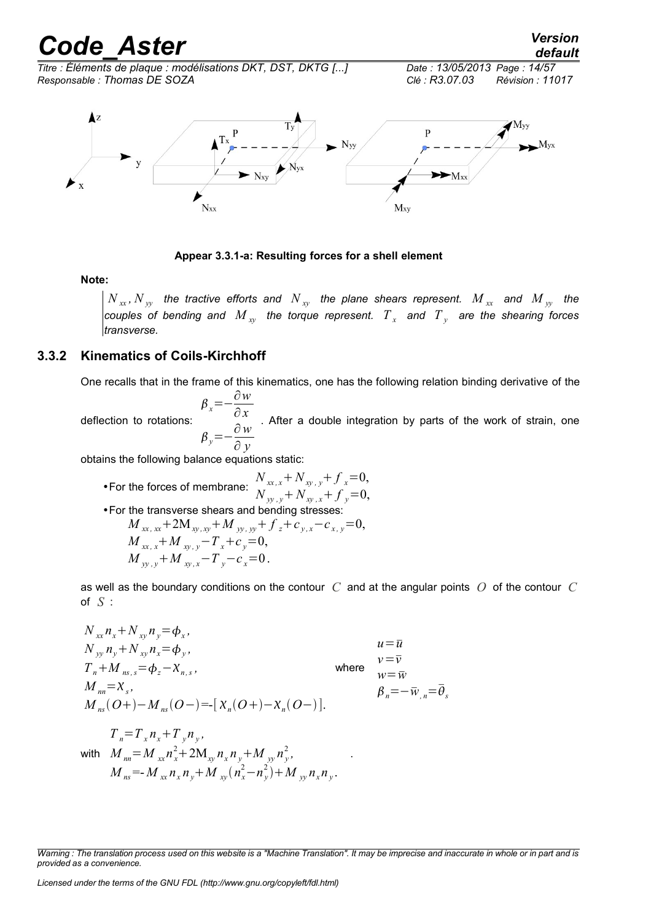*default*

*Titre : Éléments de plaque : modélisations DKT, DST, DKTG [...] Date : 13/05/2013 Page : 14/57 Responsable : Thomas DE SOZA Clé : R3.07.03 Révision : 11017*



#### **Appear 3.3.1-a: Resulting forces for a shell element**

#### **Note:**

 $N_{xx}$ ,  $N_{yy}$  the tractive efforts and  $N_{xy}$  the plane shears represent.  $M_{xx}$  and  $M_{yy}$  the couples of bending and  $\left. M_{_{X\!Y}} \right.$  the torque represent.  $\left. T_{_{X}} \right.$  and  $\left. T_{_{Y}} \right.$  are the shearing forces *transverse.*

#### **3.3.2 Kinematics of Coils-Kirchhoff**

One recalls that in the frame of this kinematics, one has the following relation binding derivative of the

deflection to rotations:  $\beta_x = -\frac{\partial w}{\partial x}$ ∂ *x*  $\beta_y = -\frac{\partial w}{\partial y}$ ∂ *y* . After a double integration by parts of the work of strain, one

obtains the following balance equations static:

\n- For the forces of membrane: 
$$
N_{xx,x} + N_{xy,y} + f_x = 0
$$
,
\n- For the transverse shears and bending stresses:  $M_{xx,xx} + 2M_{xy,xy} + M_{yy,yy} + f_z + c_{y,x} - c_{x,y} = 0$ ,
\n- $M_{xx,x} + M_{xy,y} - T_x + c_y = 0$ ,
\n- $M_{yy,y} + M_{xy,x} - T_y - c_x = 0$ .
\n

as well as the boundary conditions on the contour *C* and at the angular points *O* of the contour *C* of  $S$  :

$$
N_{xx}n_{x} + N_{xy}n_{y} = \phi_{x},
$$
\n
$$
N_{yy}n_{y} + N_{xy}n_{x} = \phi_{y},
$$
\n
$$
T_{n} + M_{ns,s} = \phi_{z} - X_{n,s},
$$
\n
$$
M_{nn} = X_{s},
$$
\n
$$
M_{ns}(O+) - M_{ns}(O-) = [X_{n}(O+) - X_{n}(O-)].
$$
\n
$$
T_{n} = T_{x}n_{x} + T_{y}n_{y},
$$
\nwith 
$$
M_{nn} = M_{xx}n_{x}^{2} + 2M_{xy}n_{x}n_{y} + M_{yy}n_{y}^{2},
$$
\n
$$
M_{ns} = -M_{xx}n_{x}n_{y} + M_{xy}(n_{x}^{2} - n_{y}^{2}) + M_{yy}n_{x}n_{y}.
$$

*Warning : The translation process used on this website is a "Machine Translation". It may be imprecise and inaccurate in whole or in part and is provided as a convenience.*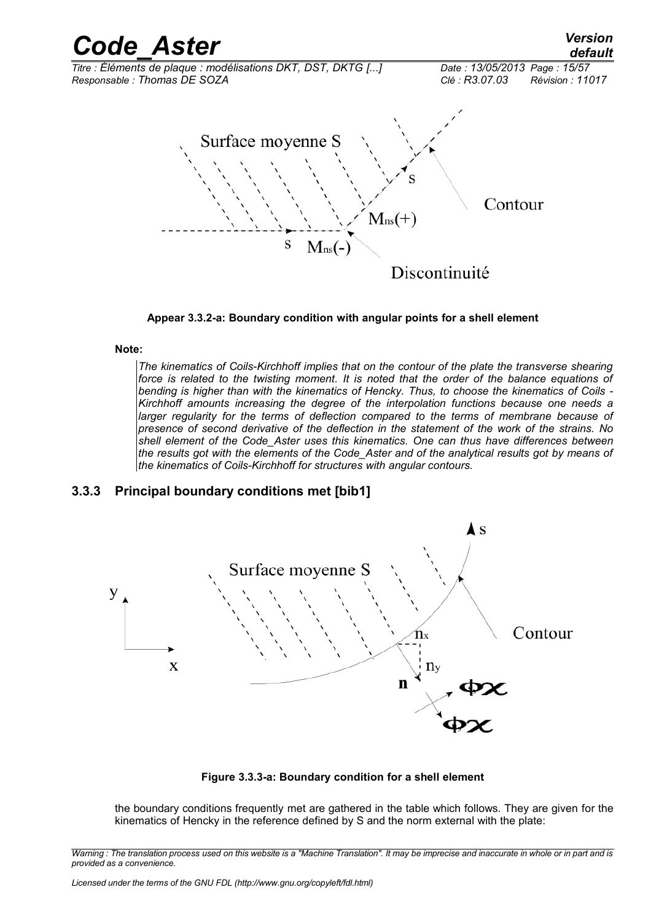

**Appear 3.3.2-a: Boundary condition with angular points for a shell element**

#### **Note:**

*The kinematics of Coils-Kirchhoff implies that on the contour of the plate the transverse shearing force is related to the twisting moment. It is noted that the order of the balance equations of bending is higher than with the kinematics of Hencky. Thus, to choose the kinematics of Coils - Kirchhoff amounts increasing the degree of the interpolation functions because one needs a larger regularity for the terms of deflection compared to the terms of membrane because of presence of second derivative of the deflection in the statement of the work of the strains. No shell element of the Code\_Aster uses this kinematics. One can thus have differences between the results got with the elements of the Code\_Aster and of the analytical results got by means of the kinematics of Coils-Kirchhoff for structures with angular contours.* 

#### **3.3.3 Principal boundary conditions met [bib1]**



**Figure 3.3.3-a: Boundary condition for a shell element**

the boundary conditions frequently met are gathered in the table which follows. They are given for the kinematics of Hencky in the reference defined by S and the norm external with the plate:

*Warning : The translation process used on this website is a "Machine Translation". It may be imprecise and inaccurate in whole or in part and is provided as a convenience.*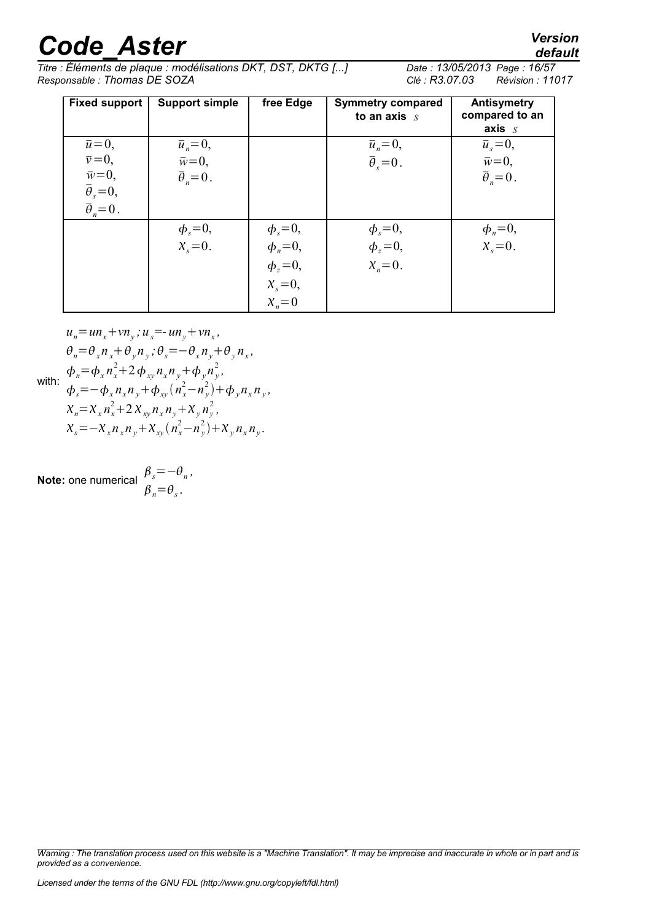# *Code\_Aster Version*<br> *Titre : Éléments de plaque : modélisations DKT. DST. DKTG [...]* Date : 13/05/2013 Page : 16/57

*default*

*Titre : Éléments de plaque : modélisations DKT, DST, DKTG [...] Date : 13/05/2013 Page : 16/57 Responsable : Thomas DE SOZA Clé : R3.07.03 Révision : 11017*

| <b>Fixed support</b>                                     | <b>Support simple</b>       | free Edge               | <b>Symmetry compared</b><br>to an axis $s$ | <b>Antisymetry</b><br>compared to an |
|----------------------------------------------------------|-----------------------------|-------------------------|--------------------------------------------|--------------------------------------|
|                                                          |                             |                         |                                            | axis <sub>S</sub>                    |
| $\bar{u}=0$ ,                                            | $\overline{u}_n = 0$ ,      |                         | $\overline{u}_n = 0$ ,                     | $\bar{u}_s = 0$ ,                    |
| $\bar{v} = 0$ ,                                          | $\bar{w}=0$ ,               |                         | $\overline{\theta}_s = 0$ .                | $\bar{w}=0$ ,                        |
| $\bar{w}=0,$                                             | $\overline{\theta}_n = 0$ . |                         |                                            | $\overline{\theta}_n = 0$ .          |
|                                                          |                             |                         |                                            |                                      |
| $\overline{\theta}_s = 0,$<br>$\overline{\theta}_n = 0.$ |                             |                         |                                            |                                      |
|                                                          | $\phi_s = 0$ ,              | $\phi_s = 0$ ,          | $\phi_s = 0$ ,                             | $\phi_n=0$ ,                         |
|                                                          | $X_{s} = 0$ .               | $\phi_n=0,$             | $\phi_z=0$ ,                               | $\chi_{s} = 0$ .                     |
|                                                          |                             | $\phi_z = 0$ ,          | $X_n = 0$ .                                |                                      |
|                                                          |                             | $x_s = 0,$<br>$x_n = 0$ |                                            |                                      |
|                                                          |                             |                         |                                            |                                      |

$$
u_n = un_x + vn_y; u_s = -un_y + vn_x,
$$
  
\n
$$
\theta_n = \theta_x n_x + \theta_y n_y; \theta_s = -\theta_x n_y + \theta_y n_x,
$$
  
\n
$$
\phi_n = \phi_x n_x^2 + 2 \phi_{xy} n_x n_y + \phi_y n_y^2,
$$
  
\n
$$
\phi_s = -\phi_x n_x n_y + \phi_{xy} (n_x^2 - n_y^2) + \phi_y n_x n_y,
$$
  
\n
$$
X_n = X_x n_x^2 + 2 X_{xy} n_x n_y + X_y n_y^2,
$$
  
\n
$$
X_s = -X_x n_x n_y + X_{xy} (n_x^2 - n_y^2) + X_y n_x n_y.
$$

**Note:** one numerical  $\beta_s = -\theta_n$ ,  $\beta_n = \theta_s$ .

*Warning : The translation process used on this website is a "Machine Translation". It may be imprecise and inaccurate in whole or in part and is provided as a convenience.*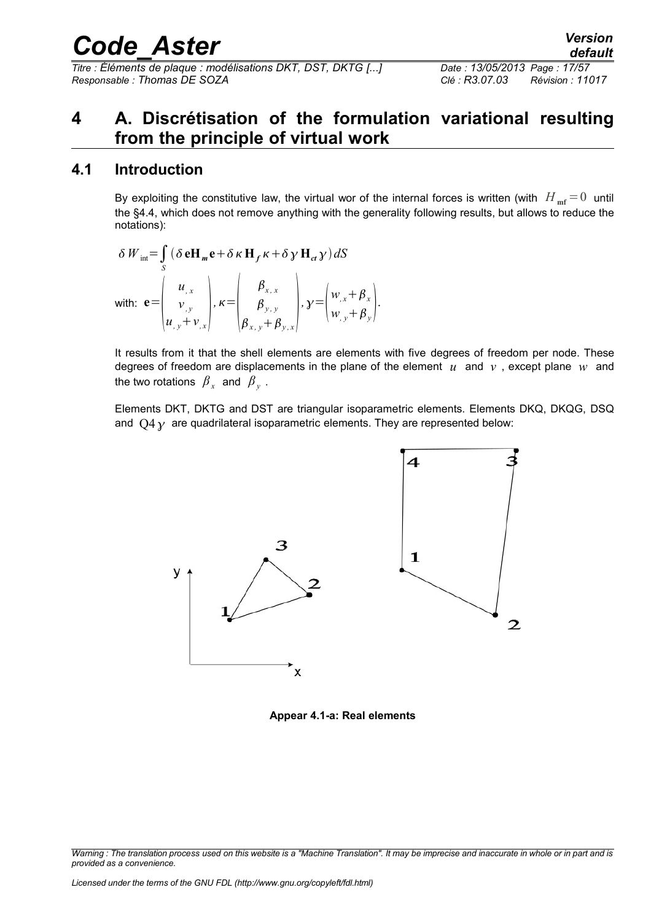*Titre : Éléments de plaque : modélisations DKT, DST, DKTG [...] Date : 13/05/2013 Page : 17/57 Responsable : Thomas DE SOZA Clé : R3.07.03 Révision : 11017*

### **4 A. Discrétisation of the formulation variational resulting from the principle of virtual work**

### **4.1 Introduction**

By exploiting the constitutive law, the virtual wor of the internal forces is written (with  $H_{\text{mf}} = 0$  until the §4.4, which does not remove anything with the generality following results, but allows to reduce the notations):

$$
\delta W_{int} = \int_{S} (\delta eH_{m}e + \delta \kappa H_{f} \kappa + \delta \gamma H_{ct} \gamma) dS
$$
  
with: 
$$
e = \begin{pmatrix} u_{,x} \\ v_{,y} \\ u_{,y} + v_{,x} \end{pmatrix}, \kappa = \begin{pmatrix} \beta_{x,x} \\ \beta_{y,y} \\ \beta_{x,y} + \beta_{y,x} \end{pmatrix}, \gamma = \begin{pmatrix} w_{,x} + \beta_{x} \\ w_{,y} + \beta_{y} \end{pmatrix}.
$$

It results from it that the shell elements are elements with five degrees of freedom per node. These degrees of freedom are displacements in the plane of the element *u* and *v* , except plane *w* and the two rotations  $\beta_x$  and  $\beta_y$  .

Elements DKT, DKTG and DST are triangular isoparametric elements. Elements DKQ, DKQG, DSQ and  $Q4y$  are quadrilateral isoparametric elements. They are represented below:



**Appear 4.1-a: Real elements**

*Warning : The translation process used on this website is a "Machine Translation". It may be imprecise and inaccurate in whole or in part and is provided as a convenience.*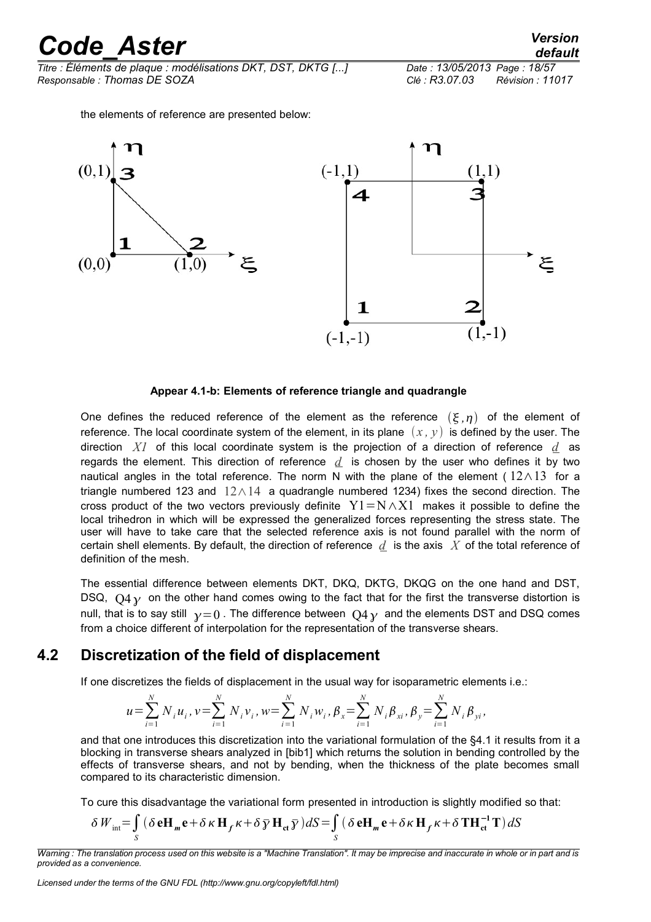*Titre : Éléments de plaque : modélisations DKT, DST, DKTG [...] Date : 13/05/2013 Page : 18/57 Responsable : Thomas DE SOZA Clé : R3.07.03 Révision : 11017*

the elements of reference are presented below:



#### **Appear 4.1-b: Elements of reference triangle and quadrangle**

One defines the reduced reference of the element as the reference  $(\xi, \eta)$  of the element of reference. The local coordinate system of the element, in its plane  $(x, y)$  is defined by the user. The direction *X1* of this local coordinate system is the projection of a direction of reference *d* as regards the element. This direction of reference  $d$  is chosen by the user who defines it by two nautical angles in the total reference. The norm N with the plane of the element (  $12 \wedge 13$  for a triangle numbered 123 and  $12\wedge14$  a quadrangle numbered 1234) fixes the second direction. The cross product of the two vectors previously definite  $Y1=N\wedge X1$  makes it possible to define the local trihedron in which will be expressed the generalized forces representing the stress state. The user will have to take care that the selected reference axis is not found parallel with the norm of certain shell elements. By default, the direction of reference *d* is the axis *X* of the total reference of definition of the mesh.

The essential difference between elements DKT, DKQ, DKTG, DKQG on the one hand and DST, DSQ,  $O4\gamma$  on the other hand comes owing to the fact that for the first the transverse distortion is null, that is to say still  $y=0$ . The difference between  $Q4 y$  and the elements DST and DSQ comes from a choice different of interpolation for the representation of the transverse shears.

### **4.2 Discretization of the field of displacement**

<span id="page-17-0"></span>If one discretizes the fields of displacement in the usual way for isoparametric elements i.e.:

$$
u = \sum_{i=1}^{N} N_i u_i, v = \sum_{i=1}^{N} N_i v_i, w = \sum_{i=1}^{N} N_i w_i, \beta_x = \sum_{i=1}^{N} N_i \beta_{xi}, \beta_y = \sum_{i=1}^{N} N_i \beta_{yi},
$$

and that one introduces this discretization into the variational formulation of the §4.1 it results from it a blocking in transverse shears analyzed in [bib1] which returns the solution in bending controlled by the effects of transverse shears, and not by bending, when the thickness of the plate becomes small compared to its characteristic dimension.

To cure this disadvantage the variational form presented in introduction is slightly modified so that:

$$
\delta W_{int} = \int_{S} (\delta e H_m e + \delta \kappa H_f \kappa + \delta \bar{\gamma} H_{ct} \bar{\gamma}) dS = \int_{S} (\delta e H_m e + \delta \kappa H_f \kappa + \delta T H_{ct}^{-1} T) dS
$$

*Warning : The translation process used on this website is a "Machine Translation". It may be imprecise and inaccurate in whole or in part and is provided as a convenience.*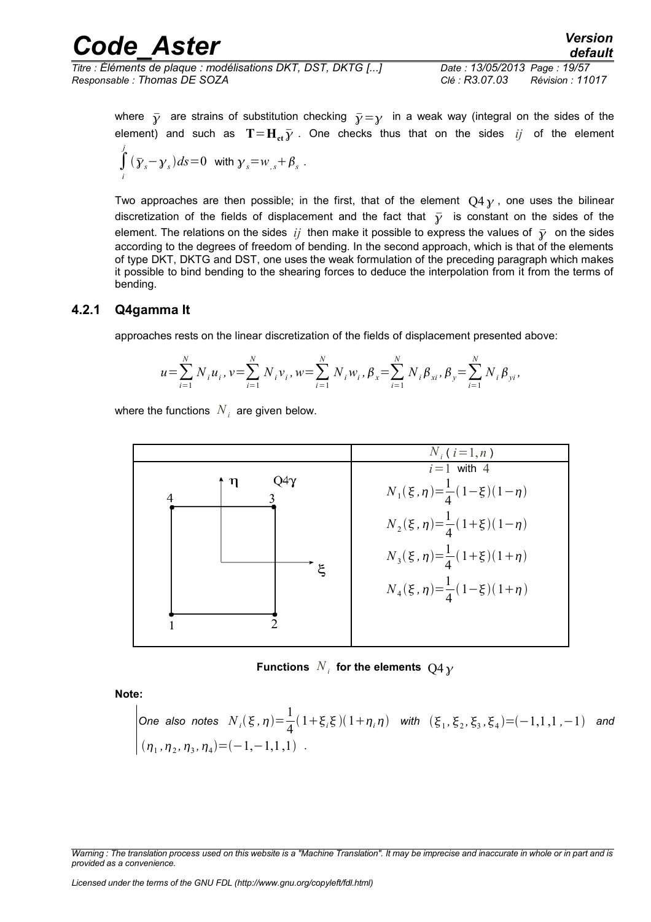| <b>Code Aster</b>                                            | <b>Version</b><br>default          |
|--------------------------------------------------------------|------------------------------------|
| Titre : Éléments de plaque : modélisations DKT, DST, DKTG [] | Date: 13/05/2013 Page: 19/57       |
| Responsable: Thomas DE SOZA                                  | Clé : R3.07.03<br>Révision : 11017 |

where  $\bar{y}$  are strains of substitution checking  $\bar{y} = y$  in a weak way (integral on the sides of the element) and such as  $T = H_{ct} \bar{y}$ . One checks thus that on the sides *ij* of the element ∫ *i j*  $\left(\overline{y}_s - \gamma_s\right)$ *ds* = 0 with  $\gamma_s = w_{,s} + \beta_s$ .

Two approaches are then possible; in the first, that of the element  $Q4\gamma$ , one uses the bilinear discretization of the fields of displacement and the fact that  $\bar{y}$  is constant on the sides of the element. The relations on the sides  $i\bar{j}$  then make it possible to express the values of  $\bar{y}$  on the sides according to the degrees of freedom of bending. In the second approach, which is that of the elements of type DKT, DKTG and DST, one uses the weak formulation of the preceding paragraph which makes it possible to bind bending to the shearing forces to deduce the interpolation from it from the terms of bending.

#### **4.2.1 Q4gamma It**

<span id="page-18-0"></span>approaches rests on the linear discretization of the fields of displacement presented above:

$$
u = \sum_{i=1}^{N} N_i u_i, v = \sum_{i=1}^{N} N_i v_i, w = \sum_{i=1}^{N} N_i w_i, \beta_x = \sum_{i=1}^{N} N_i \beta_{xi}, \beta_y = \sum_{i=1}^{N} N_i \beta_{yi},
$$

where the functions  $\left| N \right|_i$  are given below.



Functions  $N_i$  for the elements  $Q4\gamma$ 

**Note:**

One also notes 
$$
N_i(\xi, \eta) = \frac{1}{4}(1 + \xi_i \xi)(1 + \eta_i \eta)
$$
 with  $(\xi_1, \xi_2, \xi_3, \xi_4) = (-1, 1, 1, -1)$  and  $(\eta_1, \eta_2, \eta_3, \eta_4) = (-1, -1, 1, 1)$ .

*Warning : The translation process used on this website is a "Machine Translation". It may be imprecise and inaccurate in whole or in part and is provided as a convenience.*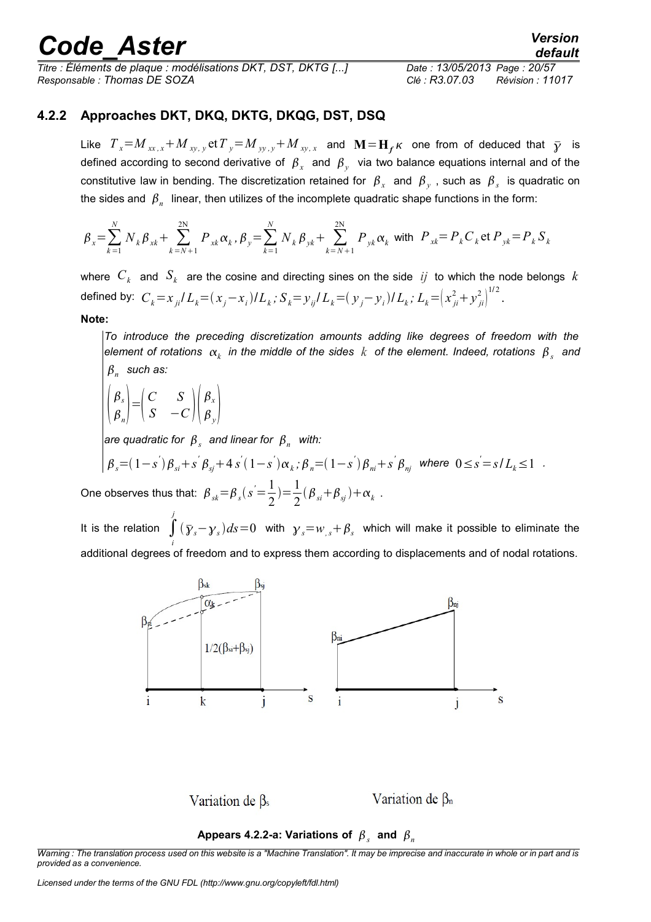*Titre : Éléments de plaque : modélisations DKT, DST, DKTG [...] Date : 13/05/2013 Page : 20/57 Responsable : Thomas DE SOZA Clé : R3.07.03 Révision : 11017*

#### **4.2.2 Approaches DKT, DKQ, DKTG, DKQG, DST, DSQ**

Like  ${T}_x{=}M_{xx,x}{+}M_{xy,y}$ et ${T}_y{=}M_{yy,y}{+}M_{xy,x}$  and  ${\bf M}{=} {\bf H}_f{\bf \kappa}$  one from of deduced that  $\bar{{\bf \mathit{y}}}$  is defined according to second derivative of  $\beta_{x}^{\,}$  and  $\beta_{y}^{\,}$  via two balance equations internal and of the constitutive law in bending. The discretization retained for  $\beta_x$  and  $\beta_y$  , such as  $\beta_s$  is quadratic on the sides and  $\,\beta_{_n}\,$  linear, then utilizes of the incomplete quadratic shape functions in the form:

$$
\beta_x = \sum_{k=1}^N N_k \beta_{xk} + \sum_{k=N+1}^{2N} P_{xk} \alpha_k, \beta_y = \sum_{k=1}^N N_k \beta_{yk} + \sum_{k=N+1}^{2N} P_{yk} \alpha_k \text{ with } P_{xk} = P_k C_k \text{ et } P_{yk} = P_k S_k
$$

where  $C_k$  and  $S_k$  are the cosine and directing sines on the side  $ij$  to which the node belongs  $k$ defined by:  $C_k \!=\! x_{ji}/L_k \!=\! (x_j \!-\! x_i)/L_k$ ;  $S_k \!=\! y_{ij}/L_k \!=\! (y_j \!-\! y_i)/L_k$ ;  $L_k \!=\! \!\left(x_{ji}^2 \!+\! y_{ji}^2\right)^2$  $\frac{1}{2}$ .

**Note:**

*To introduce the preceding discretization amounts adding like degrees of freedom with the*  $e$ lement of rotations  $\,\alpha_{_k}\,$  in the middle of the sides  $\,k\,$  of the element. Indeed, rotations  $\,\beta_{_S}\,$  and  $\beta_n$  such as:

$$
\begin{pmatrix} \beta_s \\ \beta_n \end{pmatrix} = \begin{pmatrix} C & S \\ S & -C \end{pmatrix} \begin{pmatrix} \beta_x \\ \beta_y \end{pmatrix}
$$

are quadratic for  $\ \beta_{_S} \ \ x$  and linear for  $\ \beta_{_n} \ \$  with:

$$
\beta_s = (1 - s^{\prime}) \beta_{si} + s^{\prime} \beta_{sj} + 4 s^{\prime} (1 - s^{\prime}) \alpha_k; \beta_n = (1 - s^{\prime}) \beta_{ni} + s^{\prime} \beta_{nj} \text{ where } 0 \le s^{\prime} = s/L_k \le 1.
$$

One observes thus that:  $\beta_{sk} = \beta_s (s = \frac{1}{2})$ 2  $) = \frac{1}{2}$  $\frac{1}{2}(\beta_{si}+\beta_{sj})+\alpha_{k}$ .

It is the relation ∫ *j i*  $\frac{1}{2}(\bar{y}_s - \gamma_s)ds = 0$  with  $\gamma_s = w_{,s} + \beta_s$  which will make it possible to eliminate the additional degrees of freedom and to express them according to displacements and of nodal rotations.



Variation de  $\beta$ 

Variation de  $\beta_n$ 



*Warning : The translation process used on this website is a "Machine Translation". It may be imprecise and inaccurate in whole or in part and is provided as a convenience.*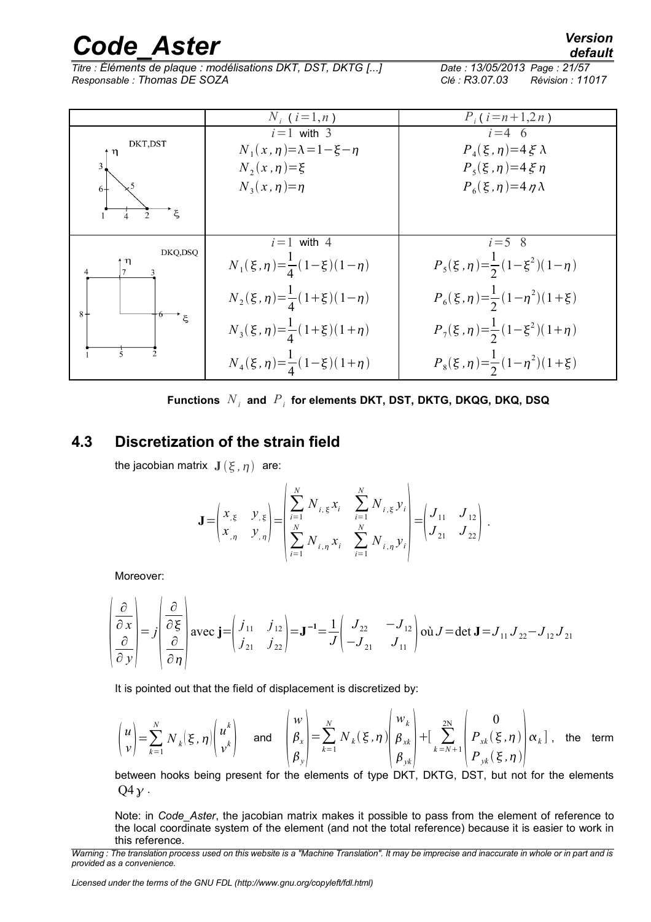*Titre : Éléments de plaque : modélisations DKT, DST, DKTG [...] Date : 13/05/2013 Page : 21/57 Responsable : Thomas DE SOZA Clé : R3.07.03 Révision : 11017*



<code>Functions  $\,N_i\,$  and  $\,P_i\,$  for elements DKT, DST, DKTG, DKQG, DKQ, DSQ</code>

### **4.3 Discretization of the strain field**

the jacobian matrix  $J(\xi, \eta)$  are:

$$
\mathbf{J} = \begin{pmatrix} x_{,\xi} & y_{,\xi} \\ x_{,\eta} & y_{,\eta} \end{pmatrix} = \begin{pmatrix} \sum_{i=1}^{N} N_{i,\xi} x_i & \sum_{i=1}^{N} N_{i,\xi} y_i \\ \sum_{i=1}^{N} N_{i,\eta} x_i & \sum_{i=1}^{N} N_{i,\eta} y_i \end{pmatrix} = \begin{pmatrix} J_{11} & J_{12} \\ J_{21} & J_{22} \end{pmatrix}.
$$

Moreover:

$$
\begin{pmatrix}\n\frac{\partial}{\partial x} \\
\frac{\partial}{\partial y}\n\end{pmatrix} = j \begin{pmatrix}\n\frac{\partial}{\partial \xi} \\
\frac{\partial}{\partial \eta}\n\end{pmatrix} \text{avec } \mathbf{j} = \begin{pmatrix}\nJ_{11} & j_{12} \\
j_{21} & j_{22}\n\end{pmatrix} = \mathbf{J}^{-1} = \frac{1}{J} \begin{pmatrix}\nJ_{22} & -J_{12} \\
-J_{21} & J_{11}\n\end{pmatrix} \text{ où } J = \det \mathbf{J} = J_{11} J_{22} - J_{12} J_{21}
$$

It is pointed out that the field of displacement is discretized by:

$$
\begin{pmatrix} u \\ v \end{pmatrix} = \sum_{k=1}^N N_k \left(\xi, \eta \right) \begin{pmatrix} u^k \\ v^k \end{pmatrix} \quad \text{and} \quad \begin{pmatrix} w \\ \beta_x \\ \beta_y \end{pmatrix} = \sum_{k=1}^N N_k \left(\xi, \eta \right) \begin{pmatrix} w_k \\ \beta_{xk} \\ \beta_{yk} \end{pmatrix} + \begin{bmatrix} 2N \\ \sum_{k=N+1}^{2N} \begin{pmatrix} 0 \\ P_{xk}(\xi, \eta) \\ P_{yk}(\xi, \eta) \end{pmatrix} \alpha_k \end{bmatrix}, \text{ the term}
$$

between hooks being present for the elements of type DKT, DKTG, DST, but not for the elements  $Q4y$ .

Note: in *Code Aster*, the jacobian matrix makes it possible to pass from the element of reference to the local coordinate system of the element (and not the total reference) because it is easier to work in this reference.

*Licensed under the terms of the GNU FDL (http://www.gnu.org/copyleft/fdl.html)*

*default*

*Warning : The translation process used on this website is a "Machine Translation". It may be imprecise and inaccurate in whole or in part and is provided as a convenience.*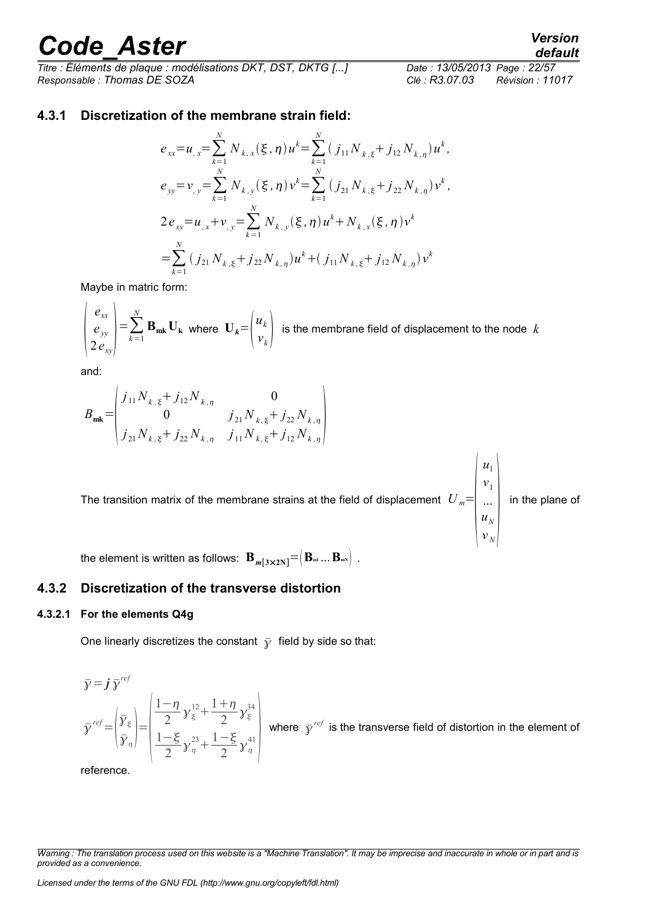*Titre : Éléments de plaque : modélisations DKT, DST, DKTG [...] Date : 13/05/2013 Page : 22/57 Responsable : Thomas DE SOZA Clé : R3.07.03 Révision : 11017*

*default*

#### **4.3.1 Discretization of the membrane strain field:**

$$
e_{xx} = u_{,x} = \sum_{k=1}^{N} N_{k,x}(\xi, \eta) u^{k} = \sum_{k=1}^{N} (j_{11} N_{k,\xi} + j_{12} N_{k,\eta}) u^{k},
$$
  
\n
$$
e_{yy} = v_{,y} = \sum_{k=1}^{N} N_{k,y}(\xi, \eta) v^{k} = \sum_{k=1}^{N} (j_{21} N_{k,\xi} + j_{22} N_{k,\eta}) v^{k},
$$
  
\n
$$
2 e_{xy} = u_{,x} + v_{,y} = \sum_{k=1}^{N} N_{k,y}(\xi, \eta) u^{k} + N_{k,x}(\xi, \eta) v^{k}
$$
  
\n
$$
= \sum_{k=1}^{N} (j_{21} N_{k,\xi} + j_{22} N_{k,\eta}) u^{k} + (j_{11} N_{k,\xi} + j_{12} N_{k,\eta}) v^{k}
$$

Maybe in matric form:

$$
\begin{pmatrix} e_{xx} \\ e_{yy} \\ 2e_{xy} \end{pmatrix} = \sum_{k=1}^{N} \mathbf{B}_{mk} \mathbf{U}_{k} \text{ where } \mathbf{U}_{k} = \begin{pmatrix} u_{k} \\ v_{k} \end{pmatrix} \text{ is the membrane field of displacement to the node } k
$$

and:

$$
B_{mk} = \begin{pmatrix} j_{11} N_{k,\xi} + j_{12} N_{k,\eta} & 0 \\ 0 & j_{21} N_{k,\xi} + j_{22} N_{k,\eta} \\ j_{21} N_{k,\xi} + j_{22} N_{k,\eta} & j_{11} N_{k,\xi} + j_{12} N_{k,\eta} \end{pmatrix}
$$

The transition matrix of the membrane strains at the field of displacement  $|U_{m}=$ 

 $\begin{bmatrix} u_N \\ v_N \end{bmatrix}$ in the plane of

 $\vert u_N \vert$ 

 $u_1$  $v<sub>1</sub>$ ...

the element is written as follows:  $\mathbf{B}_{m[3\times2\text{N}]}=[\mathbf{B}_{m1}... \mathbf{B}_{mN}]$ .

#### **4.3.2 Discretization of the transverse distortion**

#### **4.3.2.1 For the elements Q4g**

One linearly discretizes the constant  $\bar{v}$  field by side so that:

$$
\bar{y} = \mathbf{j} \ \bar{y}^{ref}
$$
\n
$$
\bar{y}^{ref} = \left( \frac{\bar{y}_{\xi}}{\bar{y}_{\eta}} \right) = \left( \frac{1 - \eta}{2} y_{\xi}^{12} + \frac{1 + \eta}{2} y_{\xi}^{34} \right)
$$
\n
$$
\frac{1 - \xi}{2} y_{\eta}^{23} + \frac{1 - \xi}{2} y_{\eta}^{41} \right)
$$
\nwhere

where  $\bar{y}^{\text{ref}}$  is the transverse field of distortion in the element of

reference.

*Warning : The translation process used on this website is a "Machine Translation". It may be imprecise and inaccurate in whole or in part and is provided as a convenience.*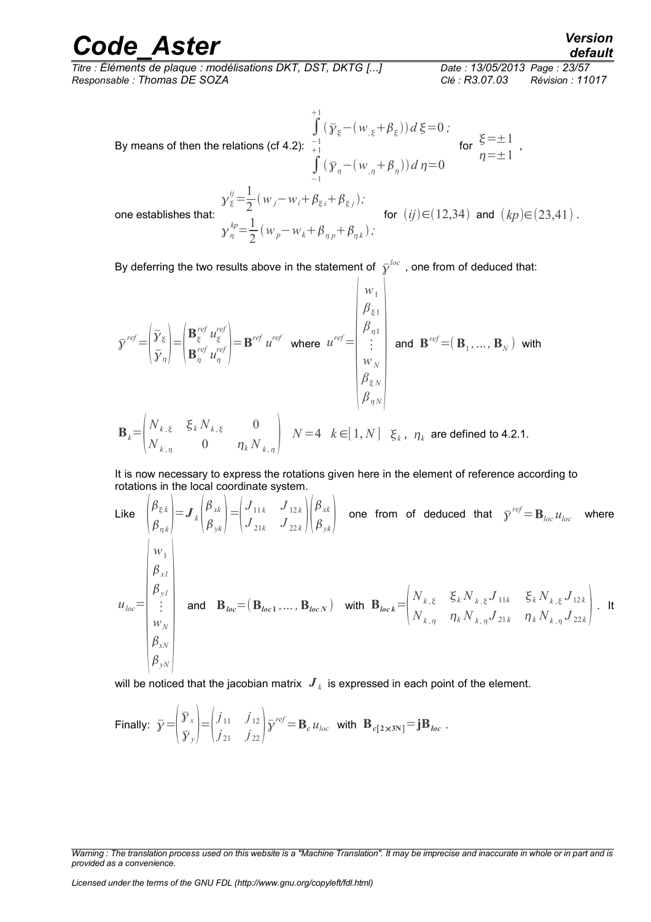# *Code\_Aster Version*<br>default<br>Titre : Éléments de plaque : modélisations DKT. DST. DKTG [...] Date : 13/05/2013 Page : 23/57

 $\overline{T}$ *Titre : Éléments de plaque : modélisations DKT, DST, DKTG [...] Responsable : Thomas DE SOZA Clé : R3.07.03 Révision : 11017*

$$
\int_{-1}^{+\infty} (\bar{y}_{\xi} - (w_{,\xi} + \beta_{\xi})) d\xi = 0 ;
$$
  
By means of then the relations (cf 4.2):  $\frac{1}{+1}$   

$$
\int_{-1}^{+\infty} (\bar{y}_{\eta} - (w_{,\eta} + \beta_{\eta})) d\eta = 0
$$
 for  $\xi = \pm 1$ ,  
 $y_{\xi}^{ij} = \frac{1}{2} (w_j - w_i + \beta_{\xi i} + \beta_{\xi j}) ;$   
one establishes that:  
 $y_{\eta}^{kp} = \frac{1}{2} (w_p - w_k + \beta_{\eta p} + \beta_{\eta k}) ;$  for  $(ij) \in (12,34)$  and  $(kp) \in (23,41)$ .

*w*1

By deferring the two results above in the statement of  $\,\overline{\jmath}^{\,loc}\,$  , one from of deduced that:

$$
\bar{\mathbf{y}}^{ref} = \begin{pmatrix} \bar{y}_{\xi} \\ \bar{y}_{\eta} \end{pmatrix} = \begin{pmatrix} \mathbf{B}_{\xi}^{ref} u_{\xi}^{ref} \\ \mathbf{B}_{\eta}^{ref} u_{\eta}^{ref} \end{pmatrix} = \mathbf{B}^{ref} u^{ref} \quad \text{where} \quad u^{ref} = \begin{pmatrix} w_{1} \\ \beta_{\xi 1} \\ \vdots \\ w_{N} \\ \beta_{\xi N} \\ \beta_{\eta N} \end{pmatrix} \quad \text{and} \quad \mathbf{B}^{ref} = (\mathbf{B}_{1}, \dots, \mathbf{B}_{N}) \quad \text{with}
$$
\n
$$
\mathbf{B}_{k} = \begin{pmatrix} N_{k, \xi} & \xi_{k} N_{k, \xi} & 0 \\ N_{k, \eta} & 0 & \eta_{k} N_{k, \eta} \end{pmatrix} \quad N = 4 \quad k \in [1, N] \quad \xi_{k}, \quad \eta_{k} \text{ are defined to 4.2.1.}
$$

It is now necessary to express the rotations given here in the element of reference according to rotations in the local coordinate system.

Like 
$$
\begin{pmatrix} \beta_{\xi k} \\ \beta_{\eta k} \end{pmatrix} = J_k \begin{pmatrix} \beta_{xk} \\ \beta_{yk} \end{pmatrix} = \begin{pmatrix} J_{11k} & J_{12k} \\ J_{21k} & J_{22k} \end{pmatrix} \begin{pmatrix} \beta_{xk} \\ \beta_{yk} \end{pmatrix}
$$
 one from of deduced that  $\bar{y}^{ref} = \mathbf{B}_{loc} u_{loc}$  where  $\begin{pmatrix} w_1 \\ \beta_{x1} \\ \vdots \\ w_N \\ w_N \end{pmatrix}$  and  $\mathbf{B}_{loc} = (\mathbf{B}_{loc1}, ..., \mathbf{B}_{locN})$  with  $\mathbf{B}_{lock} = \begin{pmatrix} N_{k, \xi} & \xi_k N_{k, \xi} J_{11k} & \xi_k N_{k, \xi} J_{12k} \\ N_{k, \eta} & \eta_k N_{k, \eta} J_{21k} & \eta_k N_{k, \eta} J_{22k} \end{pmatrix}$ . It  $\begin{pmatrix} \beta_{x1} \\ \beta_{y2} \\ \beta_{y3} \\ \beta_{y3} \end{pmatrix}$ 

will be noticed that the jacobian matrix  $\bm{J}_k$  is expressed in each point of the element.

Finally: 
$$
\overline{y} = \begin{pmatrix} \overline{y}_x \\ \overline{y}_y \end{pmatrix} = \begin{pmatrix} j_{11} & j_{12} \\ j_{21} & j_{22} \end{pmatrix} \overline{y}^{ref} = \mathbf{B}_c u_{loc}
$$
 with  $\mathbf{B}_{c[2 \times 3N]} = j\mathbf{B}_{loc}$ .

*Licensed under the terms of the GNU FDL (http://www.gnu.org/copyleft/fdl.html)*

*Warning : The translation process used on this website is a "Machine Translation". It may be imprecise and inaccurate in whole or in part and is provided as a convenience.*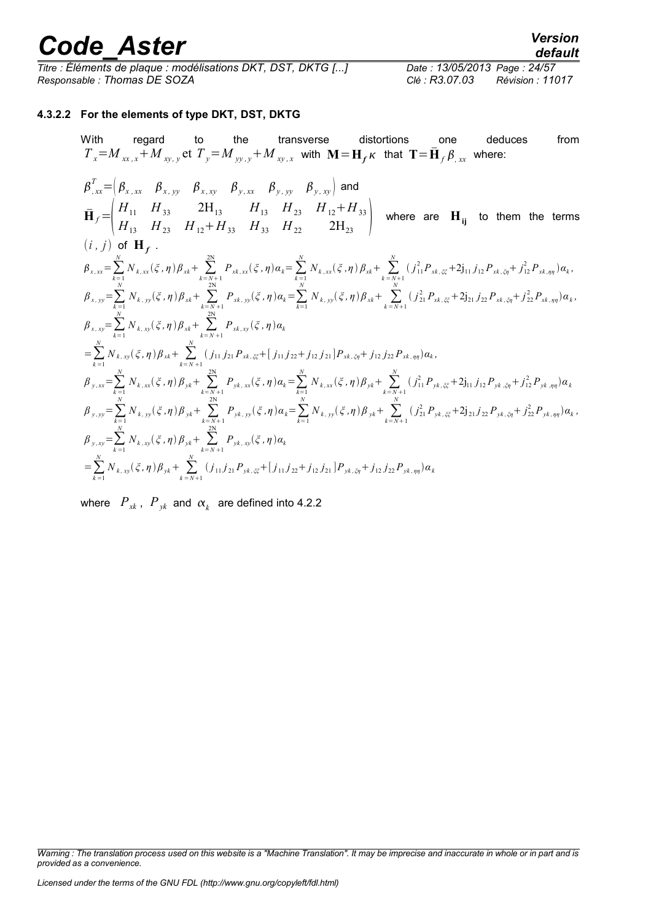*Titre : Éléments de plaque : modélisations DKT, DST, DKTG [...] Date : 13/05/2013 Page : 24/57 Responsable : Thomas DE SOZA Clé : R3.07.03 Révision : 11017*

#### **4.3.2.2 For the elements of type DKT, DST, DKTG**

With regard to the transverse distortions one deduces from  $T_{x} = M_{xx,x} + M_{xy,y}$ et  $T_{y} = M_{yy,y} + M_{xy,x}$  with  $\mathbf{M} = \mathbf{H}_f \kappa$  that  $\mathbf{T} = \bar{\mathbf{H}}_f \beta_{,xx}$  where:

$$
\beta_{,xx}^{T} = \begin{pmatrix} \beta_{x,xx} & \beta_{x,yy} & \beta_{x,xy} & \beta_{y,xx} & \beta_{y,yy} & \beta_{y,xy} \end{pmatrix} \text{ and}
$$
\n
$$
\overline{H}_{f} = \begin{pmatrix} H_{11} & H_{33} & 2H_{13} & H_{13} & H_{23} & H_{12} + H_{33} \\ H_{13} & H_{23} & H_{12} + H_{33} & H_{22} & 2H_{23} \end{pmatrix} \text{ where are } \mathbf{H}_{ij} \text{ to them the terms}
$$
\n
$$
(i, j) \text{ of } \mathbf{H}_{f}.
$$
\n
$$
\beta_{x,xx} = \sum_{k=1}^{N} N_{k,xx}(\xi, \eta) \beta_{x} + \sum_{k=N+1}^{2N} P_{x,k,xx}(\xi, \eta) \alpha_{k} = \sum_{k=1}^{N} N_{k,xx}(\xi, \eta) \beta_{x} + \sum_{k=N+1}^{N} (j_{11}^{2} P_{x,k,xx} + 2j_{11}j_{12} P_{x,k,xy} + j_{12}^{2} P_{x,k,yy}) \alpha_{k},
$$
\n
$$
\beta_{x,yy} = \sum_{k=1}^{N} N_{k,yy}(\xi, \eta) \beta_{x} + \sum_{k=N+1}^{2N} P_{x,k,yy}(\xi, \eta) \alpha_{k} = \sum_{k=1}^{N} N_{k,yy}(\xi, \eta) \beta_{x} + \sum_{k=N+1}^{2N} (j_{21}^{2} P_{x,k,xy} + 2j_{21}j_{22} P_{x,k,zy} + j_{22}^{2} P_{x,k,yy}) \alpha_{k},
$$
\n
$$
\beta_{x,xy} = \sum_{k=1}^{N} N_{k,xy}(\xi, \eta) \beta_{x} + \sum_{k=N+1}^{2N} P_{x,k,xy}(\xi, \eta) \alpha_{k}
$$
\n
$$
= \sum_{k=1}^{N} N_{k,xy}(\xi, \eta) \beta_{x} + \sum_{k=N+1}^{2N} (j_{11}j_{21} P_{x,k,zx} + [j_{11}j_{22} + j_{12}j_{21}] P_{x,k,zy} + j_{12}j_{22
$$

where  $\left| P_{\mathrm{xx}} \right\rangle$ ,  $\left| P_{\mathrm{yy}} \right\rangle$  and  $\left| \alpha \right\rangle$  are defined into 4.2.2

*Warning : The translation process used on this website is a "Machine Translation". It may be imprecise and inaccurate in whole or in part and is provided as a convenience.*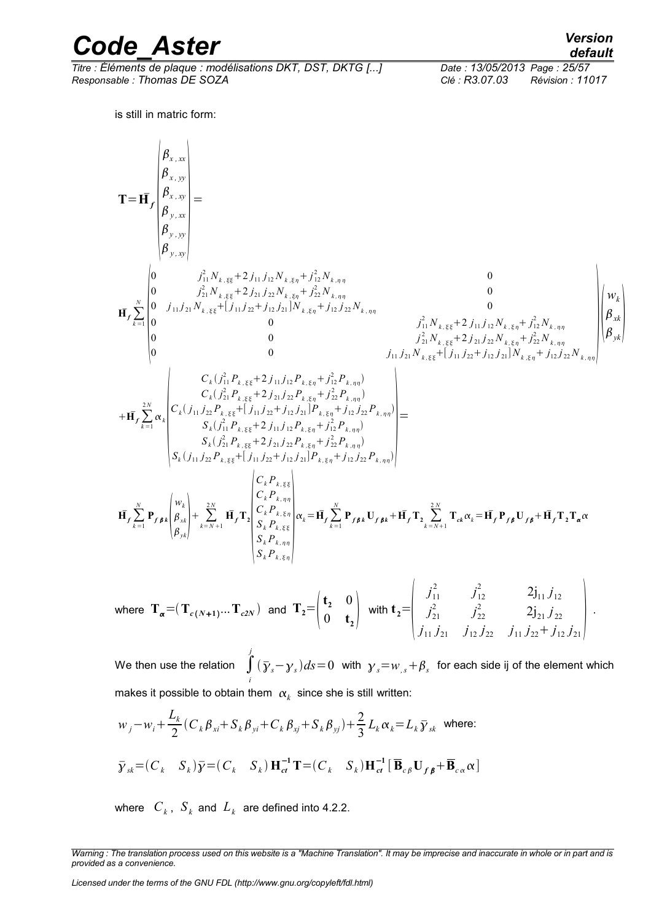*Code\_Aster Version Titre : Éléments de plaque : modélisations DKT, DST, DKTG [...] Date : 13/05/2013 Page : 25/57 Responsable : Thomas DE SOZA Clé : R3.07.03 Révision : 11017*

is still in matric form:

*default*

 $T = \bar{H}_f$  $|\beta_{y,yy}|$  $\beta_{x,xx}$  $\beta_{x, yy}$  $\beta_{\rm x \, ,\, xy}$  $\beta_{y,xx}$  $\begin{bmatrix} \beta_{y \, , \, yy} \ \beta_{y \, , \, xy} \end{bmatrix}$ =  $\mathbf{H}_f \sum_{k=1}^N$  $\vert 0 \vert$ 0  $j_{11}^2 N_{k, \text{gg}} + 2 j_{11} j_{12} N_{k, \text{g}, \eta} + j_{12}^2 N_{k, \eta, \eta}$  0 0  $j_{21}^2 N_{k,\xi\xi} + 2 j_{21} j_{22} N_{k,\xi\eta} + j_{22}^2 N_{k,\eta\eta}$  0 0  $j_{11}j_{21}N_{k,\xi\xi}+[j_{11}j_{22}+j_{12}j_{21}]N_{k,\xi\eta}+j_{12}j_{22}N_{k,\eta\eta}$  0 0 *j*<sub>11</sub>  $N_{k, \xi\xi} + 2 j_{11} j_{12} N_{k, \xi\eta} + j_{12}^2 N_{k, \eta\eta}$ 0  $j_{21}^2 N_{k,\xi\xi} + 2 j_{21} j_{22} N_{k,\xi\eta} + j_{22}^2 N_{k,\eta\eta}$ 0<br>
0<br>
0<br>
0<br> *j*<sub>11</sub> *j*<sub>21</sub> *N*<sub>*k*,  $\xi_{\xi}$ </sub> + 2 *j*<sub>21</sub> *j*<sub>22</sub> *N*<sub>*k*,  $\xi_{\eta}$ </sub> + *j*<sub>22</sub> *N*<sub>*k*,  $\eta_{\eta}$ </sub><br>
0<br> *j*<sub>11</sub> *j*<sub>21</sub> *N*<sub>*k*,  $\xi_{\xi}$ </sub> + [*j*<sub>11</sub> *j*<sub>22</sub> + *j*<sub>12</sub> *j*<sub>22</sub> *N*<sub>*k*,  $\xi_{\eta}$ </sub> + *j*<sub>12</sub>*j wk*  $\beta_{x_k}$  $\beta_{yk}^{\text{max}}$  $+ \bar{H}_f \sum_{k=1}^{2N}$  $\alpha_{k}$  $\mathcal{L}$  $C_k(j_{11}^2 P_{k,55} + 2 j_{11} j_{12} P_{k,57} + j_{12}^2 P_{k,77}$  $C_k$   $(j_{21}^2 P_{k,\xi\xi} + 2 j_{21} j_{22} P_{k,\xi\eta} + j_{22}^2 P_{k,\eta\eta}$  $C_k(j_{11}j_{22}P_{k,\xi\xi} + [j_{11}j_{22} + j_{12}j_{21}]P_{k,\xi\eta} + j_{12}j_{22}P_{k,\eta\eta}$  $S_k(j_{11}^2 P_{k, \xi\xi} + 2 j_{11} j_{12} P_{k, \xi\eta} + j_{12}^2 P_{k, \eta\eta})$  $S_k(j_{21}^2 P_{k, \xi\xi} + 2 j_{21} j_{22} P_{k, \xi\eta} + j_{22}^2 P_{k, \eta\eta})$  $S_k(j_{21}^2 P_{k, \text{gg}} + 2 j_{21} j_{22} P_{k, \text{g}} + j_{22}^2 P_{k, \eta}$ <br>  $S_k(j_{11} j_{22} P_{k, \text{g}} + [j_{11} j_{22} + j_{12} j_{21}] P_{k, \text{g}} + j_{12} j_{22} P_{k, \eta}$ =  $\bar{\mathbf{H}_f} \sum_{k=1}$ *N*  $\mathbf{P}_{f\beta k}$   $\beta_{x}$ *wk*  $\left(\begin{matrix} \boldsymbol{\beta}_{xk} \ \boldsymbol{\beta}_{yk} \end{matrix}\right)^+$ <sub>k</sub>  $+\sum_{k=N+1}$  $\sum^{2N}$  **H**<sub>f</sub>T<sub>2</sub>  $S_k P_k$  $C_k P_{k, \xi \xi}$  $C_k P_{k, \eta \eta}$  $C_k P_{k, \xi \eta}$  $S_k P_{k, \xi \xi}$  $S_k P_{k, \eta \eta}$ <br> $S_k P_{k, \xi \eta}$  $\alpha_k = \bar{\mathbf{H}}_f \sum_{k=1}^k$  $\sum_{k=1}^{N} P_{f \beta k} U_{f \beta k} + \bar{H}_f T_2 \sum_{k=N+1}^{2N}$  $\sum_{\alpha}^{2N}$  **T**<sub>ck</sub>  $\alpha_k = \mathbf{H}_f \mathbf{P}_{f\beta} \mathbf{U}_{f\beta} + \mathbf{H}_f \mathbf{T}_2 \mathbf{T}_{\alpha} \alpha$ 

where  $\mathbf{T}_{\boldsymbol{\alpha}} = (\mathbf{T}_{c(N+1)} ... \mathbf{T}_{c2N})$  and  $\mathbf{T}_{2} = \begin{pmatrix} \mathbf{t}_{2} & 0 \ 0 & \mathbf{t}_{2} \end{pmatrix}$  $\begin{bmatrix} \mathbf{t}_2 & \mathbf{0} \\ \mathbf{0} & \mathbf{t}_2 \end{bmatrix}$  with  $\mathbf{t}_2 = \begin{bmatrix} \mathbf{0} & \mathbf{0} \\ \mathbf{0} & \mathbf{0} \end{bmatrix}$  $j_{11}^2$  $\frac{2}{11}$   $j_{12}^2$  $2j_{11} j_{12}$   $j_{11} j_{12}$  $j_{21}^2$  $\frac{2}{21}$   $j_{22}^2$  $2j_{21} j_{22}$  $j_{11} j_{21}$   $j_{12} j_{22}$   $j_{11} j_{22} + j_{12} j_{21}$ .

We then use the relation  $$\int$$ *i j*  $\left(\bar{\gamma}_s\!-\!\gamma_s\right)\!d\!s\!=\!0$  with  ${\gamma}_s\!=\!w_{,s}\!+\!\beta_s$  for each side ij of the element which makes it possible to obtain them  $\vert\alpha_k\vert$  since she is still written:

$$
w_j - w_i + \frac{L_k}{2} (C_k \beta_{xi} + S_k \beta_{yi} + C_k \beta_{xj} + S_k \beta_{yj}) + \frac{2}{3} L_k \alpha_k = L_k \overline{y}_{sk} \text{ where:}
$$
  

$$
\overline{y}_{sk} = (C_k - S_k) \overline{y} = (C_k - S_k) \mathbf{H}_{ct}^{-1} \mathbf{T} = (C_k - S_k) \mathbf{H}_{ct}^{-1} [\overline{\mathbf{B}}_{c\beta} \mathbf{U}_{f\beta} + \overline{\mathbf{B}}_{c\alpha} \alpha]
$$

where  $\left|C_k\right|$ ,  $\left|S_k\right|$  and  $\left|L_k\right|$  are defined into 4.2.2.

*Warning : The translation process used on this website is a "Machine Translation". It may be imprecise and inaccurate in whole or in part and is provided as a convenience.*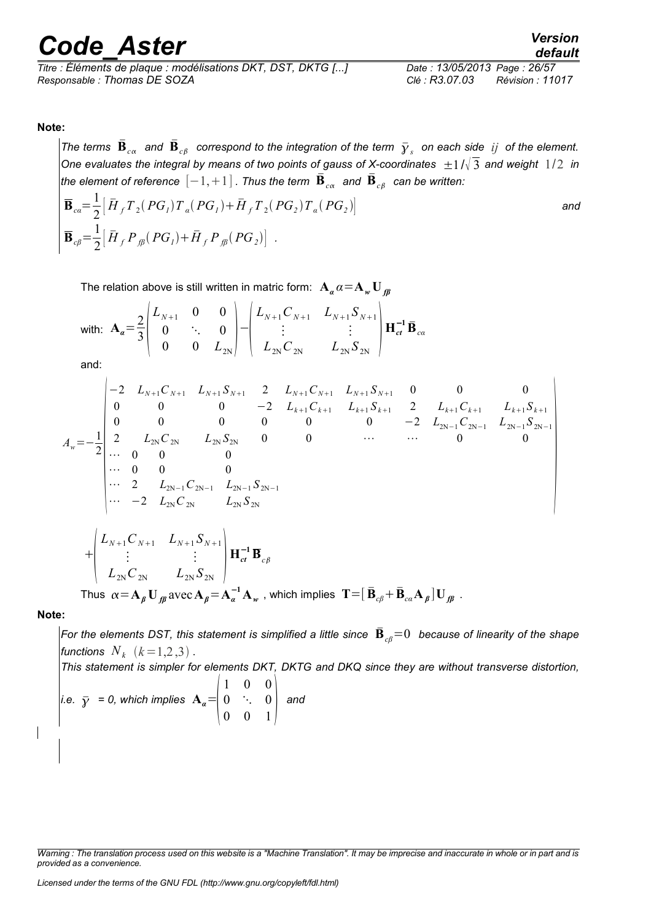*Titre : Éléments de plaque : modélisations DKT, DST, DKTG [...] Date : 13/05/2013 Page : 26/57 Responsable : Thomas DE SOZA Clé : R3.07.03 Révision : 11017*

**Note:** 

 $\bar{B}_{c}$  *and*  $\bar{B}_{c\beta}$  *correspond to the integration of the term*  $\bar{\gamma}_s$  *on each side*  $\it ij$  *of the element.* One evaluates the integral by means of two points of gauss of X-coordinates  $\pm 1/\sqrt{3}$  and weight  $1/2$  in *the element of reference*  $[-1,+1]$  *. Thus the term*  $\bar{\textbf{B}}_{c\alpha}$  *and*  $\bar{\textbf{B}}_{c\beta}$  *can be written:* 

$$
\overline{\mathbf{B}}_{ca} = \frac{1}{2} \left[ \overline{H}_f T_2 (PG_I) T_a (PG_I) + \overline{H}_f T_2 (PG_2) T_a (PG_2) \right]
$$
\nand\n
$$
\overline{\mathbf{B}}_{cg} = \frac{1}{2} \left[ \overline{H}_f P_{f\beta} (PG_I) + \overline{H}_f P_{f\beta} (PG_2) \right].
$$

The relation above is still written in matric form:  $A_{\alpha} \alpha = A_{\alpha} U_{\beta\beta}$ 

with: 
$$
\mathbf{A}_{\alpha} = \frac{2}{3} \begin{pmatrix} L_{N+1} & 0 & 0 \\ 0 & \ddots & 0 \\ 0 & 0 & L_{2N} \end{pmatrix} - \begin{pmatrix} L_{N+1} C_{N+1} & L_{N+1} S_{N+1} \\ \vdots & \vdots \\ L_{2N} C_{2N} & L_{2N} S_{2N} \end{pmatrix} \mathbf{H}_{ct}^{-1} \mathbf{B}_{ca}
$$

and:

$$
A_{w} = -\frac{1}{2} \begin{vmatrix} -2 & L_{N+1}C_{N+1} & L_{N+1}S_{N+1} & 2 & L_{N+1}C_{N+1} & L_{N+1}S_{N+1} & 0 & 0 & 0 \\ 0 & 0 & 0 & -2 & L_{k+1}C_{k+1} & L_{k+1}S_{k+1} & 2 & L_{k+1}C_{k+1} & L_{k+1}S_{k+1} \\ 0 & 0 & 0 & 0 & 0 & 0 & -2 & L_{2N-1}C_{2N-1} & L_{2N-1}S_{2N-1} \\ \vdots & \vdots & \vdots & \vdots & \vdots & \vdots & \vdots & \vdots & \vdots & \vdots & \vdots & \vdots & \vdots & \vdots & \vdots & \vdots & \vdots & \vdots & \vdots & \vdots & \vdots & \vdots & \vdots & \vdots & \vdots & \vdots & \vdots & \vdots & \vdots & \vdots & \vdots & \vdots & \vdots & \vdots & \vdots & \vdots & \vdots & \vdots & \vdots & \vdots & \vdots & \vdots & \vdots & \vdots & \vdots & \vdots & \vdots & \vdots & \vdots & \vdots & \vdots & \vdots & \vdots & \vdots & \vdots & \vdots & \vdots & \vdots & \vdots & \vdots & \vdots & \vdots & \vdots & \vdots & \vdots & \vdots & \vdots & \vdots & \vdots & \vdots & \vdots & \vdots & \vdots & \vdots & \vdots & \vdots & \vdots & \vdots & \vdots & \vdots & \vdots & \vdots & \vdots & \vdots & \vdots
$$

$$
+ \begin{pmatrix} L_{N+1} C_{N+1} & L_{N+1} S_{N+1} \\ \vdots & \vdots \\ L_{2N} C_{2N} & L_{2N} S_{2N} \end{pmatrix} \mathbf{H}_{ct}^{-1} \overline{\mathbf{B}}_{c\beta}
$$

Thus  $\alpha = \mathbf{A}_\beta \, \mathbf{U}_{f\!\!f\!\!f} \, \text{avec}\, \mathbf{A}_\beta = \mathbf{A}_\alpha^{-1} \, \mathbf{A}_\nu$  , which implies  $\mathbf{T} \!=\! [\, \bar{\mathbf{B}}_{c\beta} \!+\! \bar{\mathbf{B}}_{c\alpha} \mathbf{A}_\beta \,] \mathbf{U}_{f\!\!f\!\!f\!\!f} \,$  .

#### **Note:**

*For the elements DST, this statement is simplified a little since*  $\bar{\bf B}_{cB}=0$  *because of linearity of the shape functions*  $N_k$   $(k=1,2,3)$ .

*This statement is simpler for elements DKT, DKTG and DKQ since they are without transverse distortion,*

*i.e.* 
$$
\bar{y} = 0
$$
, which implies  $\mathbf{A}_{\alpha} = \begin{pmatrix} 1 & 0 & 0 \\ 0 & \ddots & 0 \\ 0 & 0 & 1 \end{pmatrix}$  and

*Warning : The translation process used on this website is a "Machine Translation". It may be imprecise and inaccurate in whole or in part and is provided as a convenience.*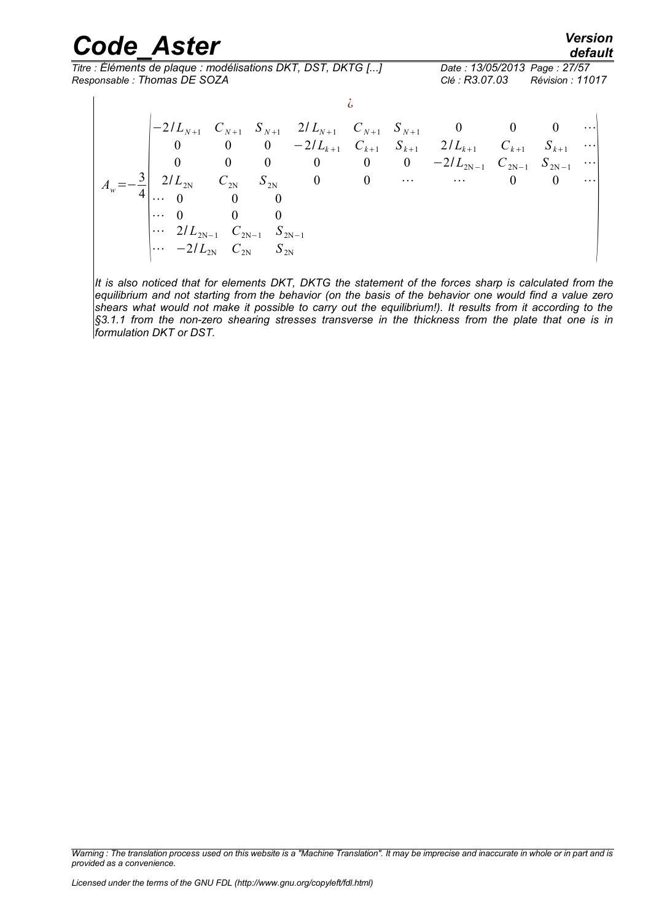|  | <b>Code Aster</b>           |                |                  |                                                                    |                       |          |                                                              |                  | Version<br>default |
|--|-----------------------------|----------------|------------------|--------------------------------------------------------------------|-----------------------|----------|--------------------------------------------------------------|------------------|--------------------|
|  |                             |                |                  | Titre : Éléments de plaque : modélisations DKT, DST, DKTG []       |                       |          | Date: 13/05/2013 Page: 27/57                                 |                  |                    |
|  | Responsable: Thomas DE SOZA |                |                  |                                                                    |                       |          | Clé: R3.07.03                                                | Révision : 11017 |                    |
|  |                             |                |                  |                                                                    |                       |          |                                                              |                  |                    |
|  |                             |                |                  | $-2/L_{N+1}$ $C_{N+1}$ $S_{N+1}$ $2/L_{N+1}$ $C_{N+1}$ $S_{N+1}$ 0 |                       |          |                                                              |                  |                    |
|  |                             |                |                  |                                                                    |                       |          | 0 0 0 $-2/L_{k+1}$ $C_{k+1}$ $S_{k+1}$ $2/L_{k+1}$ $C_{k+1}$ | $S_{k+1}$        | $\cdots$           |
|  |                             | $\overline{0}$ | $\boldsymbol{0}$ |                                                                    | $0 \qquad 0 \qquad 0$ |          | $-2/L_{2N-1}$ $C_{2N-1}$ $S_{2N-1}$                          |                  |                    |
|  |                             | $C_{2N}$       |                  | $\overline{0}$                                                     | $\overline{0}$        | $\cdots$ | $\cdots$                                                     | $\theta$         | $\cdots$           |
|  |                             |                |                  |                                                                    |                       |          |                                                              |                  |                    |

*It is also noticed that for elements DKT, DKTG the statement of the forces sharp is calculated from the equilibrium and not starting from the behavior (on the basis of the behavior one would find a value zero shears what would not make it possible to carry out the equilibrium!). It results from it according to the §3.1.1 from the non-zero shearing stresses transverse in the thickness from the plate that one is in*

…  $2/L_{2N-1}$  *C*<sub>2N−1</sub> *S*<sub>2N−1</sub><br>
… −2/ *L*<sub>2N</sub> *C*<sub>2N</sub> *S*<sub>2N</sub>

 $\begin{bmatrix} \dots & 2l \end{bmatrix}$ 

*formulation DKT or DST.*

 $\cdots$  0 0 0

*Warning : The translation process used on this website is a "Machine Translation". It may be imprecise and inaccurate in whole or in part and is provided as a convenience.*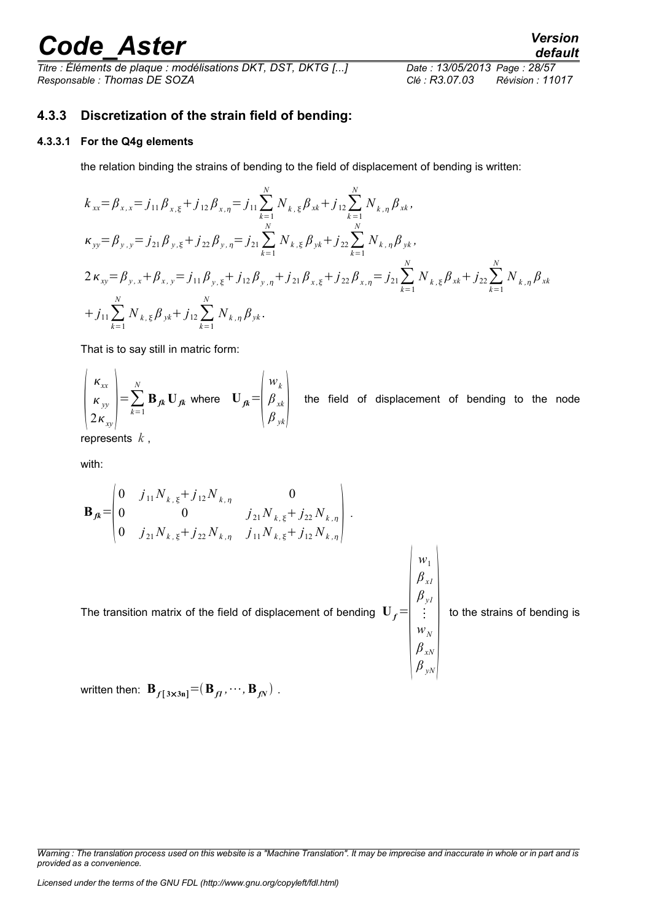# *Code\_Aster Version*<br>*Titre : Éléments de plaque : modélisations DKT. DST. DKTG [...] Date : 13/05/2013 Page : 28/57*

 $T$ itre : Éléments de plaque : modélisations DKT, DST, DKTG [...] *Responsable : Thomas DE SOZA Clé : R3.07.03 Révision : 11017*

#### **4.3.3 Discretization of the strain field of bending:**

#### **4.3.3.1 For the Q4g elements**

the relation binding the strains of bending to the field of displacement of bending is written:

$$
k_{xx} = \beta_{x,x} = j_{11} \beta_{x,\xi} + j_{12} \beta_{x,\eta} = j_{11} \sum_{k=1}^{N} N_{k,\xi} \beta_{xk} + j_{12} \sum_{k=1}^{N} N_{k,\eta} \beta_{xk},
$$
  
\n
$$
\kappa_{yy} = \beta_{y,y} = j_{21} \beta_{y,\xi} + j_{22} \beta_{y,\eta} = j_{21} \sum_{k=1}^{N} N_{k,\xi} \beta_{yk} + j_{22} \sum_{k=1}^{N} N_{k,\eta} \beta_{yk},
$$
  
\n
$$
2 \kappa_{xy} = \beta_{y,x} + \beta_{x,y} = j_{11} \beta_{y,\xi} + j_{12} \beta_{y,\eta} + j_{21} \beta_{x,\xi} + j_{22} \beta_{x,\eta} = j_{21} \sum_{k=1}^{N} N_{k,\xi} \beta_{xk} + j_{22} \sum_{k=1}^{N} N_{k,\eta} \beta_{xk}
$$
  
\n
$$
+ j_{11} \sum_{k=1}^{N} N_{k,\xi} \beta_{yk} + j_{12} \sum_{k=1}^{N} N_{k,\eta} \beta_{yk}.
$$

That is to say still in matric form:

$$
\begin{pmatrix} \kappa_{xx} \\ \kappa_{yy} \\ 2\kappa_{xy} \end{pmatrix} = \sum_{k=1}^{N} \mathbf{B}_{jk} \mathbf{U}_{jk} \text{ where } \mathbf{U}_{jk} = \begin{pmatrix} w_k \\ \beta_{xk} \\ \beta_{yk} \end{pmatrix} \text{ the field of displacement of bending to the node}
$$

represents *k* ,

with:

$$
\mathbf{B}_{jk} = \begin{pmatrix} 0 & j_{11}N_{k,\xi} + j_{12}N_{k,\eta} & 0 \\ 0 & 0 & j_{21}N_{k,\xi} + j_{22}N_{k,\eta} \\ 0 & j_{21}N_{k,\xi} + j_{22}N_{k,\eta} & j_{11}N_{k,\xi} + j_{12}N_{k,\eta} \end{pmatrix}.
$$
\nThe transition matrix of the field of displacement of bending 
$$
\mathbf{U}_{f} = \begin{pmatrix} w_{1} \\ \beta_{x1} \\ \beta_{y1} \\ \vdots \\ \beta_{yN} \\ \beta_{xN} \\ \beta_{yN} \\ \beta_{yN} \end{pmatrix}
$$
 to the strains of bending is

written then:  $\mathbf{B}_{f[3\times3n]} = (\mathbf{B}_{f1}, \cdots, \mathbf{B}_{fN})$ .

*Licensed under the terms of the GNU FDL (http://www.gnu.org/copyleft/fdl.html)*

*Warning : The translation process used on this website is a "Machine Translation". It may be imprecise and inaccurate in whole or in part and is provided as a convenience.*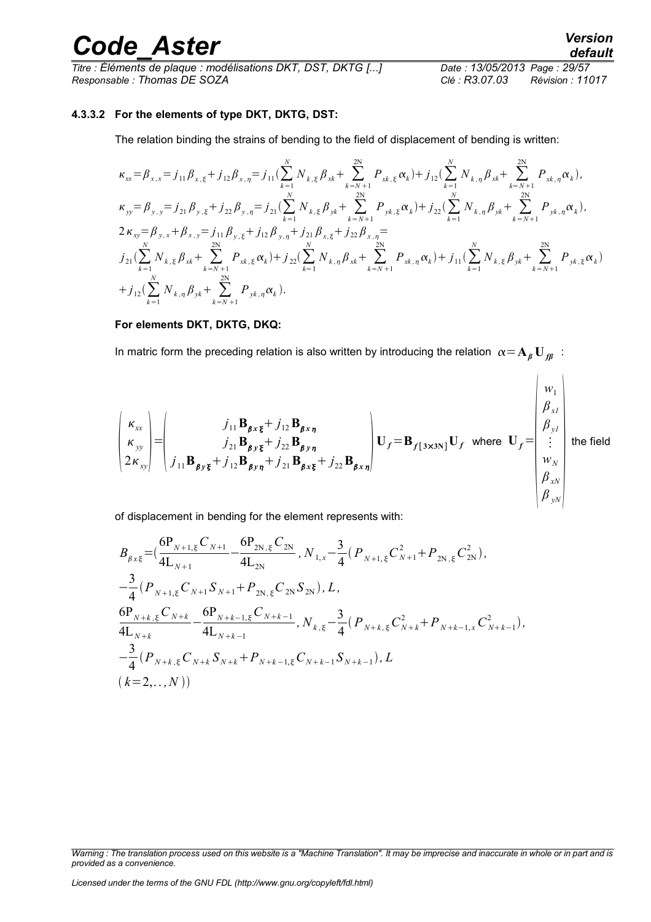*Titre : Éléments de plaque : modélisations DKT, DST, DKTG [...] Date : 13/05/2013 Page : 29/57 Responsable : Thomas DE SOZA Clé : R3.07.03 Révision : 11017*

 $\overline{1}$ 

#### **4.3.3.2 For the elements of type DKT, DKTG, DST:**

The relation binding the strains of bending to the field of displacement of bending is written:

$$
\kappa_{xx} = \beta_{x,x} = j_{11}\beta_{x,\xi} + j_{12}\beta_{x,\eta} = j_{11}(\sum_{k=1}^{N} N_{k,\xi}\beta_{xk} + \sum_{k=N+1}^{2N} P_{xk,\xi}\alpha_{k}) + j_{12}(\sum_{k=1}^{N} N_{k,\eta}\beta_{xk} + \sum_{k=N+1}^{2N} P_{xk,\eta}\alpha_{k}),
$$
  
\n
$$
\kappa_{yy} = \beta_{y,y} = j_{21}\beta_{y,\xi} + j_{22}\beta_{y,\eta} = j_{21}(\sum_{k=1}^{N} N_{k,\xi}\beta_{yk} + \sum_{k=N+1}^{2N} P_{yk,\xi}\alpha_{k}) + j_{22}(\sum_{k=1}^{N} N_{k,\eta}\beta_{yk} + \sum_{k=N+1}^{2N} P_{yk,\eta}\alpha_{k}),
$$
  
\n
$$
2\kappa_{xy} = \beta_{y,x} + \beta_{x,y} = j_{11}\beta_{y,\xi} + j_{12}\beta_{y,\eta} + j_{21}\beta_{x,\xi} + j_{22}\beta_{x,\eta} =
$$
  
\n
$$
j_{21}(\sum_{k=1}^{N} N_{k,\xi}\beta_{xk} + \sum_{k=N+1}^{2N} P_{xk,\xi}\alpha_{k}) + j_{22}(\sum_{k=1}^{N} N_{k,\eta}\beta_{xk} + \sum_{k=N+1}^{2N} P_{xk,\eta}\alpha_{k}) + j_{11}(\sum_{k=1}^{N} N_{k,\xi}\beta_{yk} + \sum_{k=N+1}^{2N} P_{yk,\xi}\alpha_{k})
$$
  
\n
$$
+ j_{12}(\sum_{k=1}^{N} N_{k,\eta}\beta_{yk} + \sum_{k=N+1}^{2N} P_{yk,\eta}\alpha_{k}).
$$

#### **For elements DKT, DKTG, DKQ:**

In matric form the preceding relation is also written by introducing the relation  $\alpha = A_{\beta} U_{\beta \beta}$ :

$$
\begin{pmatrix}\n\kappa_{xx} \\
\kappa_{yy} \\
2\kappa_{xy}\n\end{pmatrix} = \begin{pmatrix}\nj_{11} \mathbf{B}_{\beta x} \xi + j_{12} \mathbf{B}_{\beta x \eta} \\
j_{21} \mathbf{B}_{\beta y} \xi + j_{22} \mathbf{B}_{\beta y \eta} \\
j_{11} \mathbf{B}_{\beta y} \xi + j_{12} \mathbf{B}_{\beta y \eta} + j_{21} \mathbf{B}_{\beta x} \xi + j_{22} \mathbf{B}_{\beta x \eta}\n\end{pmatrix} \mathbf{U}_f = \mathbf{B}_{f[3 \times 3 \mathbb{N}]} \mathbf{U}_f \text{ where } \mathbf{U}_f = \begin{pmatrix}\nw_1 \\
\beta_{y1} \\
\vdots \\
w_N \\
\beta_{yN} \\
\beta_{xN} \\
\beta_{yN}\n\end{pmatrix}
$$

of displacement in bending for the element represents with:

$$
B_{\beta x\xi} = \left(\frac{6P_{N+1,\xi}C_{N+1}}{4L_{N+1}} - \frac{6P_{2N,\xi}C_{2N}}{4L_{2N}}, N_{1,x} - \frac{3}{4}\left(P_{N+1,\xi}C_{N+1}^2 + P_{2N,\xi}C_{2N}^2\right),
$$
  
\n
$$
-\frac{3}{4}\left(P_{N+1,\xi}C_{N+1}S_{N+1} + P_{2N,\xi}C_{2N}S_{2N}\right), L,
$$
  
\n
$$
\frac{6P_{N+k,\xi}C_{N+k}}{4L_{N+k}} - \frac{6P_{N+k-1,\xi}C_{N+k-1}}{4L_{N+k-1}}, N_{k,\xi} - \frac{3}{4}\left(P_{N+k,\xi}C_{N+k}^2 + P_{N+k-1,x}C_{N+k-1}^2\right),
$$
  
\n
$$
-\frac{3}{4}\left(P_{N+k,\xi}C_{N+k}S_{N+k} + P_{N+k-1,\xi}C_{N+k-1}S_{N+k-1}\right), L
$$
  
\n
$$
(k=2,...,N)
$$

*Warning : The translation process used on this website is a "Machine Translation". It may be imprecise and inaccurate in whole or in part and is provided as a convenience.*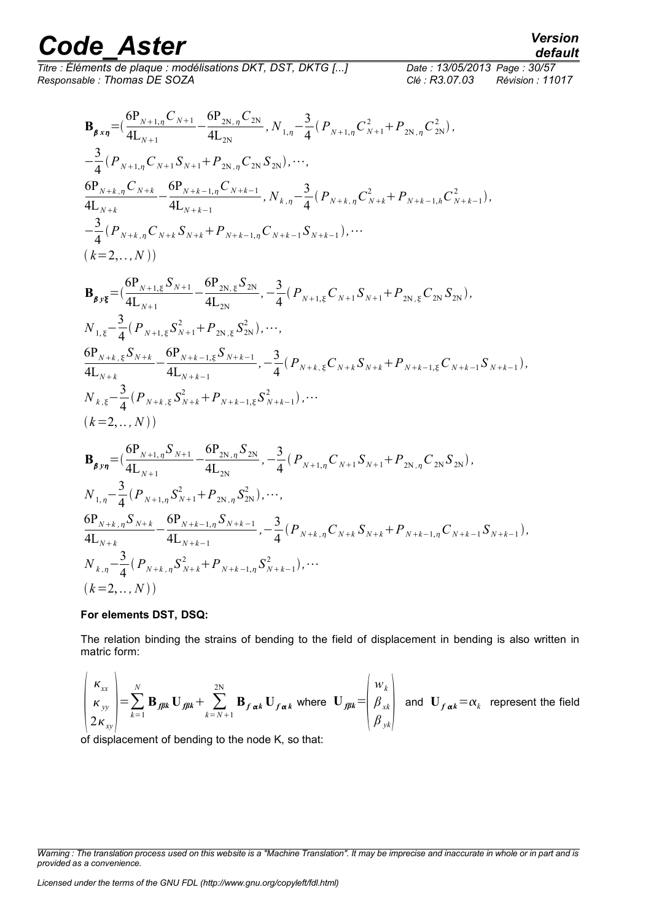# *Code\_Aster Version*<br>Titre : Éléments de plaque : modélisations DKT. DST. DKTG [...] Date : 13/05/2013 Page : 30/57

*Titre : Éléments de plaque : modélisations DKT, DST, DKTG [...] Responsable : Thomas DE SOZA Clé : R3.07.03 Révision : 11017*

$$
B_{\beta x \eta} = \left(\frac{6P_{N+1,\eta}C_{N+1}}{4L_{N+1}} - \frac{6P_{2N,\eta}C_{2N}}{4L_{2N}}, N_{1,\eta} - \frac{3}{4}(P_{N+1,\eta}C_{N+1}^2 + P_{2N,\eta}C_{2N}^2),\right.\\ \left. - \frac{3}{4}(P_{N+1,\eta}C_{N+1}S_{N+1} + P_{2N,\eta}C_{2N}S_{2N}), \cdots,\\ \frac{6P_{N+k,\eta}C_{N+k}}{4L_{N+k}} - \frac{6P_{N+k-1,\eta}C_{N+k-1}}{4L_{N+k-1}}, N_{k,\eta} - \frac{3}{4}(P_{N+k,\eta}C_{N+k}^2 + P_{N+k-1,\eta}C_{N+k-1}^2),\\ -\frac{3}{4}(P_{N+k,\eta}C_{N+k}S_{N+k} + P_{N+k-1,\eta}C_{N+k-1}S_{N+k-1}), \cdots\\ (k=2,\ldots,N))\right)
$$
\n
$$
B_{\beta y\xi} = \left(\frac{6P_{N+1,\xi}S_{N+1}}{4L_{2N}} - \frac{6P_{2N,\xi}S_{2N}}{4L_{2N}}, -\frac{3}{4}(P_{N+1,\xi}C_{N+1}S_{N+1} + P_{2N,\xi}C_{2N}S_{2N}),\\ N_{1,\xi} - \frac{3}{4}(P_{N+1,\xi}S_{N+k}^2 + P_{2N,\xi}S_{2N}^2), \cdots,\\ \frac{6P_{N+k,\xi}S_{N+k}}{4L_{N+k}} - \frac{6P_{N+k-1,\xi}S_{N+k-1}}{4L_{N+k-1}}, -\frac{3}{4}(P_{N+k,\xi}C_{N+k}S_{N+k} + P_{N+k-1,\xi}C_{N+k-1}S_{N+k-1}S_{N,k-1}),\\ N_{k,\xi} - \frac{3}{4}(P_{N+k,\xi}S_{N+k} + P_{N+k-1,\xi}S_{N+k-1}^2), \cdots\\ (k=2,\ldots,N))\right)
$$
\n
$$
B_{\beta y\eta} = \left(\frac{6P_{N+1,\eta}S_{N+1}}{4L_{2N}} - \frac{6P_{2N,\eta}S_{2N}}{4L_{2N}}, -\frac{3}{4}(P_{N+1,\eta}C_{N+
$$

#### **For elements DST, DSQ:**

The relation binding the strains of bending to the field of displacement in bending is also written in matric form:

$$
\begin{pmatrix}\n\kappa_{xx} \\
\kappa_{yy} \\
2\kappa_{xy}\n\end{pmatrix} = \sum_{k=1}^{N} \mathbf{B}_{fjk} \mathbf{U}_{fjk} + \sum_{k=N+1}^{2N} \mathbf{B}_{f\alpha k} \mathbf{U}_{f\alpha k} \text{ where } \mathbf{U}_{fjk} = \begin{pmatrix}\nw_k \\
\beta_{xk} \\
\beta_{yk}\n\end{pmatrix} \text{ and } \mathbf{U}_{f\alpha k} = \alpha_k \text{ represent the field}
$$

of displacement of bending to the node K, so that:

*Warning : The translation process used on this website is a "Machine Translation". It may be imprecise and inaccurate in whole or in part and is provided as a convenience.*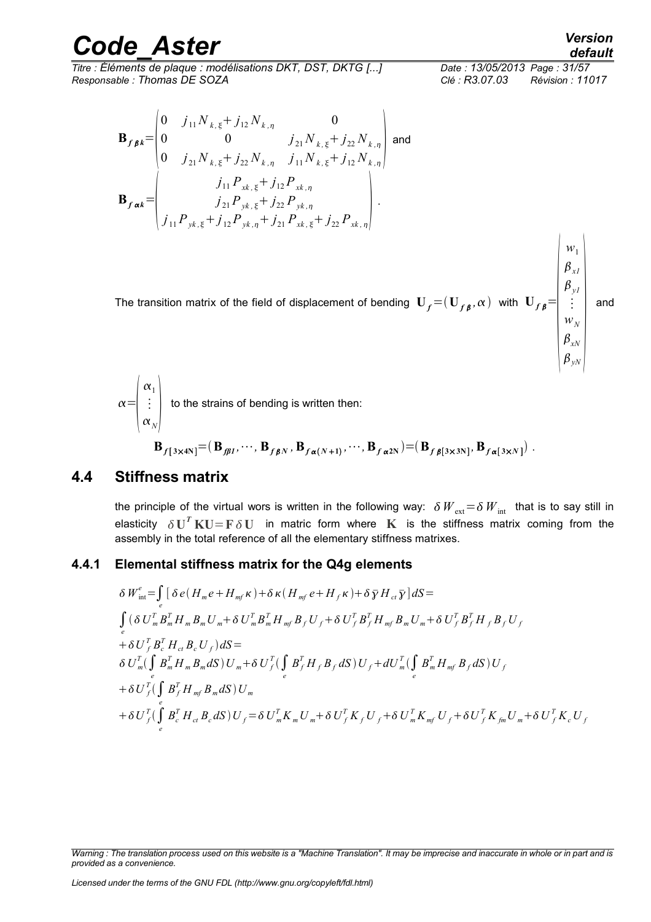J.

*Titre : Éléments de plaque : modélisations DKT, DST, DKTG [...] Date : 13/05/2013 Page : 31/57 Responsable : Thomas DE SOZA Clé : R3.07.03 Révision : 11017*

$$
\mathbf{B}_{f\beta k} = \begin{pmatrix} 0 & j_{11} N_{k,\xi} + j_{12} N_{k,\eta} & 0 \\ 0 & 0 & j_{21} N_{k,\xi} + j_{22} N_{k,\eta} \\ 0 & j_{21} N_{k,\xi} + j_{22} N_{k,\eta} & j_{11} N_{k,\xi} + j_{12} N_{k,\eta} \end{pmatrix}
$$
 and  

$$
\mathbf{B}_{f\alpha k} = \begin{pmatrix} j_{11} P_{x k,\xi} + j_{12} P_{x k,\eta} & 0 \\ j_{21} P_{y k,\xi} + j_{12} P_{x k,\eta} & 0 \\ j_{21} P_{y k,\xi} + j_{22} P_{y k,\eta} & 0 \end{pmatrix}.
$$

The transition matrix of the field of displacement of bending  $\mathbf{U}_f\!=\!(\mathbf{U}_{f\boldsymbol{\beta}},\alpha)$  with  $\mathbf{U}_{f\boldsymbol{\beta}}\!=$  $\vdots$ 

 $\alpha =$  $\vert_{\alpha}$  $\alpha_1$  $\vdots$  $\alpha_{N}$  to the strains of bending is written then:  $\mathbf{B}_{f[3\times 4N]} = (\mathbf{B}_{f\beta I}, \cdots, \mathbf{B}_{f\beta N}, \mathbf{B}_{f\alpha(N+1)}, \cdots, \mathbf{B}_{f\alpha 2N}) = (\mathbf{B}_{f\beta[3\times 3N]}, \mathbf{B}_{f\alpha[3\times N]})$ .

#### **4.4 Stiffness matrix**

the principle of the virtual wors is written in the following way:  $\delta W_{ext} = \delta W_{int}$  that is to say still in elasticity  $\delta \textbf{U}^T\textbf{K}\textbf{U}\!=\!\textbf{F}\,\delta\textbf{U}$  in matric form where  $\textbf{K}$  is the stiffness matrix coming from the assembly in the total reference of all the elementary stiffness matrixes.

#### **4.4.1 Elemental stiffness matrix for the Q4g elements**

$$
\delta W_{int}^{e} = \int_{e} \left[ \delta e(H_{m}e + H_{mf}\kappa) + \delta \kappa (H_{mf}e + H_{f}\kappa) + \delta \bar{\gamma} H_{ct} \bar{\gamma} \right] dS =
$$
\n
$$
\int_{e} (\delta U_{m}^{T} B_{m}^{T} H_{m} B_{m} U_{m} + \delta U_{m}^{T} B_{m}^{T} H_{mf} B_{f} U_{f} + \delta U_{f}^{T} B_{f}^{T} H_{mf} B_{m} U_{m} + \delta U_{f}^{T} B_{f}^{T} H_{f} B_{f} U_{f}
$$
\n
$$
+ \delta U_{f}^{T} B_{c}^{T} H_{ct} B_{c} U_{f} dS =
$$
\n
$$
\delta U_{m}^{T} \left( \int_{e} B_{m}^{T} H_{m} B_{m} dS \right) U_{m} + \delta U_{f}^{T} \left( \int_{e} B_{f}^{T} H_{f} B_{f} dS \right) U_{f} + dU_{m}^{T} \left( \int_{e} B_{m}^{T} H_{mf} B_{f} dS \right) U_{f}
$$
\n
$$
+ \delta U_{f}^{T} \left( \int_{e} B_{f}^{T} H_{mf} B_{m} dS \right) U_{m}
$$
\n
$$
+ \delta U_{f}^{T} \left( \int_{e} B_{c}^{T} H_{ct} B_{c} dS \right) U_{f} = \delta U_{m}^{T} K_{m} U_{m} + \delta U_{f}^{T} K_{f} U_{f} + \delta U_{m}^{T} K_{mf} U_{f} + \delta U_{f}^{T} K_{fm} U_{m} + \delta U_{f}^{T} K_{c} U_{f}
$$

*Warning : The translation process used on this website is a "Machine Translation". It may be imprecise and inaccurate in whole or in part and is provided as a convenience.*

*default*

 $|\beta_{xN}|$ 

 $\begin{bmatrix} \beta_{xN} \ \beta_{yN} \end{bmatrix}$ 

and

 $W_N$ 

*w*1  $\beta_{xI}$  $\beta_{yI}$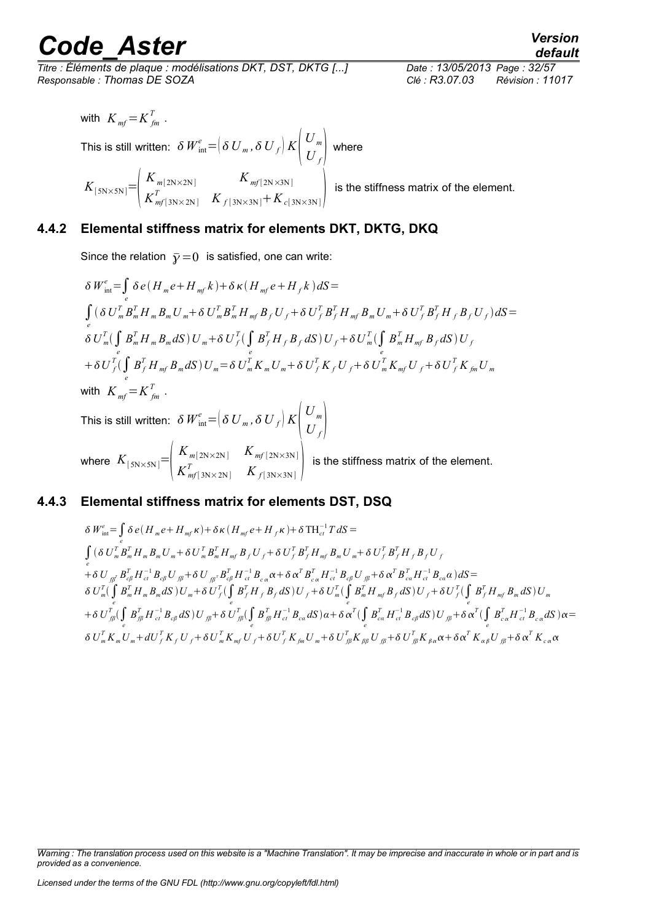*Titre : Éléments de plaque : modélisations DKT, DST, DKTG [...] Responsable : Thomas DE SOZA Clé : R3.07.03 Révision : 11017*

*default*

with 
$$
K_{mf} = K_{fm}^T
$$
.  
\nThis is still written:  $\delta W_{int}^e = \left(\delta U_m, \delta U_f\right) K \begin{pmatrix} U_m \\ U_f \end{pmatrix}$  where  
\n
$$
K_{[5N \times 5N]} = \begin{pmatrix} K_{m[2N \times 2N]} & K_{mf[2N \times 3N]} \\ K_{mf[3N \times 2N]} & K_{f[3N \times 3N]} + K_{c[3N \times 3N]} \end{pmatrix}
$$
 is the

e stiffness matrix of the element.

#### **4.4.2 Elemental stiffness matrix for elements DKT, DKTG, DKQ**

Since the relation  $\bar{y} = 0$  is satisfied, one can write:

$$
\delta W_{int}^{e} = \int_{e} \delta e (H_{m}e + H_{mf}k) + \delta \kappa (H_{mf}e + H_{f}k) dS =
$$
\n
$$
\int_{e} (\delta U_{m}^{T} B_{m}^{T} H_{m} B_{m} U_{m} + \delta U_{m}^{T} B_{m}^{T} H_{mf} B_{f} U_{f} + \delta U_{f}^{T} B_{f}^{T} H_{mf} B_{m} U_{m} + \delta U_{f}^{T} B_{f}^{T} H_{f} B_{f} U_{f}) dS =
$$
\n
$$
\delta U_{m}^{T} (\int_{e} B_{m}^{T} H_{m} B_{m} dS) U_{m} + \delta U_{f}^{T} (\int_{e} B_{f}^{T} H_{f} B_{f} dS) U_{f} + \delta U_{m}^{T} (\int_{e} B_{m}^{T} H_{mf} B_{f} dS) U_{f}
$$
\n
$$
+ \delta U_{f}^{T} (\int_{e} B_{f}^{T} H_{mf} B_{m} dS) U_{m} = \delta U_{m}^{T} K_{m} U_{m} + \delta U_{f}^{T} K_{f} U_{f} + \delta U_{m}^{T} K_{mf} U_{f} + \delta U_{f}^{T} K_{fm} U_{m}
$$
\nwith  $K_{mf} = K_{fm}^{T}$ .

 $\pi$  This is still written:  $\delta\text{ }W_{\text{int}}^{e}\!\!=\!\!\left(\delta\text{ }U_{\text{ }m}\text{, }\delta\text{ }U_{\text{ }f}\right)K\!\left(\frac{U_{\text{ }m}}{U_{\text{ }f}}\right)$ 

 $U_f$ where  $K_{\text{\tiny{[5N\times5N]}}}$  =  $\left| \frac{K}{K} \right|$  $K_{m[2N\times2N]}$  *K mf* [2N×3N]  $K_{mf[3N\times2N]}^T$   $K_{f[3N\times3N]}$  is the stiffness matrix of the element.

#### **4.4.3 Elemental stiffness matrix for elements DST, DSQ**

$$
\delta W_{int}^{e} = \int_{e} \delta e(H_{m}e + H_{mf}\kappa) + \delta \kappa (H_{mf}e + H_{f}\kappa) + \delta TH_{ct}^{-1}TdS =
$$
\n
$$
\int_{e} (\delta U_{m}^{T}B_{m}^{T}H_{m}B_{m}U_{m} + \delta U_{m}^{T}B_{m}^{T}H_{mf}B_{f}U_{f} + \delta U_{f}^{T}B_{f}^{T}H_{mf}B_{m}U_{m} + \delta U_{f}^{T}B_{f}^{T}H_{f}B_{f}U_{f}
$$
\n
$$
+ \delta U_{ff}B_{cf}^{T}H_{ct}^{-1}B_{cf}U_{ff} + \delta U_{ff}B_{cf}^{T}H_{ct}^{-1}B_{c\alpha}\kappa + \delta \alpha^{T}B_{c\alpha}^{T}H_{ct}^{-1}B_{cf}U_{ff} + \delta \alpha^{T}B_{ca}^{T}H_{ct}^{-1}B_{ca}\alpha)dS =
$$
\n
$$
\delta U_{m}^{T}(\int_{e}^{T}B_{m}^{T}H_{m}B_{m}dS)U_{m} + \delta U_{f}^{T}(\int_{e}^{T}B_{f}^{T}H_{f}B_{f}dS)U_{f} + \delta U_{m}^{T}(\int_{e}^{T}B_{m}^{T}H_{mf}B_{f}dS)U_{f} + \delta U_{f}^{T}(\int_{e}^{T}B_{f}^{T}H_{mf}B_{f}dS)U_{f} + \delta U_{f}^{T}(\int_{e}^{T}B_{f}^{T}H_{mf}B_{f}dS)U_{f} + \delta U_{f}^{T}(\int_{e}^{T}B_{f}^{T}H_{mf}B_{f}dS)U_{f} + \delta U_{f}^{T}(\int_{e}^{T}B_{f}^{T}H_{mf}B_{f}dS)U_{f} + \delta U_{f}^{T}(\int_{e}^{T}B_{f}^{T}H_{f}B_{f}dS)U_{f} + \delta U_{f}^{T}(\int_{e}^{T}B_{f}^{T}H_{mf}B_{f}dS)U_{f} + \delta U_{f}^{T}(\int_{e}^{T}B_{f}^{T}H_{mf}B_{f}dS)U_{f} + \delta U_{f}^{T}(\int_{e}^{T}B_{f}^{T}H_{mf}B
$$

*Licensed under the terms of the GNU FDL (http://www.gnu.org/copyleft/fdl.html)*

*Warning : The translation process used on this website is a "Machine Translation". It may be imprecise and inaccurate in whole or in part and is provided as a convenience.*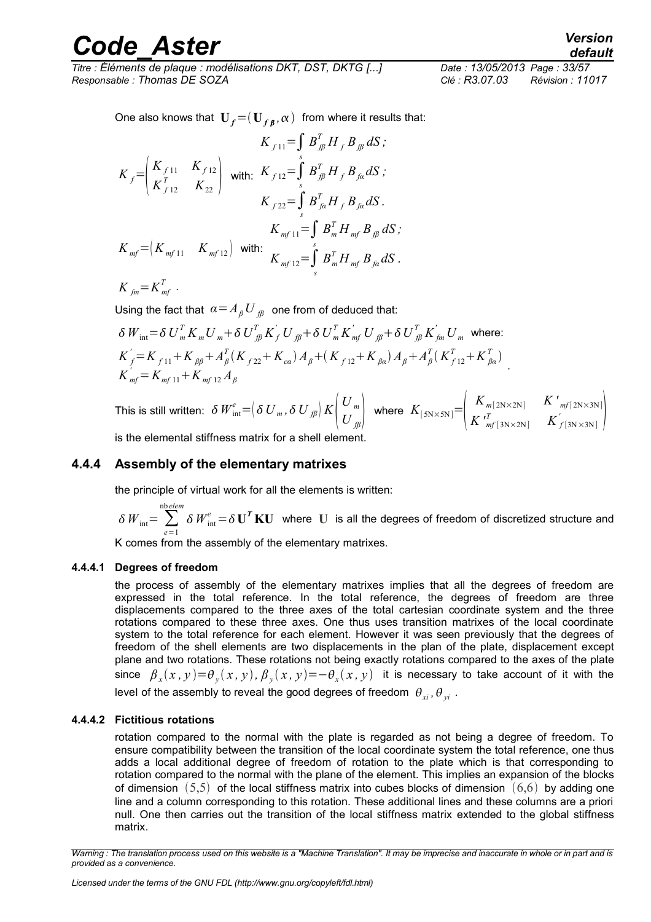*Titre : Éléments de plaque : modélisations DKT, DST, DKTG [...] Date : 13/05/2013 Page : 33/57 Responsable : Thomas DE SOZA Clé : R3.07.03 Révision : 11017*

One also knows that  $\, {\bf U}_f^{}\!=\! ({\bf U}_{f\,{\boldsymbol{\beta}}},\alpha\,) \,$  from where it results that:

$$
K_{f11} = \int_{S} B_{f\beta}^{T} H_{f} B_{f\beta} dS ;
$$
  
\n
$$
K_{f12} = \begin{pmatrix} K_{f11} & K_{f12} \\ K_{f12}^{T} & K_{22} \end{pmatrix}
$$
 with:  $K_{f12} = \int_{S}^{S} B_{f\beta}^{T} H_{f} B_{f\alpha} dS ;$   
\n
$$
K_{f22} = \int_{S}^{S} B_{f\alpha}^{T} H_{f} B_{f\alpha} dS .
$$
  
\n
$$
K_{mf11} = \int_{S} B_{m}^{T} H_{mf} B_{f\beta} dS ;
$$
  
\n
$$
K_{mf12} = \int_{S}^{S} B_{m}^{T} H_{mf} B_{f\beta} dS ;
$$

 $K$ <sub>*fm*</sub> =  $K$ <sup>*T*</sup><sub>*mf*</sub> .

Using the fact that  $\alpha = A_{\beta}U_{\beta}$  one from of deduced that:

$$
\delta W_{int} = \delta U_m^T K_m U_m + \delta U_{\beta\beta}^T K_f' U_{\beta\beta} + \delta U_m^T K_{mf}' U_{\beta\beta} + \delta U_{\beta\beta}^T K_{fm}' U_m
$$
 where:  
\n
$$
K_f' = K_{f11} + K_{\beta\beta} + A_\beta^T (K_{f22} + K_{ca}) A_\beta + (K_{f12} + K_{\beta a}) A_\beta + A_\beta^T (K_{f12}^T + K_{\beta a}^T) .
$$
\n
$$
K_{mf}' = K_{mf11} + K_{mf12} A_\beta
$$

This is still written: 
$$
\delta W_{int}^e = \left(\delta U_m, \delta U_{fb}\right) K \begin{pmatrix} U_m \\ U_{fb} \end{pmatrix}
$$
 where  $K_{[5N\times5N]} = \begin{pmatrix} K_{m[2N\times2N]} & K'_{mf[2N\times3N]} \\ K'_{mf[3N\times2N]} & K'_{f[3N\times3N]} \end{pmatrix}$ 

is the elemental stiffness matrix for a shell element.

#### **4.4.4 Assembly of the elementary matrixes**

the principle of virtual work for all the elements is written:

$$
\delta W_{\text{int}} = \sum_{e=1}^{\text{nb} \text{elem}} \delta W_{\text{int}}^e = \delta \mathbf{U}^T \mathbf{K} \mathbf{U} \quad \text{where} \quad \mathbf{U} \text{ is all the degrees of freedom of discretized structure and}
$$

K comes from the assembly of the elementary matrixes.

#### **4.4.4.1 Degrees of freedom**

the process of assembly of the elementary matrixes implies that all the degrees of freedom are expressed in the total reference. In the total reference, the degrees of freedom are three displacements compared to the three axes of the total cartesian coordinate system and the three rotations compared to these three axes. One thus uses transition matrixes of the local coordinate system to the total reference for each element. However it was seen previously that the degrees of freedom of the shell elements are two displacements in the plan of the plate, displacement except plane and two rotations. These rotations not being exactly rotations compared to the axes of the plate since  $\beta_x(x\,,y) {=} \theta_y(x\,,y)$ ,  $\beta_y(x\,,y) {=} {-} \theta_x(x\,,y)$  it is necessary to take account of it with the level of the assembly to reveal the good degrees of freedom  $\theta_{x_i}, \theta_{y_i}$ .

#### **4.4.4.2 Fictitious rotations**

rotation compared to the normal with the plate is regarded as not being a degree of freedom. To ensure compatibility between the transition of the local coordinate system the total reference, one thus adds a local additional degree of freedom of rotation to the plate which is that corresponding to rotation compared to the normal with the plane of the element. This implies an expansion of the blocks of dimension  $(5,5)$  of the local stiffness matrix into cubes blocks of dimension  $(6,6)$  by adding one line and a column corresponding to this rotation. These additional lines and these columns are a priori null. One then carries out the transition of the local stiffness matrix extended to the global stiffness matrix.

*Warning : The translation process used on this website is a "Machine Translation". It may be imprecise and inaccurate in whole or in part and is provided as a convenience.*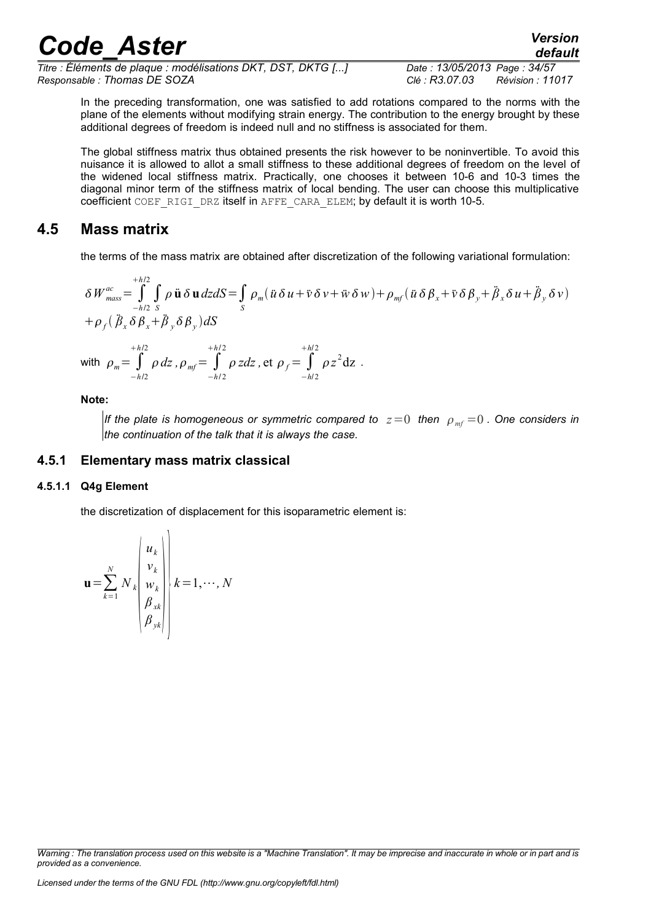*Titre : Éléments de plaque : modélisations DKT, DST, DKTG [...] Date : 13/05/2013 Page : 34/57 Responsable : Thomas DE SOZA Clé : R3.07.03 Révision : 11017*

*default*

In the preceding transformation, one was satisfied to add rotations compared to the norms with the plane of the elements without modifying strain energy. The contribution to the energy brought by these additional degrees of freedom is indeed null and no stiffness is associated for them.

The global stiffness matrix thus obtained presents the risk however to be noninvertible. To avoid this nuisance it is allowed to allot a small stiffness to these additional degrees of freedom on the level of the widened local stiffness matrix. Practically, one chooses it between 10-6 and 10-3 times the diagonal minor term of the stiffness matrix of local bending. The user can choose this multiplicative coefficient COEF\_RIGI\_DRZ itself in AFFE\_CARA\_ELEM; by default it is worth 10-5.

### **4.5 Mass matrix**

the terms of the mass matrix are obtained after discretization of the following variational formulation:

$$
\delta W_{mass}^{ac} = \int_{-h/2}^{+h/2} \int_{S} \rho \ddot{\mathbf{u}} \, \delta \mathbf{u} \, dz \, dS = \int_{S} \rho_{m} (\ddot{u} \, \delta u + \ddot{v} \, \delta v + \ddot{w} \, \delta w) + \rho_{mf} (\ddot{u} \, \delta \beta_{x} + \ddot{v} \, \delta \beta_{y} + \ddot{\beta}_{x} \, \delta u + \ddot{\beta}_{y} \, \delta v) + \rho_{f} (\ddot{\beta}_{x} \, \delta \beta_{x} + \ddot{\beta}_{y} \, \delta \beta_{y}) \, dS
$$

with 
$$
\rho_m = \int_{-h/2}^{+h/2} \rho \, dz
$$
,  $\rho_{mf} = \int_{-h/2}^{+h/2} \rho z \, dz$ , et  $\rho_f = \int_{-h/2}^{+h/2} \rho z^2 \, dz$ .

#### **Note:**

*If the plate is homogeneous or symmetric compared to*  $z=0$  then  $\rho_{\text{mf}}=0$  . One considers in *the continuation of the talk that it is always the case.*

#### **4.5.1 Elementary mass matrix classical**

#### **4.5.1.1 Q4g Element**

the discretization of displacement for this isoparametric element is:

$$
\mathbf{u} = \sum_{k=1}^{N} N_k \begin{pmatrix} u_k \\ v_k \\ w_k \\ \beta_{x_k} \\ \beta_{y_k} \end{pmatrix} k = 1, \cdots, N
$$

*Warning : The translation process used on this website is a "Machine Translation". It may be imprecise and inaccurate in whole or in part and is provided as a convenience.*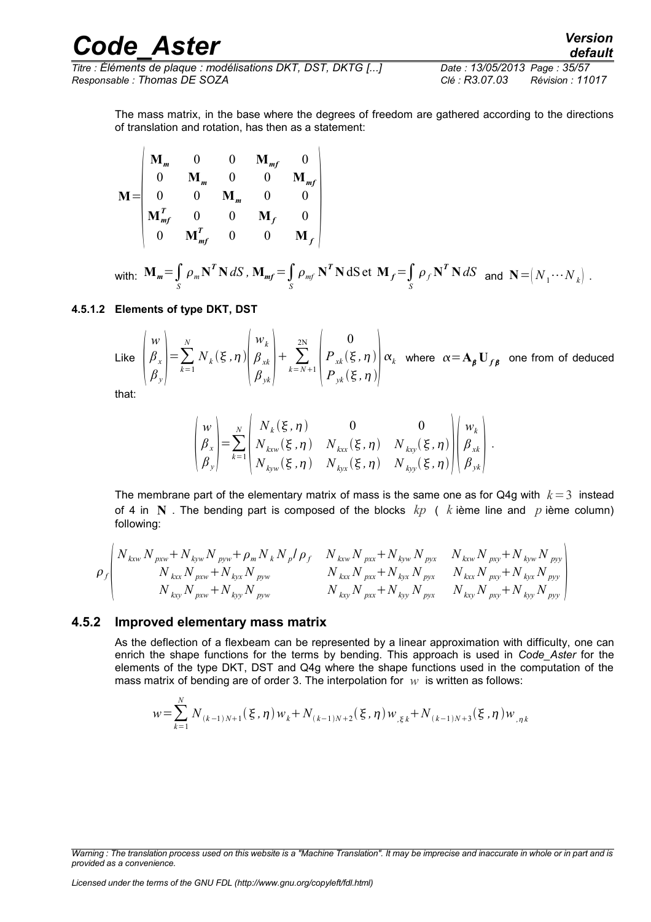$\overline{1}$ 

*Titre : Éléments de plaque : modélisations DKT, DST, DKTG [...] Date : 13/05/2013 Page : 35/57 Responsable : Thomas DE SOZA Clé : R3.07.03 Révision : 11017*

The mass matrix, in the base where the degrees of freedom are gathered according to the directions of translation and rotation, has then as a statement:

 $\overline{1}$ 

$$
\mathbf{M} = \begin{pmatrix}\n\mathbf{M}_{m} & 0 & 0 & \mathbf{M}_{mf} & 0 \\
0 & \mathbf{M}_{m} & 0 & 0 & \mathbf{M}_{mf} \\
0 & 0 & \mathbf{M}_{m} & 0 & 0 \\
\mathbf{M}_{mf}^{T} & 0 & 0 & \mathbf{M}_{f} & 0 \\
0 & \mathbf{M}_{mf}^{T} & 0 & 0 & \mathbf{M}_{f}\n\end{pmatrix}
$$
\nwith:  $\mathbf{M}_{m} = \int_{S} \rho_{m} \mathbf{N}^{T} \mathbf{N} dS$ ,  $\mathbf{M}_{mf} = \int_{S} \rho_{mf} \mathbf{N}^{T} \mathbf{N} dS \text{ et } \mathbf{M}_{f} = \int_{S} \rho_{f} \mathbf{N}^{T} \mathbf{N} dS$  and  $\mathbf{N} = \begin{pmatrix} N_{1} \cdots N_{k} \end{pmatrix}$ .

#### **4.5.1.2 Elements of type DKT, DST**

Like 
$$
\begin{pmatrix} w \\ \beta_x \\ \beta_y \end{pmatrix} = \sum_{k=1}^N N_k(\xi, \eta) \begin{pmatrix} w_k \\ \beta_{x^k} \\ \beta_{y^k} \end{pmatrix} + \sum_{k=N+1}^{2N} \begin{pmatrix} 0 \\ P_{x^k}(\xi, \eta) \\ P_{y^k}(\xi, \eta) \end{pmatrix} \alpha_k
$$
 where  $\alpha = \mathbf{A}_{\beta} \mathbf{U}_{f\beta}$  one from of deduced

that:

$$
\begin{pmatrix} w \\ \beta_x \\ \beta_y \end{pmatrix} = \sum_{k=1}^N \begin{pmatrix} N_k(\xi, \eta) & 0 & 0 \\ N_{k x w}(\xi, \eta) & N_{k x x}(\xi, \eta) & N_{k x y}(\xi, \eta) \\ N_{k y w}(\xi, \eta) & N_{k y x}(\xi, \eta) & N_{k y y}(\xi, \eta) \end{pmatrix} \begin{pmatrix} w_k \\ \beta_{k x} \\ \beta_{k y} \end{pmatrix}.
$$

The membrane part of the elementary matrix of mass is the same one as for Q4g with *k*=3 instead of 4 in **N** . The bending part is composed of the blocks *kp* ( *k* ième line and *p* ième column) following:

$$
\rho_f \begin{pmatrix} N_{k x w} N_{p x w} + N_{k y w} N_{p y w} + \rho_m N_k N_p / \rho_f & N_{k x w} N_{p x x} + N_{k y w} N_{p y x} & N_{k x w} N_{p x y} + N_{k y w} N_{p y y} \\ N_{k x x} N_{p x w} + N_{k y x} N_{p y w} & N_{k x x} N_{p x x} + N_{k y x} N_{p y x} & N_{k x x} N_{p x y} + N_{k y x} N_{p y y} \\ N_{k x y} N_{p x w} + N_{k y y} N_{p y w} & N_{k x y} N_{p x x} + N_{k y y} N_{p y x} & N_{k x y} N_{p x y} + N_{k y y} N_{p y y} \end{pmatrix}
$$

#### **4.5.2 Improved elementary mass matrix**

As the deflection of a flexbeam can be represented by a linear approximation with difficulty, one can enrich the shape functions for the terms by bending. This approach is used in *Code\_Aster* for the elements of the type DKT, DST and Q4g where the shape functions used in the computation of the mass matrix of bending are of order 3. The interpolation for  $w$  is written as follows:

$$
w = \sum_{k=1}^{N} N_{(k-1)N+1}(\xi, \eta) w_k + N_{(k-1)N+2}(\xi, \eta) w_{\xi k} + N_{(k-1)N+3}(\xi, \eta) w_{\eta k}
$$

*Licensed under the terms of the GNU FDL (http://www.gnu.org/copyleft/fdl.html)*

*Warning : The translation process used on this website is a "Machine Translation". It may be imprecise and inaccurate in whole or in part and is provided as a convenience.*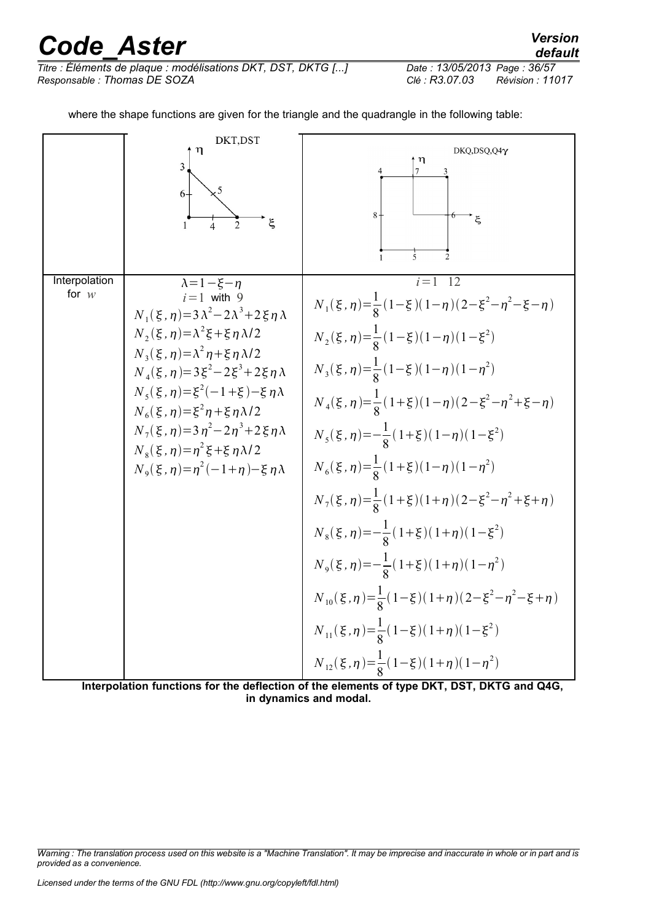*Responsable : Thomas DE SOZA Clé : R3.07.03 Révision : 11017*

 $\uparrow$   $\eta$ 

DKT,DST

DKQ,DSQ,Q4Y

 $\sqrt{2}$ 

*Titre : Éléments de plaque : modélisations DKT, DST, DKTG [...] Date : 13/05/2013 Page : 36/57*

where the shape functions are given for the triangle and the quadrangle in the following table:

|                          | 3<br>$\times^5$<br>$6-$<br>ع                                                                                                                                                                                                                                                                                                                                                                                                                                                                                                                                                       | $8 -$<br>ξ<br>5                                                                                                                                                                                                                                                                                                                                                                                                                                                                                                                                                                                                                                                                                                                                                                                                                  |
|--------------------------|------------------------------------------------------------------------------------------------------------------------------------------------------------------------------------------------------------------------------------------------------------------------------------------------------------------------------------------------------------------------------------------------------------------------------------------------------------------------------------------------------------------------------------------------------------------------------------|----------------------------------------------------------------------------------------------------------------------------------------------------------------------------------------------------------------------------------------------------------------------------------------------------------------------------------------------------------------------------------------------------------------------------------------------------------------------------------------------------------------------------------------------------------------------------------------------------------------------------------------------------------------------------------------------------------------------------------------------------------------------------------------------------------------------------------|
| Interpolation<br>for $w$ | $\lambda = 1 - \xi - \eta$<br>$i=1$ with 9<br>$N_1(\xi, \eta) = 3\lambda^2 - 2\lambda^3 + 2\xi\eta\lambda$<br>$N_2(\xi, \eta) = \lambda^2 \xi + \xi \eta \lambda/2$<br>$N_3(\xi, \eta) = \lambda^2 \eta + \xi \eta \lambda/2$<br>$N_4(\xi, \eta) = 3\xi^2 - 2\xi^3 + 2\xi \eta \lambda$<br>$N_5(\xi, \eta) = \xi^2(-1+\xi) - \xi \eta \lambda$<br>$N_6(\xi, \eta) = \xi^2 \eta + \xi \eta \lambda/2$<br>$N_7(\xi, \eta) = 3\eta^2 - 2\eta^3 + 2\xi\eta\lambda$<br>$N_s(\xi, \eta) = \eta^2 \xi + \xi \eta \lambda/2$<br>$N_{\rm g}(\xi,\eta) = \eta^2(-1+\eta) - \xi \eta \lambda$ | $i=1$<br>$\overline{12}$<br>$N_1(\xi, \eta) = \frac{1}{8}(1-\xi)(1-\eta)(2-\xi^2-\eta^2-\xi-\eta)$<br>$N_2(\xi, \eta) = \frac{1}{8}(1-\xi)(1-\eta)(1-\xi^2)$<br>$N_3(\xi, \eta) = \frac{1}{8}(1-\xi)(1-\eta)(1-\eta^2)$<br>$N_4(\xi, \eta) = \frac{1}{8}(1+\xi)(1-\eta)(2-\xi^2-\eta^2+\xi-\eta)$<br>$N_5(\xi, \eta) = -\frac{1}{8}(1+\xi)(1-\eta)(1-\xi^2)$<br>$N_6(\xi, \eta) = \frac{1}{8}(1+\xi)(1-\eta)(1-\eta^2)$<br>$N_7(\xi, \eta) = \frac{1}{8}(1+\xi)(1+\eta)(2-\xi^2-\eta^2+\xi+\eta)$<br>$N_8(\xi, \eta) = -\frac{1}{8}(1+\xi)(1+\eta)(1-\xi^2)$<br>$N_9(\xi, \eta) = -\frac{1}{8}(1+\xi)(1+\eta)(1-\eta^2)$<br>$N_{10}(\xi, \eta) = \frac{1}{8}(1-\xi)(1+\eta)(2-\xi^2-\eta^2-\xi+\eta)$<br>$N_{11}(\xi, \eta) = \frac{1}{8}(1-\xi)(1+\eta)(1-\xi^2)$<br>$N_{12}(\xi, \eta) = \frac{1}{8}(1-\xi)(1+\eta)(1-\eta^2)$ |
|                          |                                                                                                                                                                                                                                                                                                                                                                                                                                                                                                                                                                                    | Interpolation functions for the deflection of the elements of type DKT, DST, DKTG and Q4G,                                                                                                                                                                                                                                                                                                                                                                                                                                                                                                                                                                                                                                                                                                                                       |

**in dynamics and modal.**

*Warning : The translation process used on this website is a "Machine Translation". It may be imprecise and inaccurate in whole or in part and is provided as a convenience.*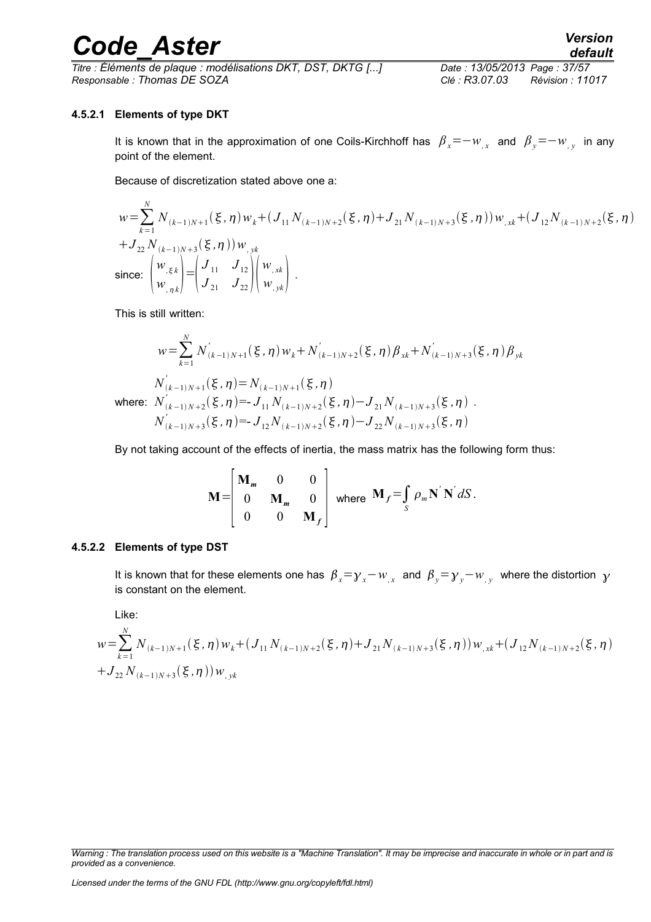*Titre : Éléments de plaque : modélisations DKT, DST, DKTG [...] Date : 13/05/2013 Page : 37/57 Responsable : Thomas DE SOZA Clé : R3.07.03 Révision : 11017*

#### **4.5.2.1 Elements of type DKT**

It is known that in the approximation of one Coils-Kirchhoff has  $\beta_x = -w_{,x}$  and  $\beta_y = -w_{,y}$  in any point of the element.

Because of discretization stated above one a:

$$
w = \sum_{k=1}^{N} N_{(k-1)N+1}(\xi, \eta) w_k + (J_{11} N_{(k-1)N+2}(\xi, \eta) + J_{21} N_{(k-1)N+3}(\xi, \eta)) w_{,xk} + (J_{12} N_{(k-1)N+2}(\xi, \eta) + J_{22} N_{(k-1)N+3}(\xi, \eta)) w_{,yk}
$$
  
\nsince: 
$$
\begin{pmatrix} w_{,\xi k} \\ w_{,n k} \end{pmatrix} = \begin{pmatrix} J_{11} & J_{12} \\ J_{21} & J_{22} \end{pmatrix} \begin{pmatrix} w_{,xk} \\ w_{,yk} \end{pmatrix}.
$$

This is still written:

$$
w = \sum_{k=1}^{N} N'_{(k-1)N+1}(\xi, \eta) w_k + N'_{(k-1)N+2}(\xi, \eta) \beta_{x k} + N'_{(k-1)N+3}(\xi, \eta) \beta_{y k}
$$

 $N_{(k-1)N+2}(\xi, \eta) = J_{11} N_{(k-1)N+2}(\xi, \eta) - J_{21} N_{(k-1)N+3}(\xi, \eta)$  .  $N'_{(k-1)N+1}(\xi, \eta) = N_{(k-1)N+1}(\xi, \eta)$  $N^{'}_{(k-1)N+3}(\xi, \eta) = -J^{}_{12}N^{}_{(k-1)N+2}(\xi, \eta) - J^{}_{22}N^{}_{(k-1)N+3}(\xi, \eta)$ 

By not taking account of the effects of inertia, the mass matrix has the following form thus:

$$
\mathbf{M} = \begin{bmatrix} \mathbf{M}_m & 0 & 0 \\ 0 & \mathbf{M}_m & 0 \\ 0 & 0 & \mathbf{M}_f \end{bmatrix} \text{ where } \mathbf{M}_f = \int_S \rho_m \mathbf{N}^{\'} \mathbf{N}^{\'} dS.
$$

#### **4.5.2.2 Elements of type DST**

It is known that for these elements one has  $\beta_x=$  $\gamma_x$  – $w_{,x}$  and  $\beta_y=$  $\gamma_y$  – $w_{,y}$  where the distortion  $\gamma$ is constant on the element.

Like:

$$
w = \sum_{k=1}^{N} N_{(k-1)N+1}(\xi, \eta) w_k + (J_{11} N_{(k-1)N+2}(\xi, \eta) + J_{21} N_{(k-1)N+3}(\xi, \eta)) w_{,xk} + (J_{12} N_{(k-1)N+2}(\xi, \eta) + J_{22} N_{(k-1)N+3}(\xi, \eta)) w_{,yk}
$$

*Licensed under the terms of the GNU FDL (http://www.gnu.org/copyleft/fdl.html)*

*Warning : The translation process used on this website is a "Machine Translation". It may be imprecise and inaccurate in whole or in part and is provided as a convenience.*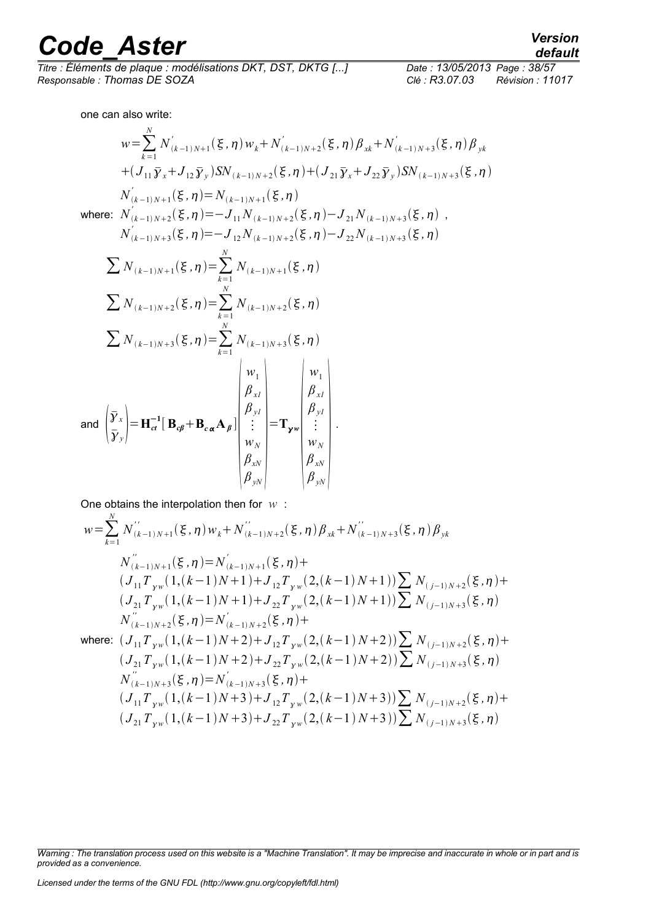# *Code\_Aster Version*<br>Titre : Éléments de plaque : modélisations DKT. DST. DKTG [...] Date : 13/05/2013 Page : 38/57

*Titre : Éléments de plaque : modélisations DKT, DST, DKTG [...] Date : 13/05/2013 Page : 38/57 Responsable : Thomas DE SOZA Clé : R3.07.03 Révision : 11017*

one can also write:

$$
w = \sum_{k=1}^{N} N'_{(k-1)N+1}(\xi, \eta) w_{k} + N'_{(k-1)N+2}(\xi, \eta) \beta_{x^{k}} + N'_{(k-1)N+3}(\xi, \eta) \beta_{y^{k}}
$$
  
+  $(J_{11} \overline{y}_{x} + J_{12} \overline{y}_{y}) S N_{(k-1)N+2}(\xi, \eta) + (J_{21} \overline{y}_{x} + J_{22} \overline{y}_{y}) S N_{(k-1)N+3}(\xi, \eta)$   
 $N'_{(k-1)N+1}(\xi, \eta) = N_{(k-1)N+1}(\xi, \eta)$   
where:  $N'_{(k-1)N+2}(\xi, \eta) = -J_{11} N_{(k-1)N+2}(\xi, \eta) - J_{21} N_{(k-1)N+3}(\xi, \eta)$   
 $N'_{(k-1)N+3}(\xi, \eta) = -J_{12} N_{(k-1)N+2}(\xi, \eta) - J_{22} N_{(k-1)N+3}(\xi, \eta)$   
 $\sum N_{(k-1)N+1}(\xi, \eta) = \sum_{k=1}^{N} N_{(k-1)N+1}(\xi, \eta)$   
 $\sum N_{(k-1)N+2}(\xi, \eta) = \sum_{k=1}^{N} N_{(k-1)N+2}(\xi, \eta)$   
 $\sum N_{(k-1)N+3}(\xi, \eta) = \sum_{k=1}^{N} N_{(k-1)N+3}(\xi, \eta)$   
and  $\left(\frac{\overline{y}_{x}}{\overline{y}_{y}}\right) = \mathbf{H}_{\alpha}^{-1}[\mathbf{B}_{\alpha} + \mathbf{B}_{\alpha} \mathbf{A}_{\beta}] \begin{vmatrix} w_{1} \\ \beta_{y1} \\ \beta_{y2} \\ \vdots \\ \beta_{yN} \\ \beta_{yN} \end{vmatrix} = \mathbf{T}_{\gamma w} \begin{vmatrix} w_{1} \\ \beta_{y1} \\ \beta_{y2} \\ \vdots \\ \beta_{yN} \\ \beta_{yN} \end{vmatrix}.$ 

One obtains the interpolation then for *w* :

*N*

$$
w = \sum_{k=1}^{N} N_{(k-1)N+1}^{''}(\xi, \eta) w_k + N_{(k-1)N+2}^{''}(\xi, \eta) \beta_{x k} + N_{(k-1)N+3}^{''}(\xi, \eta) \beta_{y k}
$$
  
\n
$$
N_{(k-1)N+1}^{''}(\xi, \eta) = N_{(k-1)N+1}^{'}(\xi, \eta) +
$$
  
\n
$$
(J_{11}T_{yw}(1, (k-1)N+1) + J_{12}T_{yw}(2, (k-1)N+1)) \sum N_{(j-1)N+2}(\xi, \eta) +
$$
  
\n
$$
(J_{21}T_{yw}(1, (k-1)N+1) + J_{22}T_{yw}(2, (k-1)N+1)) \sum N_{(j-1)N+3}(\xi, \eta)
$$
  
\n
$$
N_{(k-1)N+2}^{''}(\xi, \eta) = N_{(k-1)N+2}^{'}(\xi, \eta) +
$$
  
\nwhere: 
$$
(J_{11}T_{yw}(1, (k-1)N+2) + J_{12}T_{yw}(2, (k-1)N+2)) \sum N_{(j-1)N+2}(\xi, \eta) +
$$
  
\n
$$
(J_{21}T_{yw}(1, (k-1)N+2) + J_{22}T_{yw}(2, (k-1)N+2)) \sum N_{(j-1)N+3}(\xi, \eta) +
$$
  
\n
$$
N_{(k-1)N+3}^{''}(\xi, \eta) = N_{(k-1)N+3}^{'}(\xi, \eta) +
$$
  
\n
$$
(J_{11}T_{yw}(1, (k-1)N+3) + J_{12}T_{yw}(2, (k-1)N+3)) \sum N_{(j-1)N+2}(\xi, \eta) +
$$
  
\n
$$
(J_{21}T_{yw}(1, (k-1)N+3) + J_{22}T_{yw}(2, (k-1)N+3)) \sum N_{(j-1)N+3}(\xi, \eta) +
$$
  
\n
$$
(J_{21}T_{yw}(1, (k-1)N+3) + J_{22}T_{yw}(2, (k-1)N+3)) \sum N_{(j-1)N+3}(\xi, \eta) +
$$

*Warning : The translation process used on this website is a "Machine Translation". It may be imprecise and inaccurate in whole or in part and is provided as a convenience.*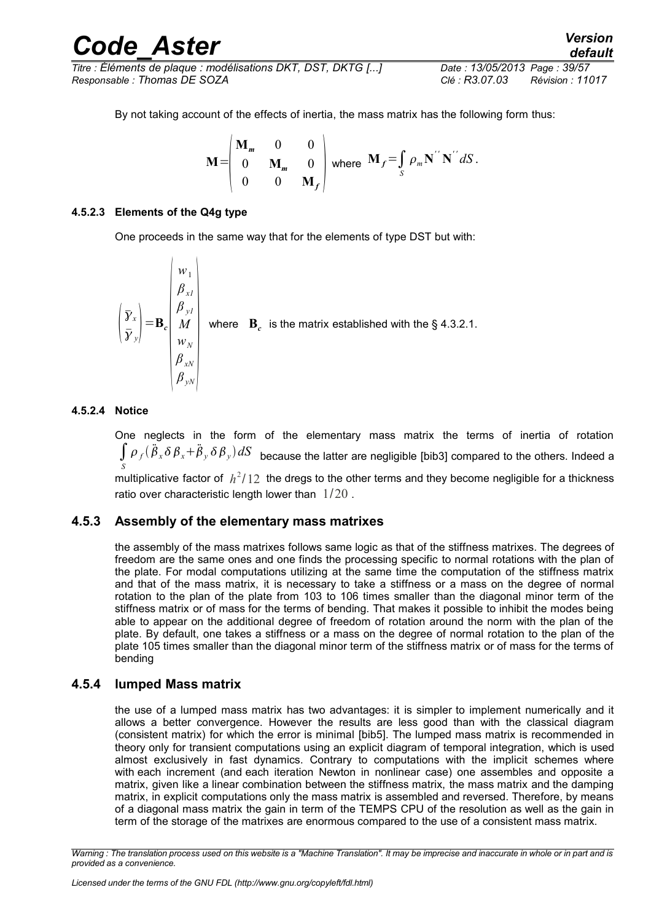| <b>Code Aster</b>                                            | <b>Version</b><br>default          |
|--------------------------------------------------------------|------------------------------------|
| Titre : Éléments de plaque : modélisations DKT, DST, DKTG [] | Date: 13/05/2013 Page: 39/57       |
| Responsable : Thomas DE SOZA                                 | Révision : 11017<br>Clé : R3.07.03 |

By not taking account of the effects of inertia, the mass matrix has the following form thus:

$$
\mathbf{M} = \begin{pmatrix} \mathbf{M}_m & 0 & 0 \\ 0 & \mathbf{M}_m & 0 \\ 0 & 0 & \mathbf{M}_f \end{pmatrix} \text{ where } \mathbf{M}_f = \int_S \rho_m \mathbf{N}^{'} \mathbf{N}^{'} dS.
$$

#### **4.5.2.3 Elements of the Q4g type**

One proceeds in the same way that for the elements of type DST but with:

$$
\begin{pmatrix}\n\overline{y}_x \\
\overline{y}_y\n\end{pmatrix} = \mathbf{B}_c \begin{pmatrix}\nw_1 \\
\beta_{y1} \\
M \\
w_N \\
\beta_{yN} \\
\beta_{yN} \\
\beta_{yN}\n\end{pmatrix}
$$
 where  $\mathbf{B}_c$  is the matrix established with the § 4.3.2.1.

#### **4.5.2.4 Notice**

One neglects in the form of the elementary mass matrix the terms of inertia of rotation ∫ *S*  $\rho_{_f}(\ddot{\beta}_x\delta\,\beta_x+\ddot{\beta}_y\,\delta\,\beta_y)\,dS$  because the latter are negligible [bib3] compared to the others. Indeed a multiplicative factor of  $\ h^2/12$  the dregs to the other terms and they become negligible for a thickness ratio over characteristic length lower than 1/20 .

#### **4.5.3 Assembly of the elementary mass matrixes**

the assembly of the mass matrixes follows same logic as that of the stiffness matrixes. The degrees of freedom are the same ones and one finds the processing specific to normal rotations with the plan of the plate. For modal computations utilizing at the same time the computation of the stiffness matrix and that of the mass matrix, it is necessary to take a stiffness or a mass on the degree of normal rotation to the plan of the plate from 103 to 106 times smaller than the diagonal minor term of the stiffness matrix or of mass for the terms of bending. That makes it possible to inhibit the modes being able to appear on the additional degree of freedom of rotation around the norm with the plan of the plate. By default, one takes a stiffness or a mass on the degree of normal rotation to the plan of the plate 105 times smaller than the diagonal minor term of the stiffness matrix or of mass for the terms of bending

#### **4.5.4 lumped Mass matrix**

the use of a lumped mass matrix has two advantages: it is simpler to implement numerically and it allows a better convergence. However the results are less good than with the classical diagram (consistent matrix) for which the error is minimal [bib5]. The lumped mass matrix is recommended in theory only for transient computations using an explicit diagram of temporal integration, which is used almost exclusively in fast dynamics. Contrary to computations with the implicit schemes where with each increment (and each iteration Newton in nonlinear case) one assembles and opposite a matrix, given like a linear combination between the stiffness matrix, the mass matrix and the damping matrix, in explicit computations only the mass matrix is assembled and reversed. Therefore, by means of a diagonal mass matrix the gain in term of the TEMPS CPU of the resolution as well as the gain in term of the storage of the matrixes are enormous compared to the use of a consistent mass matrix.

*Warning : The translation process used on this website is a "Machine Translation". It may be imprecise and inaccurate in whole or in part and is provided as a convenience.*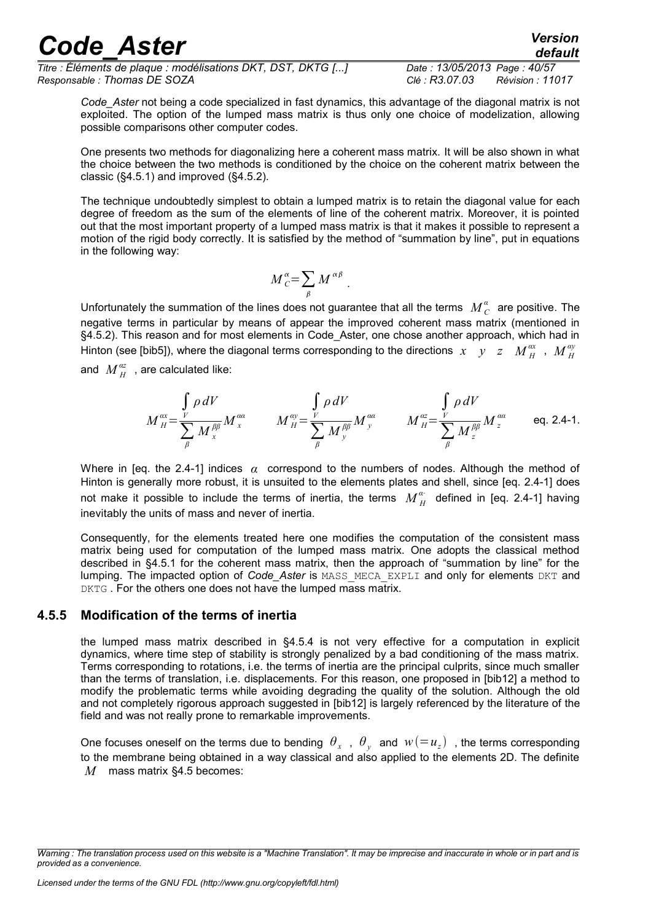*Titre : Éléments de plaque : modélisations DKT, DST, DKTG [...] Date : 13/05/2013 Page : 40/57 Responsable : Thomas DE SOZA Clé : R3.07.03 Révision : 11017*

*default*

*Code\_Aster* not being a code specialized in fast dynamics, this advantage of the diagonal matrix is not exploited. The option of the lumped mass matrix is thus only one choice of modelization, allowing possible comparisons other computer codes.

One presents two methods for diagonalizing here a coherent mass matrix. It will be also shown in what the choice between the two methods is conditioned by the choice on the coherent matrix between the classic  $(\$4.5.1)$  and improved  $(\$4.5.2)$ .

The technique undoubtedly simplest to obtain a lumped matrix is to retain the diagonal value for each degree of freedom as the sum of the elements of line of the coherent matrix. Moreover, it is pointed out that the most important property of a lumped mass matrix is that it makes it possible to represent a motion of the rigid body correctly. It is satisfied by the method of "summation by line", put in equations in the following way:

$$
M_{C}^{\alpha} = \sum_{\beta} M^{\alpha\beta}.
$$

Unfortunately the summation of the lines does not guarantee that all the terms  $\overline{M}^a_C$  are positive. The negative terms in particular by means of appear the improved coherent mass matrix (mentioned in §4.5.2). This reason and for most elements in Code\_Aster, one chose another approach, which had in Hinton (see [bib5]), where the diagonal terms corresponding to the directions  $\,x\,$   $\,y\,$   $\,z\,$   $\,$   $\,M_{\,H}^{\alpha\chi}$  ,  $\,$   $\,M_{\,H}^{\alpha\gamma}$ and  $\left. M\right. _{H}^{\alpha z}$  , are calculated like:

$$
M_{H}^{\alpha x} = \frac{\int\limits_{V} \rho \, dV}{\sum\limits_{\beta} M_{x}^{\beta \beta}} M_{x}^{\alpha \alpha} \qquad M_{H}^{\alpha y} = \frac{\int\limits_{V} \rho \, dV}{\sum\limits_{\beta} M_{y}^{\beta \beta}} M_{y}^{\alpha \alpha} \qquad M_{H}^{\alpha z} = \frac{\int\limits_{V} \rho \, dV}{\sum\limits_{\beta} M_{z}^{\beta \beta}} M_{z}^{\alpha \alpha} \qquad \text{eq. 2.4-1.}
$$

Where in [eq. the 2.4-1] indices  $\alpha$  correspond to the numbers of nodes. Although the method of Hinton is generally more robust, it is unsuited to the elements plates and shell, since [eq. 2.4-1] does not make it possible to include the terms of inertia, the terms  $M_H^a$  defined in [eq. 2.4-1] having inevitably the units of mass and never of inertia.

Consequently, for the elements treated here one modifies the computation of the consistent mass matrix being used for computation of the lumped mass matrix. One adopts the classical method described in §4.5.1 for the coherent mass matrix, then the approach of "summation by line" for the lumping. The impacted option of *Code\_Aster* is MASS\_MECA\_EXPLI and only for elements DKT and DKTG. For the others one does not have the lumped mass matrix.

#### **4.5.5 Modification of the terms of inertia**

the lumped mass matrix described in §4.5.4 is not very effective for a computation in explicit dynamics, where time step of stability is strongly penalized by a bad conditioning of the mass matrix. Terms corresponding to rotations, i.e. the terms of inertia are the principal culprits, since much smaller than the terms of translation, i.e. displacements. For this reason, one proposed in [bib12] a method to modify the problematic terms while avoiding degrading the quality of the solution. Although the old and not completely rigorous approach suggested in [bib12] is largely referenced by the literature of the field and was not really prone to remarkable improvements.

One focuses oneself on the terms due to bending  $\theta_x$ ,  $\theta_y$  and  $w(=u_z)$ , the terms corresponding to the membrane being obtained in a way classical and also applied to the elements 2D. The definite *Μ* mass matrix §4.5 becomes:

*Warning : The translation process used on this website is a "Machine Translation". It may be imprecise and inaccurate in whole or in part and is provided as a convenience.*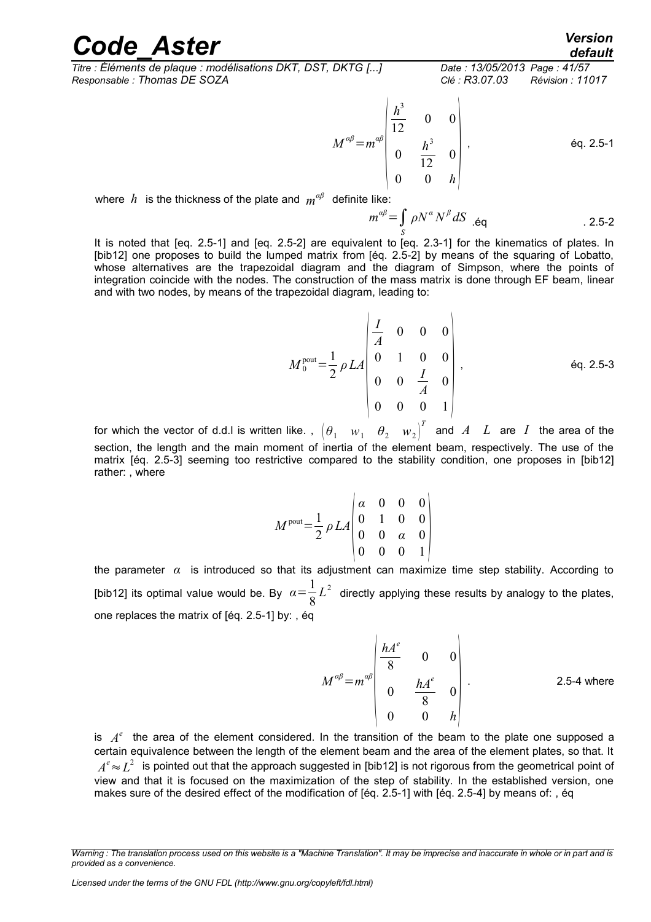*Titre : Éléments de plaque : modélisations DKT, DST, DKTG [...] Date : 13/05/2013 Page : 41/57 Responsable : Thomas DE SOZA Clé : R3.07.03 Révision : 11017*

$$
M^{\alpha\beta} = m^{\alpha\beta} \begin{vmatrix} \frac{h^3}{12} & 0 & 0 \\ 0 & \frac{h^3}{12} & 0 \\ 0 & 0 & h \end{vmatrix}, \qquad \text{eq. 2.5-1}
$$

where  $\,h\,$  is the thickness of the plate and  $\,m^{a\beta}\,$  definite like:

$$
m^{\alpha\beta} = \int\limits_{S} \rho N^{\alpha} N^{\beta} dS \mathbf{q} \tag{2.5-2}
$$

It is noted that [eq. 2.5-1] and [eq. 2.5-2] are equivalent to [eq. 2.3-1] for the kinematics of plates. In [bib12] one proposes to build the lumped matrix from [éq. 2.5-2] by means of the squaring of Lobatto, whose alternatives are the trapezoidal diagram and the diagram of Simpson, where the points of integration coincide with the nodes. The construction of the mass matrix is done through EF beam, linear and with two nodes, by means of the trapezoidal diagram, leading to:

$$
M_0^{\text{pout}} = \frac{1}{2} \rho L A \begin{bmatrix} \frac{I}{A} & 0 & 0 & 0 \\ 0 & 1 & 0 & 0 \\ 0 & 0 & \frac{I}{A} & 0 \\ 0 & 0 & 0 & 1 \end{bmatrix},
$$
 eq. 2.5-3

for which the vector of d.d.l is written like. ,  $\begin{pmatrix} \theta_1 & w_1 & \theta_2 & w_2 \end{pmatrix}^T$  and  $A$   $L$  are  $I$  the area of the section, the length and the main moment of inertia of the element beam, respectively. The use of the matrix [éq. 2.5-3] seeming too restrictive compared to the stability condition, one proposes in [bib12] rather: , where

$$
M^{\text{pout}} = \frac{1}{2} \rho L A \begin{pmatrix} \alpha & 0 & 0 & 0 \\ 0 & 1 & 0 & 0 \\ 0 & 0 & \alpha & 0 \\ 0 & 0 & 0 & 1 \end{pmatrix}
$$

the parameter *α* is introduced so that its adjustment can maximize time step stability. According to [bib12] its optimal value would be. By  $\alpha = \frac{1}{2}$ 8  $L^2$  directly applying these results by analogy to the plates, one replaces the matrix of [éq. 2.5-1] by: , éq

$$
M^{\alpha\beta} = m^{\alpha\beta} \begin{vmatrix} \frac{hA^e}{8} & 0 & 0 \\ 0 & \frac{hA^e}{8} & 0 \\ 0 & 0 & h \end{vmatrix}
$$
 2.5-4 where

is  $A^e$  the area of the element considered. In the transition of the beam to the plate one supposed a certain equivalence between the length of the element beam and the area of the element plates, so that. It  $A^e\!\approx\!L^2$  is pointed out that the approach suggested in [bib12] is not rigorous from the geometrical point of view and that it is focused on the maximization of the step of stability. In the established version, one makes sure of the desired effect of the modification of [éq. 2.5-1] with [éq. 2.5-4] by means of: , éq

*Warning : The translation process used on this website is a "Machine Translation". It may be imprecise and inaccurate in whole or in part and is provided as a convenience.*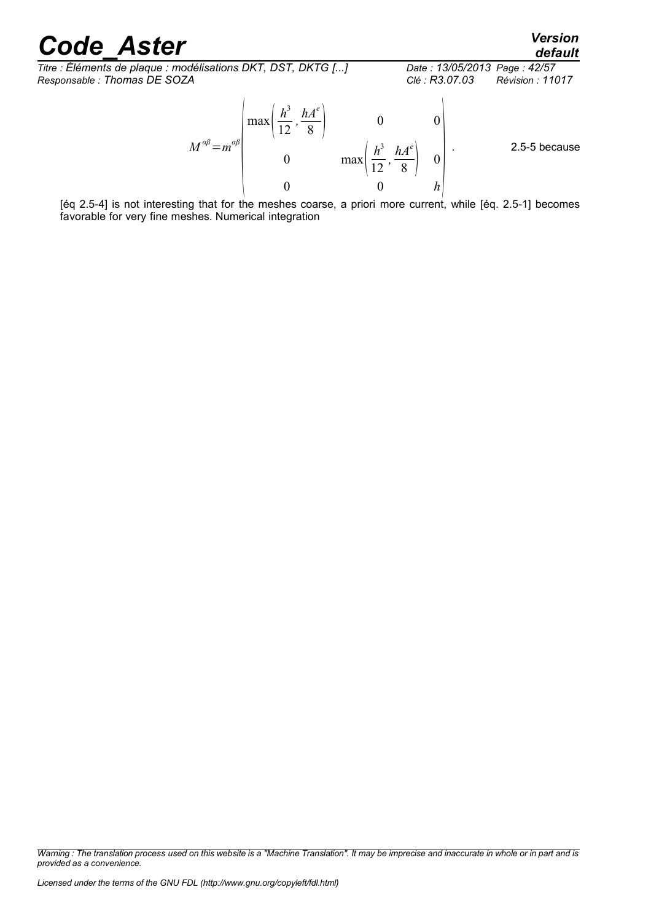*Titre : Éléments de plaque : modélisations DKT, DST, DKTG [...] Date : 13/05/2013 Page : 42/57 Responsable : Thomas DE SOZA Clé : R3.07.03 Révision : 11017*

*Μ αβ*=*m αβ*  $\mathcal{L}(\mathcal{L})$  $max\left(\frac{h^3}{12}\right)$ 12  $\frac{hA^e}{\rho}$  $\begin{array}{c|cc}\n\hline\n8\n\end{array}$  0 0 0 max  $\frac{h^3}{12}$ 12  $\frac{hA^e}{\rho}$  $\frac{1}{8}$  0  $\begin{bmatrix} 12 & 8 \\ 0 & h \end{bmatrix}$ . 2.5-5 because

[éq 2.5-4] is not interesting that for the meshes coarse, a priori more current, while [éq. 2.5-1] becomes favorable for very fine meshes. Numerical integration

*Warning : The translation process used on this website is a "Machine Translation". It may be imprecise and inaccurate in whole or in part and is provided as a convenience.*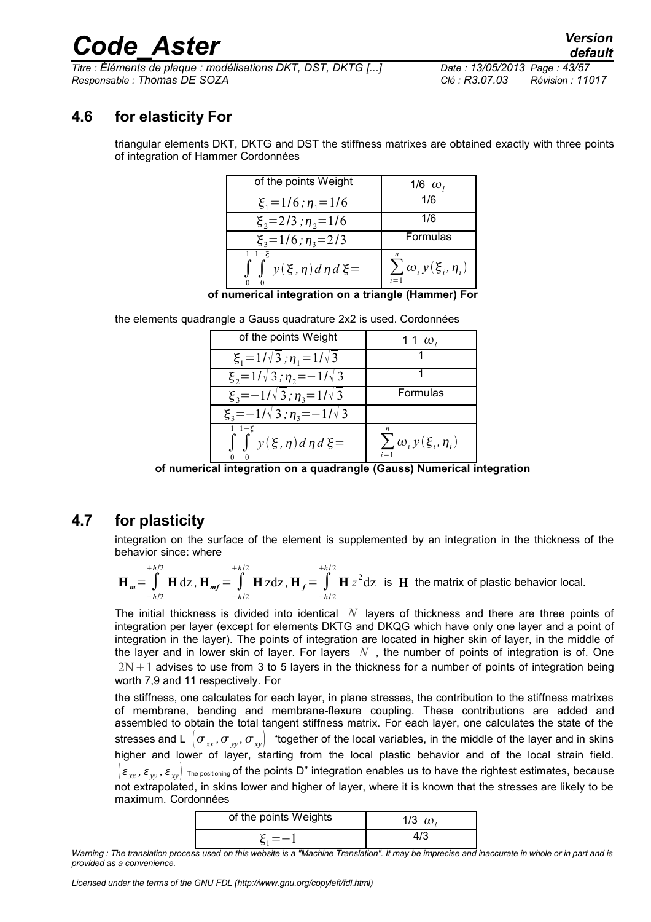*Titre : Éléments de plaque : modélisations DKT, DST, DKTG [...] Date : 13/05/2013 Page : 43/57 Responsable : Thomas DE SOZA Clé : R3.07.03 Révision : 11017*

### **4.6 for elasticity For**

triangular elements DKT, DKTG and DST the stiffness matrixes are obtained exactly with three points of integration of Hammer Cordonnées

| of the points Weight                         | $1/6$ $\omega_{1}$                        |
|----------------------------------------------|-------------------------------------------|
| $\xi_1 = 1/6$ ; $\eta_1 = 1/6$               | 1/6                                       |
| $\xi_2 = 2/3$ ; $\eta_2 = 1/6$               | 1/6                                       |
| $\xi_3 = 1/6$ ; $\eta_3 = 2/3$               | Formulas                                  |
| $1 \t1 - \xi$<br>$y(\xi, \eta) d\eta d\xi =$ | $\sum \omega_i y(\xi_i, \eta_i)$<br>$i=1$ |

**of numerical integration on a triangle (Hammer) For**

| the elements quadrangle a Gauss quadrature 2x2 is used. Cordonnées |  |  |
|--------------------------------------------------------------------|--|--|
|--------------------------------------------------------------------|--|--|

| of the points Weight                                   | 11 $\omega_i$                             |
|--------------------------------------------------------|-------------------------------------------|
| $\xi_1 = 1/\sqrt{3}$ ; $\eta_1 = 1/\sqrt{3}$           |                                           |
| $\xi_2 = 1/\sqrt{3}$ ; $\eta_2 = -1/\sqrt{3}$          |                                           |
| $\xi_3 = -1/\sqrt{3}$ ; $\eta_3 = 1/\sqrt{3}$          | Formulas                                  |
| $\xi_3 = -1/\sqrt{3}$ ; $\eta_3 = -1/\sqrt{3}$         |                                           |
| $1 \t1 - \xi$<br>$\int \int y(\xi, \eta) d\eta d\xi =$ | $\sum \omega_i y(\xi_i, \eta_i)$<br>$i=1$ |

**of numerical integration on a quadrangle (Gauss) Numerical integration**

### **4.7 for plasticity**

integration on the surface of the element is supplemented by an integration in the thickness of the behavior since: where

$$
\mathbf{H}_{m} = \int_{-h/2}^{+h/2} \mathbf{H} \, \mathrm{d}z \, , \mathbf{H}_{mf} = \int_{-h/2}^{+h/2} \mathbf{H} \, z \mathrm{d}z \, , \mathbf{H}_{f} = \int_{-h/2}^{+h/2} \mathbf{H} \, z^{2} \mathrm{d}z \quad \text{is} \quad \mathbf{H} \quad \text{the matrix of plastic behavior local.}
$$

The initial thickness is divided into identical *N* layers of thickness and there are three points of integration per layer (except for elements DKTG and DKQG which have only one layer and a point of integration in the layer). The points of integration are located in higher skin of layer, in the middle of the layer and in lower skin of layer. For layers *N* , the number of points of integration is of. One  $2N+1$  advises to use from 3 to 5 layers in the thickness for a number of points of integration being worth 7,9 and 11 respectively. For

the stiffness, one calculates for each layer, in plane stresses, the contribution to the stiffness matrixes of membrane, bending and membrane-flexure coupling. These contributions are added and assembled to obtain the total tangent stiffness matrix. For each layer, one calculates the state of the stresses and L  $(\sigma_{xx}, \sigma_{yy}, \sigma_{xy})$  "together of the local variables, in the middle of the layer and in skins higher and lower of layer, starting from the local plastic behavior and of the local strain field.  $(z_{xx}, \varepsilon_{yy}, \varepsilon_{xy})$  The positioning of the points D" integration enables us to have the rightest estimates, because not extrapolated, in skins lower and higher of layer, where it is known that the stresses are likely to be maximum. Cordonnées

| of the points Weights | 1/3 $\omega_i$ |
|-----------------------|----------------|
| - =-                  |                |

*Warning : The translation process used on this website is a "Machine Translation". It may be imprecise and inaccurate in whole or in part and is provided as a convenience.*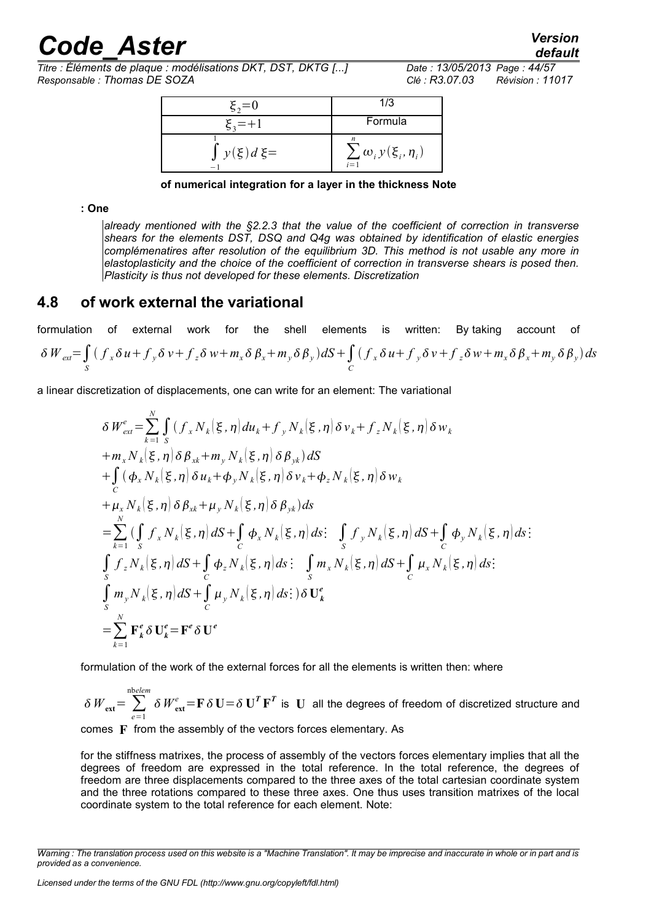*Titre : Éléments de plaque : modélisations DKT, DST, DKTG [...] Date : 13/05/2013 Page : 44/57 Responsable : Thomas DE SOZA Clé : R3.07.03 Révision : 11017*

| $\xi_2 = 0$   | 1/3                                       |
|---------------|-------------------------------------------|
| $\xi_3 = +1$  | Formula                                   |
| $y(\xi)d\xi=$ | $\sum \omega_i y(\xi_i, \eta_i)$<br>$i=1$ |

#### **of numerical integration for a layer in the thickness Note**

#### **: One**

*already mentioned with the §2.2.3 that the value of the coefficient of correction in transverse shears for the elements DST, DSQ and Q4g was obtained by identification of elastic energies complémenatires after resolution of the equilibrium 3D. This method is not usable any more in elastoplasticity and the choice of the coefficient of correction in transverse shears is posed then. Plasticity is thus not developed for these elements. Discretization*

### **4.8 of work external the variational**

formulation of external work for the shell elements is written: By taking account of  $\delta W_{ext} = \int_{S}$  $(f_x \delta u + f_y \delta v + f_z \delta w + m_x \delta \beta_x + m_y \delta \beta_y) dS + \int_C$  $(f_x \delta u + f_y \delta v + f_z \delta w + m_x \delta \beta_x + m_y \delta \beta_y) ds$ 

a linear discretization of displacements, one can write for an element: The variational

$$
\delta W_{ext}^{e} = \sum_{k=1}^{N} \int_{S} (f_{x} N_{k}|\xi, \eta) du_{k} + f_{y} N_{k}|\xi, \eta) \delta v_{k} + f_{z} N_{k}|\xi, \eta) \delta w_{k}
$$
  
+  $m_{x} N_{k}|\xi, \eta) \delta \beta_{x k} + m_{y} N_{k}|\xi, \eta) \delta \beta_{y k} dS$   
+  $\int_{C} (\phi_{x} N_{k}|\xi, \eta) \delta u_{k} + \phi_{y} N_{k}|\xi, \eta) \delta v_{k} + \phi_{z} N_{k}|\xi, \eta) \delta w_{k}$   
+  $\mu_{x} N_{k}|\xi, \eta) \delta \beta_{x k} + \mu_{y} N_{k}|\xi, \eta) \delta \beta_{y k} dS$   
=  $\sum_{k=1}^{N} (\int_{S} f_{x} N_{k}|\xi, \eta) dS + \int_{C} \phi_{x} N_{k}|\xi, \eta) dS$ :  $\int_{S} f_{y} N_{k}|\xi, \eta) dS + \int_{C} \phi_{y} N_{k}|\xi, \eta) dS$   
=  $\int_{S} f_{z} N_{k}|\xi, \eta) dS + \int_{C} \phi_{z} N_{k}|\xi, \eta) dS$ :  $\int_{S} m_{x} N_{k}|\xi, \eta) dS + \int_{C} \mu_{x} N_{k}|\xi, \eta) dS$   
=  $\int_{S} m_{y} N_{k}|\xi, \eta) dS + \int_{C} \mu_{y} N_{k}|\xi, \eta) dS$ :  $\delta U_{k}^{e}$   
=  $\sum_{k=1}^{N} \mathbf{F}_{k}^{e} \delta U_{k}^{e} = \mathbf{F}^{e} \delta U^{e}$ 

formulation of the work of the external forces for all the elements is written then: where

$$
\delta W_{\text{ext}} = \sum_{e=1}^{\text{nbelem}} \delta W_{\text{ext}}^e = \mathbf{F} \delta \mathbf{U} = \delta \mathbf{U}^T \mathbf{F}^T
$$
 is **U** all the degrees of freedom of discretized structure and

comes **F** from the assembly of the vectors forces elementary. As

for the stiffness matrixes, the process of assembly of the vectors forces elementary implies that all the degrees of freedom are expressed in the total reference. In the total reference, the degrees of freedom are three displacements compared to the three axes of the total cartesian coordinate system and the three rotations compared to these three axes. One thus uses transition matrixes of the local coordinate system to the total reference for each element. Note:

*Warning : The translation process used on this website is a "Machine Translation". It may be imprecise and inaccurate in whole or in part and is provided as a convenience.*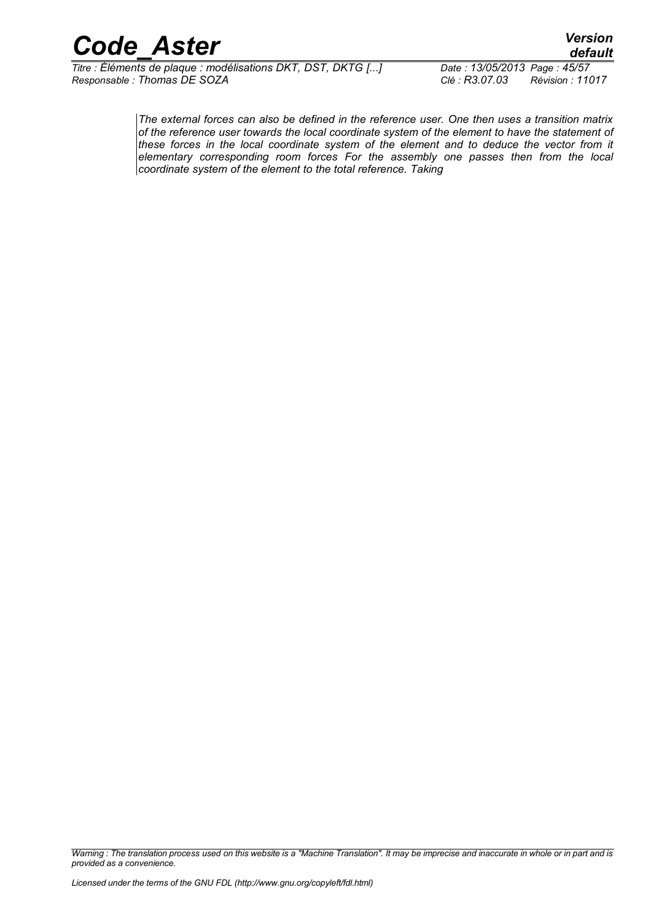*Titre : Éléments de plaque : modélisations DKT, DST, DKTG [...] Date : 13/05/2013 Page : 45/57 Responsable : Thomas DE SOZA Clé : R3.07.03 Révision : 11017*

*default*

*The external forces can also be defined in the reference user. One then uses a transition matrix of the reference user towards the local coordinate system of the element to have the statement of these forces in the local coordinate system of the element and to deduce the vector from it elementary corresponding room forces For the assembly one passes then from the local coordinate system of the element to the total reference. Taking*

*Warning : The translation process used on this website is a "Machine Translation". It may be imprecise and inaccurate in whole or in part and is provided as a convenience.*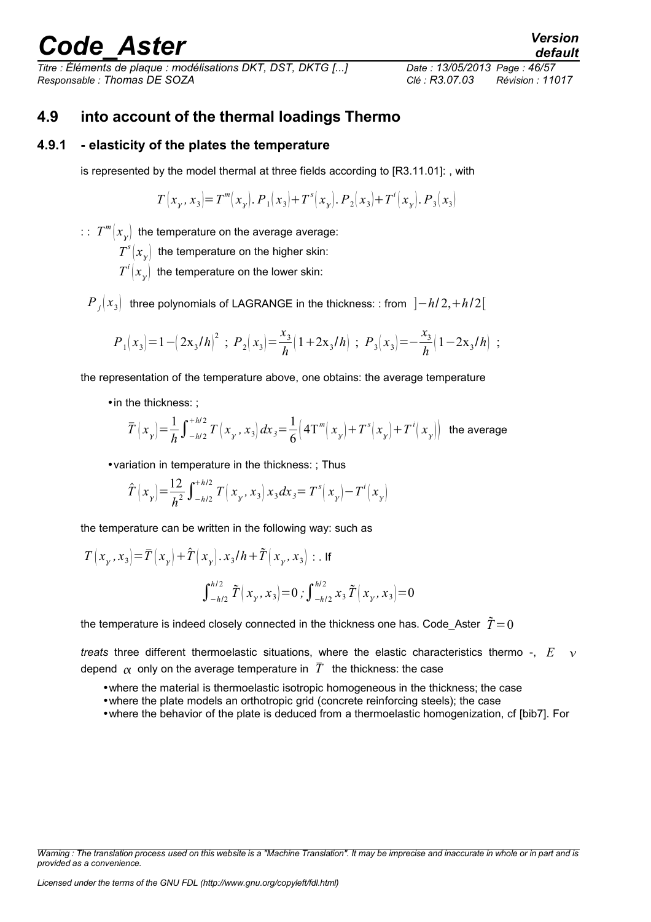*Titre : Éléments de plaque : modélisations DKT, DST, DKTG [...] Date : 13/05/2013 Page : 46/57 Responsable : Thomas DE SOZA Clé : R3.07.03 Révision : 11017*

### **4.9 into account of the thermal loadings Thermo**

#### **4.9.1 - elasticity of the plates the temperature**

is represented by the model thermal at three fields according to [R3.11.01]: , with

$$
T(x_{y}, x_{3}) = T^{m}(x_{y}). P_{1}(x_{3}) + T^{s}(x_{y}). P_{2}(x_{3}) + T^{i}(x_{y}). P_{3}(x_{3})
$$

 $\therefore$   $T^{m}\big(x_{_{\mathcal{Y}}}\big)$  the temperature on the average average:

 $T^{s}(x_{y})$  the temperature on the higher skin:

 $T^{i}(x_{y})$  the temperature on the lower skin:

 $P$  *j*  $[x_3]$  three polynomials of LAGRANGE in the thickness: : from  $]-h/2,+h/2[$ 

$$
P_1(x_3) = 1 - (2x_3/h)^2 \ ; \ P_2(x_3) = \frac{x_3}{h} (1 + 2x_3/h) \ ; \ P_3(x_3) = -\frac{x_3}{h} (1 - 2x_3/h) \ ;
$$

the representation of the temperature above, one obtains: the average temperature

• in the thickness: :

$$
\overline{T}\left(x_{_{\mathcal{Y}}}\right)\!=\!\frac{1}{h}\!\int_{-h/2}^{+h/2}T\left(x_{_{\mathcal{Y}}},x_{3}\right)dx_{_{\mathcal{S}}}\!=\!\frac{1}{6}\!\left(4T''\!\left(x_{_{\mathcal{Y}}}\right)\!+\!T^{_{\mathcal{S}}}\!\!\left(x_{_{\mathcal{Y}}}\right)\!+\!T^{^{_{\mathcal{I}}}}\!\!\left(x_{_{\mathcal{Y}}}\right)\!\right)~~\text{the average}
$$

•variation in temperature in the thickness: ; Thus

$$
\hat{T}(x_{y}) = \frac{12}{h^{2}} \int_{-h/2}^{h/2} T(x_{y}, x_{3}) x_{3} dx_{3} = T^{s}(x_{y}) - T^{i}(x_{y})
$$

the temperature can be written in the following way: such as

$$
T(x_y, x_3) = \overline{T}(x_y) + \hat{T}(x_y) \cdot x_3 / h + \tilde{T}(x_y, x_3) : \text{ If}
$$
  

$$
\int_{-h/2}^{h/2} \tilde{T}(x_y, x_3) = 0 ; \int_{-h/2}^{h/2} x_3 \tilde{T}(x_y, x_3) = 0
$$

the temperature is indeed closely connected in the thickness one has. Code Aster  $\tilde{T} = 0$ 

*treats* three different thermoelastic situations, where the elastic characteristics thermo -,  $E \rightarrow \nu$ depend  $\alpha$  only on the average temperature in  $\overline{T}$  the thickness: the case

- •where the material is thermoelastic isotropic homogeneous in the thickness; the case
- •where the plate models an orthotropic grid (concrete reinforcing steels); the case
- •where the behavior of the plate is deduced from a thermoelastic homogenization, cf [bib7]. For

*Warning : The translation process used on this website is a "Machine Translation". It may be imprecise and inaccurate in whole or in part and is provided as a convenience.*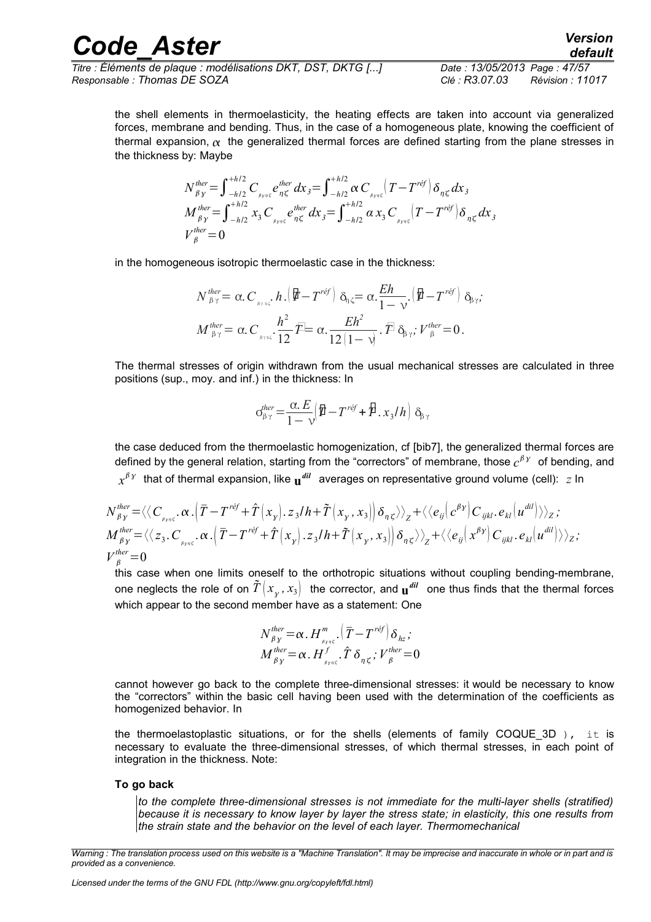| <b>Code Aster</b>                                            | <b>Version</b><br>default          |
|--------------------------------------------------------------|------------------------------------|
| Titre : Éléments de plaque : modélisations DKT, DST, DKTG [] | Date: 13/05/2013 Page: 47/57       |
| Responsable : Thomas DE SOZA                                 | Révision : 11017<br>Clé : R3.07.03 |

the shell elements in thermoelasticity, the heating effects are taken into account via generalized forces, membrane and bending. Thus, in the case of a homogeneous plate, knowing the coefficient of thermal expansion,  $\alpha$  the generalized thermal forces are defined starting from the plane stresses in the thickness by: Maybe

$$
N_{\beta\gamma}^{ther} = \int_{-h/2}^{+h/2} C_{\beta\gamma\eta\zeta} e_{\eta\zeta}^{ther} dx_3 = \int_{-h/2}^{+h/2} \alpha C_{\beta\gamma\eta\zeta} (T - T^{r\theta}) \delta_{\eta\zeta} dx_3
$$
  
\n
$$
M_{\beta\gamma}^{ther} = \int_{-h/2}^{+h/2} x_3 C_{\beta\gamma\eta\zeta} e_{\eta\zeta}^{ther} dx_3 = \int_{-h/2}^{+h/2} \alpha x_3 C_{\beta\gamma\eta\zeta} (T - T^{r\theta}) \delta_{\eta\zeta} dx_3
$$
  
\n
$$
V_{\beta}^{ther} = 0
$$

in the homogeneous isotropic thermoelastic case in the thickness:

$$
N_{\beta\gamma}^{\text{ther}} = \alpha_{\cdot} C_{\beta\gamma\eta\zeta}^{\cdot} h \cdot (\mathbf{F} - T^{\text{ref}}) \delta_{\eta\zeta} = \alpha_{\cdot} \frac{Eh}{1 - \nu} \cdot (\mathbf{F} - T^{\text{ref}}) \delta_{\beta\gamma};
$$
  

$$
M_{\beta\gamma}^{\text{ther}} = \alpha_{\cdot} C_{\beta\gamma\eta\zeta}^{\cdot} \cdot \frac{h^2}{12} \mathcal{F} = \alpha_{\cdot} \frac{Eh^2}{12(1 - \nu)} \cdot \mathcal{F} \delta_{\beta\gamma}; \quad V_{\beta}^{\text{ther}} = 0.
$$

The thermal stresses of origin withdrawn from the usual mechanical stresses are calculated in three positions (sup., moy. and inf.) in the thickness: In

$$
G^{her}_{\beta\gamma} \! = \! \frac{\alpha. \, E}{1-\sqrt{}} \! \left( \pmb{\overline{p}} - T^{\textit{ref}} \! + \pmb{\overline{p}} \! \right. . \! x_{3}/\textit{h} \! \left) \; \delta_{\!\scriptscriptstyle\beta\gamma}
$$

the case deduced from the thermoelastic homogenization, cf [bib7], the generalized thermal forces are defined by the general relation, starting from the "correctors" of membrane, those  $c^{\beta\gamma}$  of bending, and  $x^{\beta\gamma}$  that of thermal expansion, like  $\mathbf{u}^{dil}$  averages on representative ground volume (cell):  $z$  In

$$
N_{\beta\gamma}^{\text{ther}} = \langle \langle C_{\beta\gamma\eta\zeta} \cdot \alpha \cdot (\overline{T} - T^{\text{ref}} + \hat{T} | x_{\gamma} \rangle . z_{3} / h + \tilde{T} | x_{\gamma}, x_{3} |) \delta_{\eta\zeta} \rangle \rangle_{Z} + \langle \langle e_{ij} | c^{\beta\gamma} | C_{ijkl} . e_{kl} | u^{dil} | \rangle \rangle_{Z};
$$
  
\n
$$
M_{\beta\gamma}^{\text{ther}} = \langle \langle z_{3} . C_{\beta\gamma\eta\zeta} \cdot \alpha \cdot (\overline{T} - T^{\text{ref}} + \hat{T} | x_{\gamma} \rangle . z_{3} / h + \tilde{T} | x_{\gamma}, x_{3} |) \delta_{\eta\zeta} \rangle \rangle_{Z} + \langle \langle e_{ij} | x^{\beta\gamma} | C_{ijkl} . e_{kl} | u^{dil} | \rangle \rangle_{Z};
$$
  
\n
$$
V_{\beta}^{\text{ther}} = 0
$$

this case when one limits oneself to the orthotropic situations without coupling bending-membrane, one neglects the role of on  $\tilde T\big(x_\chi^{},x_3\big)$  the corrector, and  ${\bf u}^{dil}$  one thus finds that the thermal forces which appear to the second member have as a statement: One

$$
N_{\beta\gamma}^{ther} = \alpha. H_{\beta\gamma\pi\zeta}^{m} . (\bar{T} - T^{r\acute{e}f}) \delta_{\hbar z} ;
$$
  
\n
$$
M_{\beta\gamma}^{ther} = \alpha. H_{\beta\gamma\pi\zeta}^{f} . \hat{T} \delta_{\eta\zeta} ; V_{\beta}^{ther} = 0
$$

cannot however go back to the complete three-dimensional stresses: it would be necessary to know the "correctors" within the basic cell having been used with the determination of the coefficients as homogenized behavior. In

the thermoelastoplastic situations, or for the shells (elements of family COQUE 3D ), it is necessary to evaluate the three-dimensional stresses, of which thermal stresses, in each point of integration in the thickness. Note:

#### **To go back**

*to the complete three-dimensional stresses is not immediate for the multi-layer shells (stratified) because it is necessary to know layer by layer the stress state; in elasticity, this one results from the strain state and the behavior on the level of each layer. Thermomechanical*

*Licensed under the terms of the GNU FDL (http://www.gnu.org/copyleft/fdl.html)*

*Warning : The translation process used on this website is a "Machine Translation". It may be imprecise and inaccurate in whole or in part and is provided as a convenience.*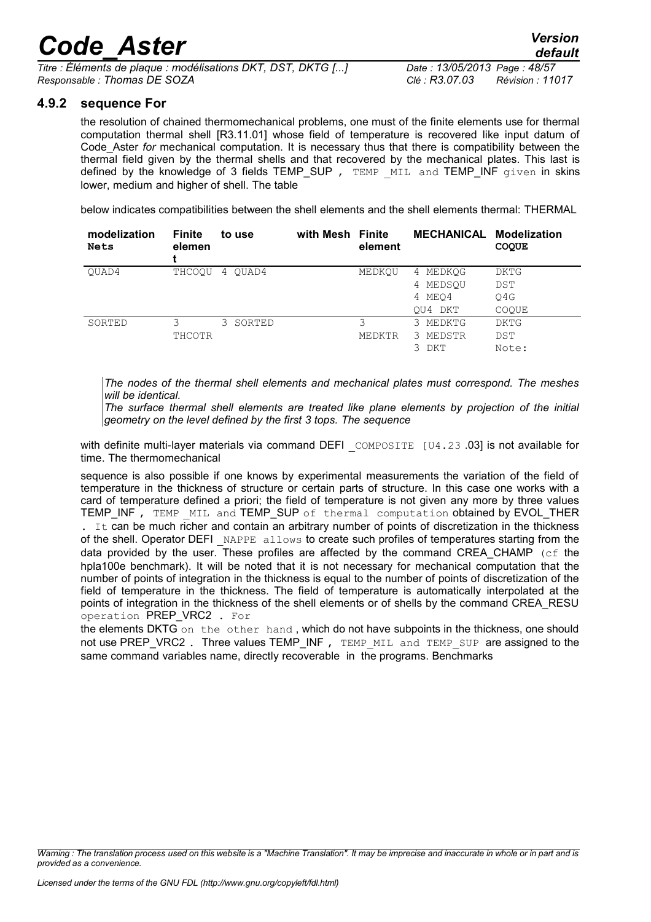*Titre : Éléments de plaque : modélisations DKT, DST, DKTG [...] Date : 13/05/2013 Page : 48/57 Responsable : Thomas DE SOZA Clé : R3.07.03 Révision : 11017*

#### **4.9.2 sequence For**

the resolution of chained thermomechanical problems, one must of the finite elements use for thermal computation thermal shell [R3.11.01] whose field of temperature is recovered like input datum of Code Aster *for* mechanical computation. It is necessary thus that there is compatibility between the thermal field given by the thermal shells and that recovered by the mechanical plates. This last is defined by the knowledge of 3 fields TEMP\_SUP, TEMP MIL and TEMP\_INF given in skins lower, medium and higher of shell. The table

below indicates compatibilities between the shell elements and the shell elements thermal: THERMAL

| modelization<br><b>Nets</b> | <b>Finite</b><br>elemen | to use       | with Mesh Finite | element | <b>MECHANICAL Modelization</b> | <b>COOUE</b> |
|-----------------------------|-------------------------|--------------|------------------|---------|--------------------------------|--------------|
| OUAD4                       | THCOOU                  | OUAD4<br>4   |                  | MEDKOU  | 4 MEDKOG                       | DKTG         |
|                             |                         |              |                  |         | 4 MEDSOU                       | DST          |
|                             |                         |              |                  |         | 4 MEO4                         | O4G          |
|                             |                         |              |                  |         | OU4 DKT                        | COOUE        |
| SORTED                      | 3                       | 3.<br>SORTED |                  | 3       | 3 MEDKTG                       | DKTG         |
|                             | THCOTR                  |              |                  | MEDKTR  | 3 MEDSTR                       | DST          |
|                             |                         |              |                  |         | 3 DKT                          | Note:        |

*The nodes of the thermal shell elements and mechanical plates must correspond. The meshes will be identical.* 

*The surface thermal shell elements are treated like plane elements by projection of the initial geometry on the level defined by the first 3 tops. The sequence*

with definite multi-layer materials via command DEFI COMPOSITE [U4.23.03] is not available for time. The thermomechanical

sequence is also possible if one knows by experimental measurements the variation of the field of temperature in the thickness of structure or certain parts of structure. In this case one works with a card of temperature defined a priori; the field of temperature is not given any more by three values TEMP INF, TEMP MIL and TEMP SUP of thermal computation obtained by EVOL THER It can be much richer and contain an arbitrary number of points of discretization in the thickness of the shell. Operator DEFI NAPPE allows to create such profiles of temperatures starting from the data provided by the user. These profiles are affected by the command CREA CHAMP (cf the hpla100e benchmark). It will be noted that it is not necessary for mechanical computation that the number of points of integration in the thickness is equal to the number of points of discretization of the field of temperature in the thickness. The field of temperature is automatically interpolated at the points of integration in the thickness of the shell elements or of shells by the command CREA\_RESU operation PREP\_VRC2 . For

the elements DKTG on the other hand , which do not have subpoints in the thickness, one should not use PREP\_VRC2. Three values TEMP\_INF, TEMP\_MIL and TEMP\_SUP\_are assigned to the same command variables name, directly recoverable in the programs. Benchmarks

*Warning : The translation process used on this website is a "Machine Translation". It may be imprecise and inaccurate in whole or in part and is provided as a convenience.*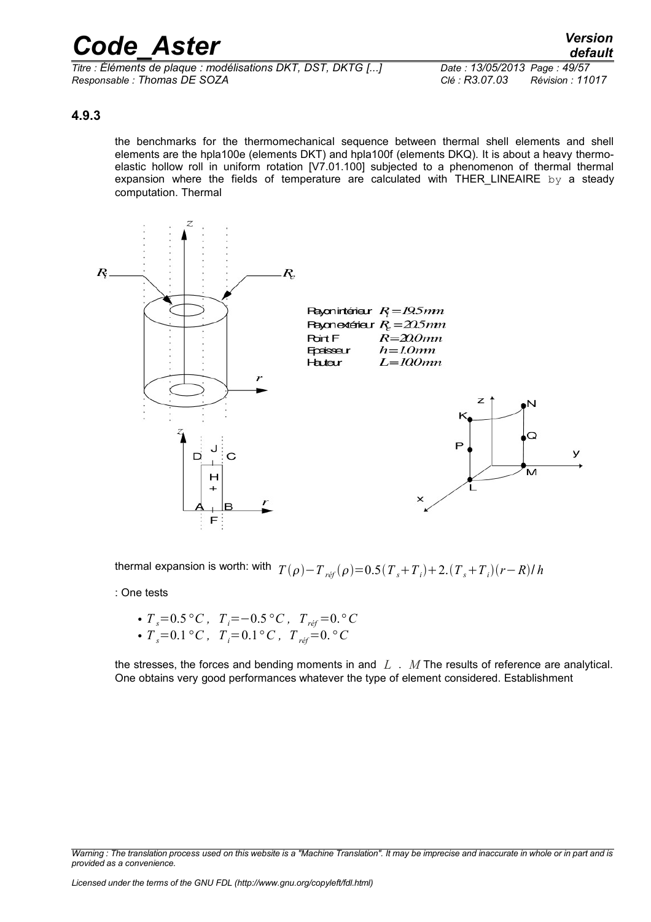*Titre : Éléments de plaque : modélisations DKT, DST, DKTG [...] Date : 13/05/2013 Page : 49/57 Responsable : Thomas DE SOZA Clé : R3.07.03 Révision : 11017*

*default*

#### **4.9.3**

the benchmarks for the thermomechanical sequence between thermal shell elements and shell elements are the hpla100e (elements DKT) and hpla100f (elements DKQ). It is about a heavy thermoelastic hollow roll in uniform rotation [V7.01.100] subjected to a phenomenon of thermal thermal expansion where the fields of temperature are calculated with THER\_LINEAIRE by a steady computation. Thermal



thermal expansion is worth: with  $\; T(\rho) \!-\! T_{\it ref}(\rho) \!=\! 0.5(T_{\it s} \!+\! T_{\it i}) \!+\! 2.(T_{\it s} \!+\! T_{\it i})(r \!-\! R) / \, h$ 

: One tests

• 
$$
T_s = 0.5 \degree C
$$
,  $T_i = -0.5 \degree C$ ,  $T_{\text{ref}} = 0. \degree C$   
\n•  $T_s = 0.1 \degree C$ ,  $T_i = 0.1 \degree C$ ,  $T_{\text{ref}} = 0. \degree C$ 

the stresses, the forces and bending moments in and *L* . *M* The results of reference are analytical. One obtains very good performances whatever the type of element considered. Establishment

*Warning : The translation process used on this website is a "Machine Translation". It may be imprecise and inaccurate in whole or in part and is provided as a convenience.*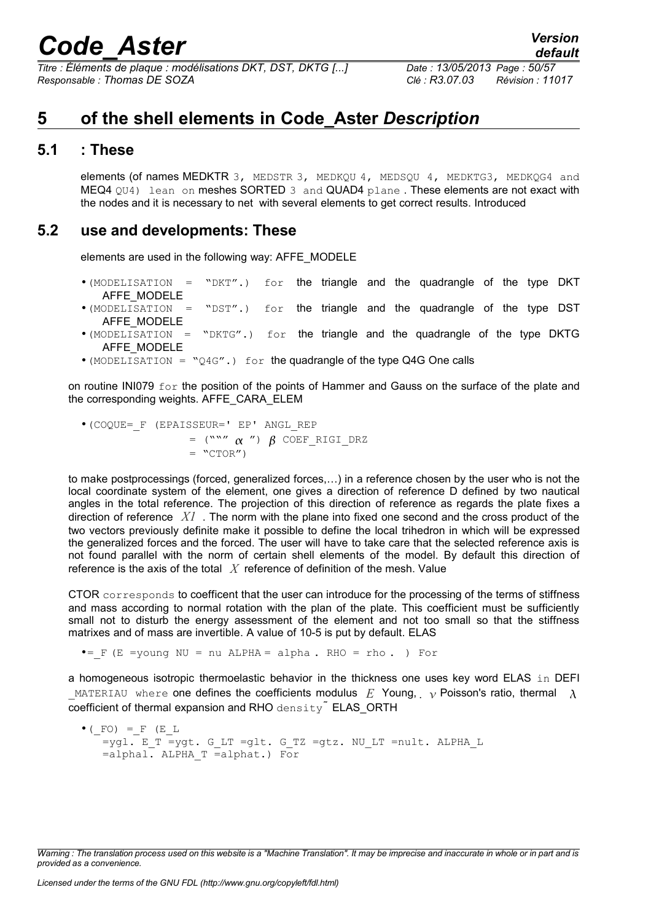*Titre : Éléments de plaque : modélisations DKT, DST, DKTG [...] Date : 13/05/2013 Page : 50/57 Responsable : Thomas DE SOZA Clé : R3.07.03 Révision : 11017*

### **5 of the shell elements in Code\_Aster** *Description*

#### **5.1 : These**

elements (of names MEDKTR 3, MEDSTR 3, MEDKQU 4, MEDSQU 4, MEDKTG3, MEDKQG4 and MEQ4 0U4) lean on meshes SORTED 3 and QUAD4 plane. These elements are not exact with the nodes and it is necessary to net with several elements to get correct results. Introduced

### **5.2 use and developments: These**

elements are used in the following way: AFFE\_MODELE

- $\bullet$  (MODELISATION = "DKT".) for the triangle and the quadrangle of the type DKT AFFE\_MODELE
- •(MODELISATION = "DST".) for the triangle and the quadrangle of the type DST AFFE\_MODELE
- $\bullet$  (MODELISATION = "DKTG".) for the triangle and the quadrangle of the type DKTG AFFE\_MODELE
- (MODELISATION = "Q4G".) for the quadrangle of the type Q4G One calls

on routine INI079  $for$  the position of the points of Hammer and Gauss on the surface of the plate and the corresponding weights. AFFE\_CARA\_ELEM

•(COQUE=\_F (EPAISSEUR=' EP' ANGL\_REP = ("""  $\alpha$ ")  $\beta$  COEF RIGI DRZ  $=$  "CTOR")

to make postprocessings (forced, generalized forces,…) in a reference chosen by the user who is not the local coordinate system of the element, one gives a direction of reference D defined by two nautical angles in the total reference. The projection of this direction of reference as regards the plate fixes a direction of reference *X1* . The norm with the plane into fixed one second and the cross product of the two vectors previously definite make it possible to define the local trihedron in which will be expressed the generalized forces and the forced. The user will have to take care that the selected reference axis is not found parallel with the norm of certain shell elements of the model. By default this direction of reference is the axis of the total *X* reference of definition of the mesh. Value

CTOR corresponds to coefficent that the user can introduce for the processing of the terms of stiffness and mass according to normal rotation with the plan of the plate. This coefficient must be sufficiently small not to disturb the energy assessment of the element and not too small so that the stiffness matrixes and of mass are invertible. A value of 10-5 is put by default. ELAS

•=  $F$  (E =young NU = nu ALPHA = alpha . RHO = rho . ) For

a homogeneous isotropic thermoelastic behavior in the thickness one uses key word ELAS in DEFI MATERIAU where one defines the coefficients modulus *E* Young,  $\sqrt{P}$  Poisson's ratio, thermal  $\lambda$ coefficient of thermal expansion and RHO density  $\tilde{E}$  ELAS ORTH

 $\bullet$  (FO) = F (E L  $=ygl.$  E T =ygt. G LT =glt. G TZ =gtz. NU LT =nult. ALPHA L =alphal. ALPHA\_T =alphat.) For

*Warning : The translation process used on this website is a "Machine Translation". It may be imprecise and inaccurate in whole or in part and is provided as a convenience.*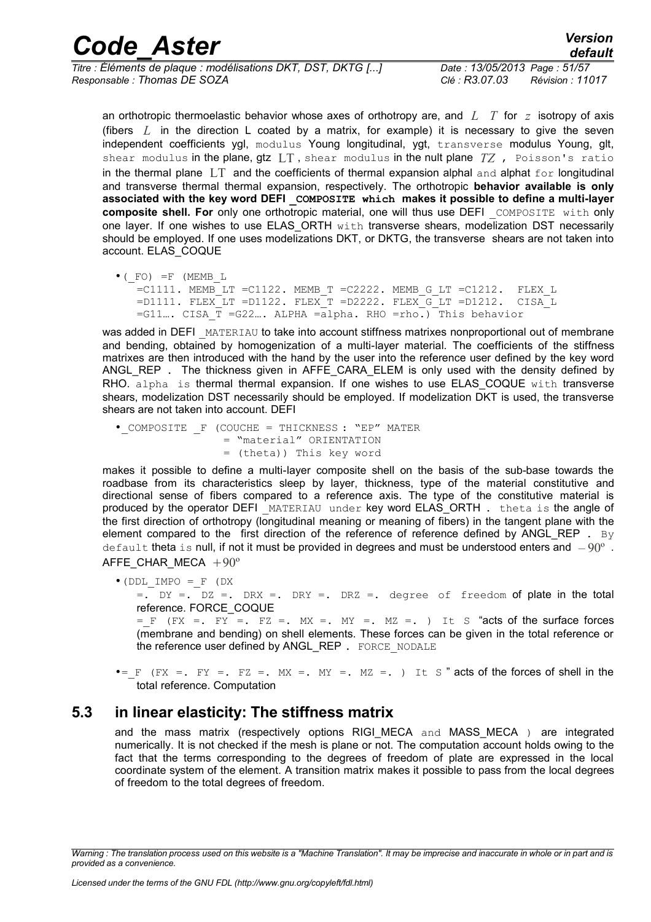| <b>Code Aster</b>                                            | <b>Version</b><br>default    |
|--------------------------------------------------------------|------------------------------|
| Titre : Éléments de plaque : modélisations DKT, DST, DKTG [] | Date: 13/05/2013 Page: 51/57 |

*Responsable : Thomas DE SOZA Clé : R3.07.03 Révision : 11017*

an orthotropic thermoelastic behavior whose axes of orthotropy are, and *L T* for *z* isotropy of axis (fibers *L* in the direction L coated by a matrix, for example) it is necessary to give the seven independent coefficients ygl, modulus Young longitudinal, ygt, transverse modulus Young, glt, shear modulus in the plane, gtz LT , shear modulus in the nult plane *TZ* , Poisson's ratio in the thermal plane  $LT$  and the coefficients of thermal expansion alphal and alphat  $for$  longitudinal and transverse thermal thermal expansion, respectively. The orthotropic **behavior available is only associated with the key word DEFI \_COMPOSITE which makes it possible to define a multi-layer composite shell. For** only one orthotropic material, one will thus use DEFI **COMPOSITE** with only one layer. If one wishes to use ELAS ORTH with transverse shears, modelization DST necessarily should be employed. If one uses modelizations DKT, or DKTG, the transverse shears are not taken into account. ELAS\_COQUE

```
\bullet (FO) =F (MEMB L
```

```
=C1111. MEMB LT =C1122. MEMB T =C2222. MEMB G LT =C1212. FLEX L
=D1111. FLEX\overline{L}LT =D1122. FLEX\overline{T} =D2222. FLEX\overline{G}LT =D1212. CISA\overline{L}=G11…. CISA_T =G22…. ALPHA =alpha. RHO =rho.) This behavior
```
was added in DEFI MATERIAU to take into account stiffness matrixes nonproportional out of membrane and bending, obtained by homogenization of a multi-layer material. The coefficients of the stiffness matrixes are then introduced with the hand by the user into the reference user defined by the key word ANGL\_REP . The thickness given in AFFE\_CARA\_ELEM is only used with the density defined by RHO. alpha is thermal thermal expansion. If one wishes to use ELAS COQUE with transverse shears, modelization DST necessarily should be employed. If modelization DKT is used, the transverse shears are not taken into account. DEFI

• COMPOSITE F (COUCHE = THICKNESS : "EP" MATER = "material" ORIENTATION = (theta)) This key word

makes it possible to define a multi-layer composite shell on the basis of the sub-base towards the roadbase from its characteristics sleep by layer, thickness, type of the material constitutive and directional sense of fibers compared to a reference axis. The type of the constitutive material is produced by the operator DEFI MATERIAU under key word ELAS\_ORTH . theta is the angle of the first direction of orthotropy (longitudinal meaning or meaning of fibers) in the tangent plane with the element compared to the first direction of the reference of reference defined by ANGL REP . By default theta is null, if not it must be provided in degrees and must be understood enters and *–* 90º . AFFE CHAR MECA  $+90^\circ$ 

 $\bullet$  (DDL IMPO = F (DX)

 $=$ . DY =. DZ =. DRX =. DRY =. DRZ =. degree of freedom of plate in the total reference. FORCE\_COQUE

 $=$  F (FX =. FY =. FZ =. MX =. MY =. MZ =. ) It S "acts of the surface forces (membrane and bending) on shell elements. These forces can be given in the total reference or the reference user defined by ANGL\_REP . FORCE\_NODALE

•=\_F (FX =. FY =. FZ =. MX =. MY =. MZ =. ) It S " acts of the forces of shell in the total reference. Computation

### **5.3 in linear elasticity: The stiffness matrix**

and the mass matrix (respectively options RIGI\_MECA and MASS\_MECA ) are integrated numerically. It is not checked if the mesh is plane or not. The computation account holds owing to the fact that the terms corresponding to the degrees of freedom of plate are expressed in the local coordinate system of the element. A transition matrix makes it possible to pass from the local degrees of freedom to the total degrees of freedom.

*Warning : The translation process used on this website is a "Machine Translation". It may be imprecise and inaccurate in whole or in part and is provided as a convenience.*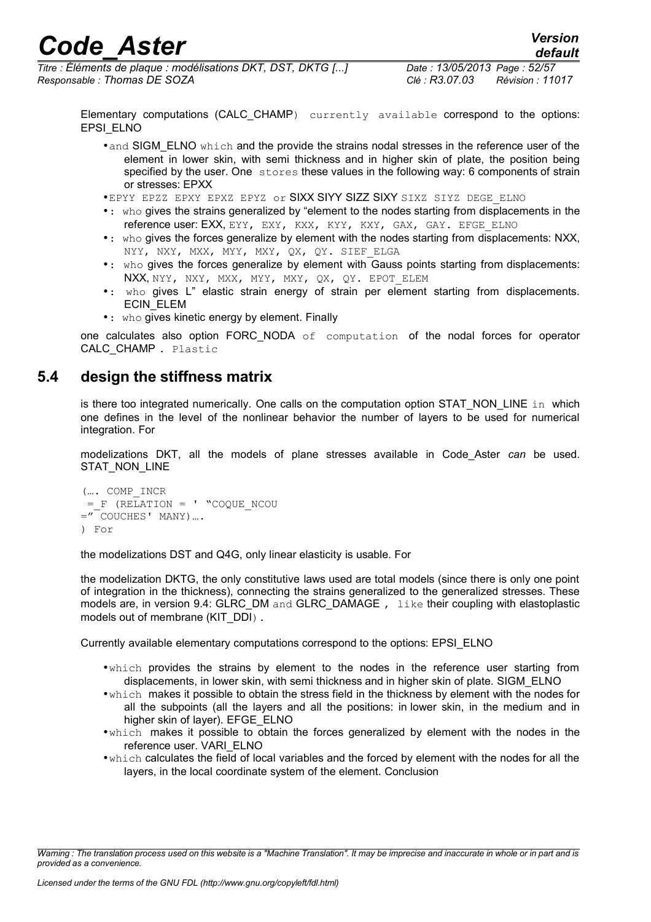*Titre : Éléments de plaque : modélisations DKT, DST, DKTG [...] Date : 13/05/2013 Page : 52/57 Responsable : Thomas DE SOZA Clé : R3.07.03 Révision : 11017*

*default*

Elementary computations (CALC CHAMP) currently available correspond to the options: EPSI\_ELNO

- and SIGM\_ELNO which and the provide the strains nodal stresses in the reference user of the element in lower skin, with semi thickness and in higher skin of plate, the position being specified by the user. One stores these values in the following way: 6 components of strain or stresses: EPXX
- •EPYY EPZZ EPXY EPXZ EPYZ or SIXX SIYY SIZZ SIXY SIXZ SIYZ DEGE\_ELNO
- •: who gives the strains generalized by "element to the nodes starting from displacements in the reference user: EXX, EYY, EXY, KXX, KYY, KXY, GAX, GAY. EFGE\_ELNO
- •: who gives the forces generalize by element with the nodes starting from displacements: NXX, NYY, NXY, MXX, MYY, MXY, QX, QY. SIEF ELGA
- •: who gives the forces generalize by element with Gauss points starting from displacements: NXX, NYY, NXY, MXX, MYY, MXY, QX, QY. EPOT ELEM
- •: who gives L" elastic strain energy of strain per element starting from displacements. ECIN\_ELEM
- : who gives kinetic energy by element. Finally

one calculates also option FORC NODA of computation of the nodal forces for operator CALC\_CHAMP . Plastic

### **5.4 design the stiffness matrix**

is there too integrated numerically. One calls on the computation option STAT\_NON\_LINE in which one defines in the level of the nonlinear behavior the number of layers to be used for numerical integration. For

modelizations DKT, all the models of plane stresses available in Code\_Aster *can* be used. STAT\_NON\_LINE

```
(…. COMP_INCR
 =_F (RELATION = ' "COQUE_NCOU
=" COUCHES' MANY)….
) For
```
the modelizations DST and Q4G, only linear elasticity is usable. For

the modelization DKTG, the only constitutive laws used are total models (since there is only one point of integration in the thickness), connecting the strains generalized to the generalized stresses. These models are, in version 9.4: GLRC\_DM and GLRC\_DAMAGE, like their coupling with elastoplastic models out of membrane (KIT\_DDI).

Currently available elementary computations correspond to the options: EPSI\_ELNO

- •which provides the strains by element to the nodes in the reference user starting from displacements, in lower skin, with semi thickness and in higher skin of plate. SIGM\_ELNO
- •which makes it possible to obtain the stress field in the thickness by element with the nodes for all the subpoints (all the layers and all the positions: in lower skin, in the medium and in higher skin of layer). EFGE\_ELNO
- •which makes it possible to obtain the forces generalized by element with the nodes in the reference user. VARI\_ELNO
- •which calculates the field of local variables and the forced by element with the nodes for all the layers, in the local coordinate system of the element. Conclusion

*Warning : The translation process used on this website is a "Machine Translation". It may be imprecise and inaccurate in whole or in part and is provided as a convenience.*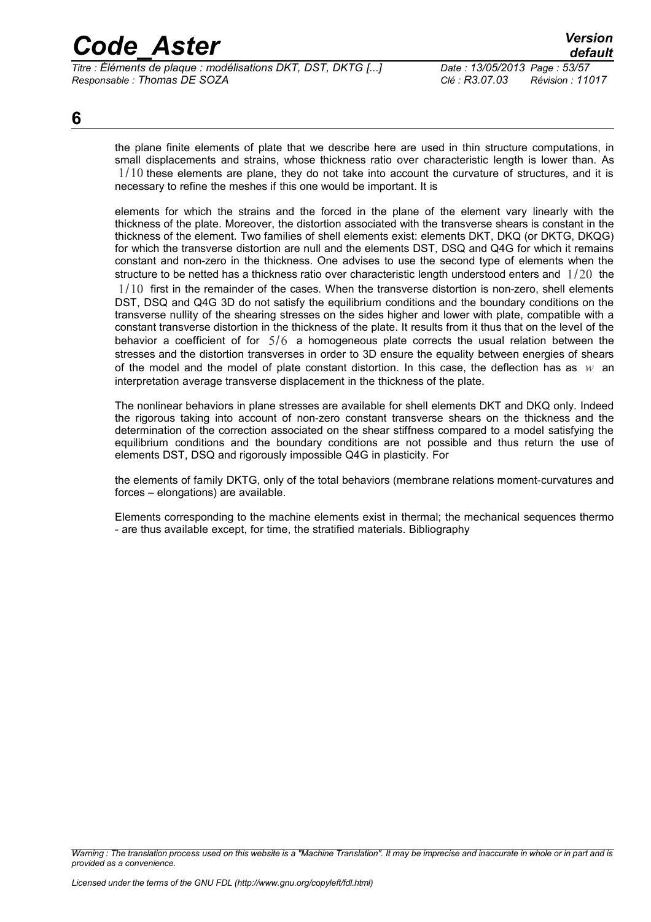*Titre : Éléments de plaque : modélisations DKT, DST, DKTG [...] Date : 13/05/2013 Page : 53/57 Responsable : Thomas DE SOZA Clé : R3.07.03 Révision : 11017*

**6**

the plane finite elements of plate that we describe here are used in thin structure computations, in small displacements and strains, whose thickness ratio over characteristic length is lower than. As  $1/10$  these elements are plane, they do not take into account the curvature of structures, and it is necessary to refine the meshes if this one would be important. It is

elements for which the strains and the forced in the plane of the element vary linearly with the thickness of the plate. Moreover, the distortion associated with the transverse shears is constant in the thickness of the element. Two families of shell elements exist: elements DKT, DKQ (or DKTG, DKQG) for which the transverse distortion are null and the elements DST, DSQ and Q4G for which it remains constant and non-zero in the thickness. One advises to use the second type of elements when the structure to be netted has a thickness ratio over characteristic length understood enters and 1/20 the  $1/10$  first in the remainder of the cases. When the transverse distortion is non-zero, shell elements DST, DSQ and Q4G 3D do not satisfy the equilibrium conditions and the boundary conditions on the transverse nullity of the shearing stresses on the sides higher and lower with plate, compatible with a constant transverse distortion in the thickness of the plate. It results from it thus that on the level of the behavior a coefficient of for  $5/6$  a homogeneous plate corrects the usual relation between the stresses and the distortion transverses in order to 3D ensure the equality between energies of shears of the model and the model of plate constant distortion. In this case, the deflection has as *w* an interpretation average transverse displacement in the thickness of the plate.

The nonlinear behaviors in plane stresses are available for shell elements DKT and DKQ only. Indeed the rigorous taking into account of non-zero constant transverse shears on the thickness and the determination of the correction associated on the shear stiffness compared to a model satisfying the equilibrium conditions and the boundary conditions are not possible and thus return the use of elements DST, DSQ and rigorously impossible Q4G in plasticity. For

the elements of family DKTG, only of the total behaviors (membrane relations moment-curvatures and forces – elongations) are available.

Elements corresponding to the machine elements exist in thermal; the mechanical sequences thermo - are thus available except, for time, the stratified materials. Bibliography

*Warning : The translation process used on this website is a "Machine Translation". It may be imprecise and inaccurate in whole or in part and is provided as a convenience.*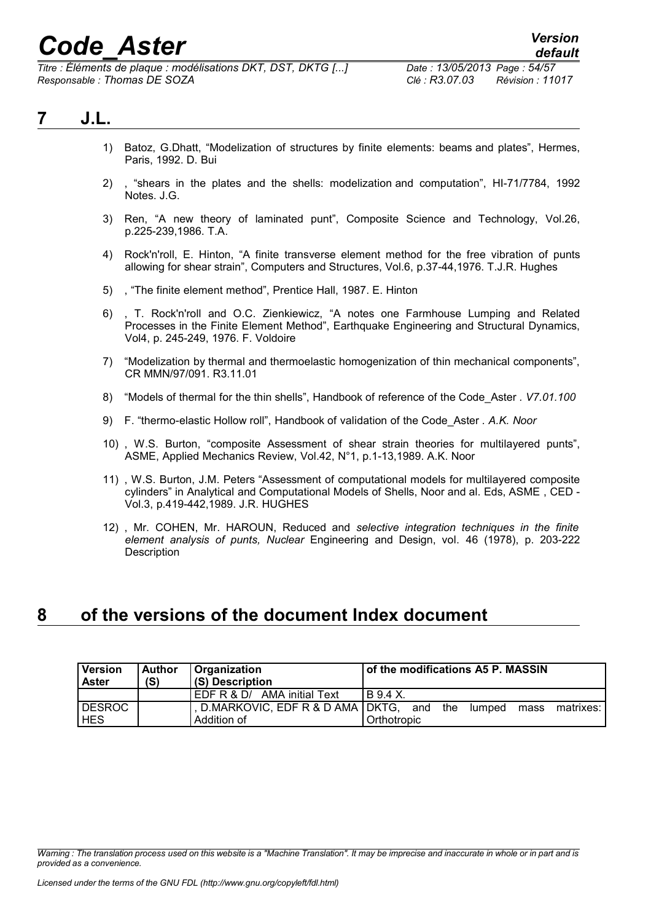### **7 J.L.**

- 1) Batoz, G.Dhatt, "Modelization of structures by finite elements: beams and plates", Hermes, Paris, 1992. D. Bui
- 2) , "shears in the plates and the shells: modelization and computation", HI-71/7784, 1992 Notes. J.G.
- 3) Ren, "A new theory of laminated punt", Composite Science and Technology, Vol.26, p.225-239,1986. T.A.
- 4) Rock'n'roll, E. Hinton, "A finite transverse element method for the free vibration of punts allowing for shear strain", Computers and Structures, Vol.6, p.37-44,1976. T.J.R. Hughes
- 5) , "The finite element method", Prentice Hall, 1987. E. Hinton
- 6) , T. Rock'n'roll and O.C. Zienkiewicz, "A notes one Farmhouse Lumping and Related Processes in the Finite Element Method", Earthquake Engineering and Structural Dynamics, Vol4, p. 245-249, 1976. F. Voldoire
- 7) "Modelization by thermal and thermoelastic homogenization of thin mechanical components", CR MMN/97/091. R3.11.01
- 8) "Models of thermal for the thin shells", Handbook of reference of the Code\_Aster *. V7.01.100*
- 9) F. "thermo-elastic Hollow roll", Handbook of validation of the Code\_Aster *. A.K. Noor*
- 10) , W.S. Burton, "composite Assessment of shear strain theories for multilayered punts", ASME, Applied Mechanics Review, Vol.42, N°1, p.1-13,1989. A.K. Noor
- 11) , W.S. Burton, J.M. Peters "Assessment of computational models for multilayered composite cylinders" in Analytical and Computational Models of Shells, Noor and al. Eds, ASME , CED - Vol.3, p.419-442,1989. J.R. HUGHES
- 12) , Mr. COHEN, Mr. HAROUN, Reduced and *selective integration techniques in the finite element analysis of punts, Nuclear* Engineering and Design, vol. 46 (1978), p. 203-222 **Description**

### **8 of the versions of the document Index document**

| Version<br><b>Aster</b> | <b>Author</b><br>(S) | Organization<br>(S) Description       | of the modifications A5 P. MASSIN  |
|-------------------------|----------------------|---------------------------------------|------------------------------------|
|                         |                      | EDF R & D/ AMA initial Text           | IB 9.4 X.                          |
| DESROC                  |                      | D.MARKOVIC, EDF R & D AMA   DKTG, and | the<br>matrixes:<br>lumped<br>mass |
| l HES                   |                      | Addition of                           | l Orthotropic                      |

*Warning : The translation process used on this website is a "Machine Translation". It may be imprecise and inaccurate in whole or in part and is provided as a convenience.*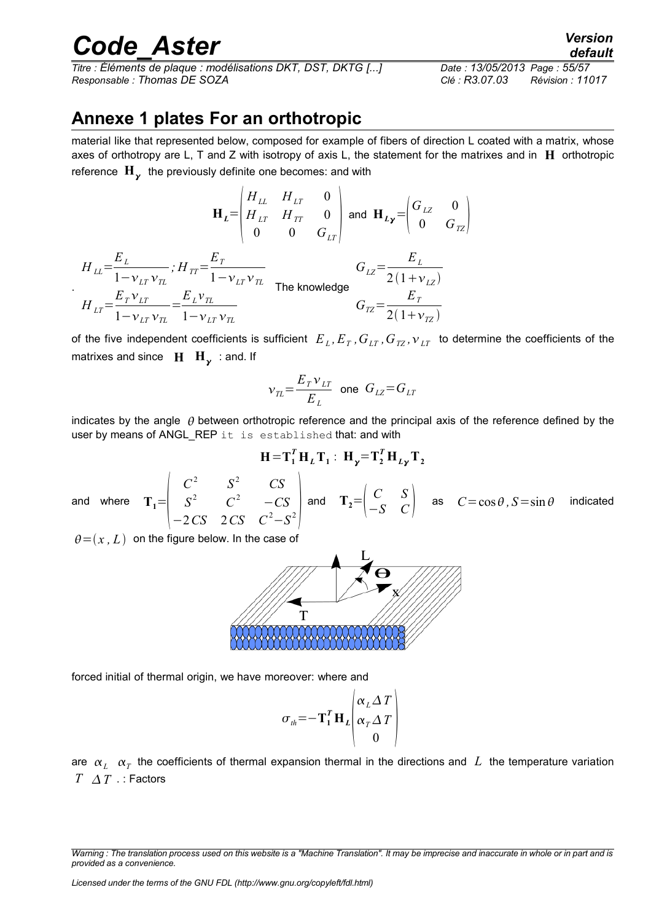.

*Titre : Éléments de plaque : modélisations DKT, DST, DKTG [...] Date : 13/05/2013 Page : 55/57 Responsable : Thomas DE SOZA Clé : R3.07.03 Révision : 11017*

### **Annexe 1 plates For an orthotropic**

material like that represented below, composed for example of fibers of direction L coated with a matrix, whose axes of orthotropy are L, T and Z with isotropy of axis L, the statement for the matrixes and in **H** orthotropic reference  $\mathbf{H}_{\mathbf{y}}^{\top}$  the previously definite one becomes: and with

$$
H_{L} = \begin{pmatrix} H_{LL} & H_{LT} & 0 \\ H_{LT} & H_{TT} & 0 \\ 0 & 0 & G_{LT} \end{pmatrix} \text{ and } H_{Ly} = \begin{pmatrix} G_{LZ} & 0 \\ 0 & G_{TZ} \end{pmatrix}
$$
  
\n
$$
H_{LL} = \frac{E_{L}}{1 - v_{LT}v_{TL}}; H_{TT} = \frac{E_{T}}{1 - v_{LT}v_{TL}}
$$
  
\n
$$
H_{LT} = \frac{E_{T}v_{LT}}{1 - v_{LT}v_{TL}} = \frac{E_{L}v_{TL}}{1 - v_{LT}v_{TL}}
$$
  
\nThe knowledge  
\n
$$
G_{TZ} = \frac{E_{T}}{2(1 + v_{TZ})}
$$

of the five independent coefficients is sufficient  $E_{[L},E_{[T]},G_{LT},G_{TZ},\overline{v}_{LT}$  to determine the coefficients of the matrixes and since  $\mathbf{H} \cdot \mathbf{H}_{\gamma}$  : and. If

$$
v_{\scriptscriptstyle{TL}} = \frac{E_{\scriptscriptstyle{T}} v_{\scriptscriptstyle{LT}}}{E_{\scriptscriptstyle{L}}}
$$
 one  $G_{\scriptscriptstyle{LZ}} = G_{\scriptscriptstyle{LT}}$ 

indicates by the angle  $\theta$  between orthotropic reference and the principal axis of the reference defined by the user by means of ANGL REP it is established that: and with

$$
\mathbf{H} = \mathbf{T}_1^T \mathbf{H}_L \mathbf{T}_1 : \ \mathbf{H}_\gamma = \mathbf{T}_2^T \mathbf{H}_L \mathbf{T}_2
$$

and where  $\mathbf{T}_1 = \begin{bmatrix} 1 & 1 \\ 1 & 1 \end{bmatrix}$  $C^2$  *S*<sup>2</sup> *CS*  $S^2$  *C*<sup>2</sup> −*CS*  $\begin{bmatrix} S^2 & C^2 & -CS \\ -2CS & 2CS & C^2-S^2 \end{bmatrix}$  and  $\mathbf{T}_2 = \begin{bmatrix} C & S \\ -S & C \end{bmatrix}$  $\begin{bmatrix} 0 \\ -S \end{bmatrix}$  as  $C = \cos \theta$ ,  $S = \sin \theta$  indicated

 $\theta = (x, L)$  on the figure below. In the case of



forced initial of thermal origin, we have moreover: where and

$$
\sigma_{th} = -\mathbf{T}_{1}^{T} \mathbf{H}_{L} \begin{pmatrix} \alpha_{L} \Delta T \\ \alpha_{T} \Delta T \\ 0 \end{pmatrix}
$$

are  $\alpha_L$   $\alpha_T$  the coefficients of thermal expansion thermal in the directions and  $L$  the temperature variation  $T \Delta T$  .: Factors

*Warning : The translation process used on this website is a "Machine Translation". It may be imprecise and inaccurate in whole or in part and is provided as a convenience.*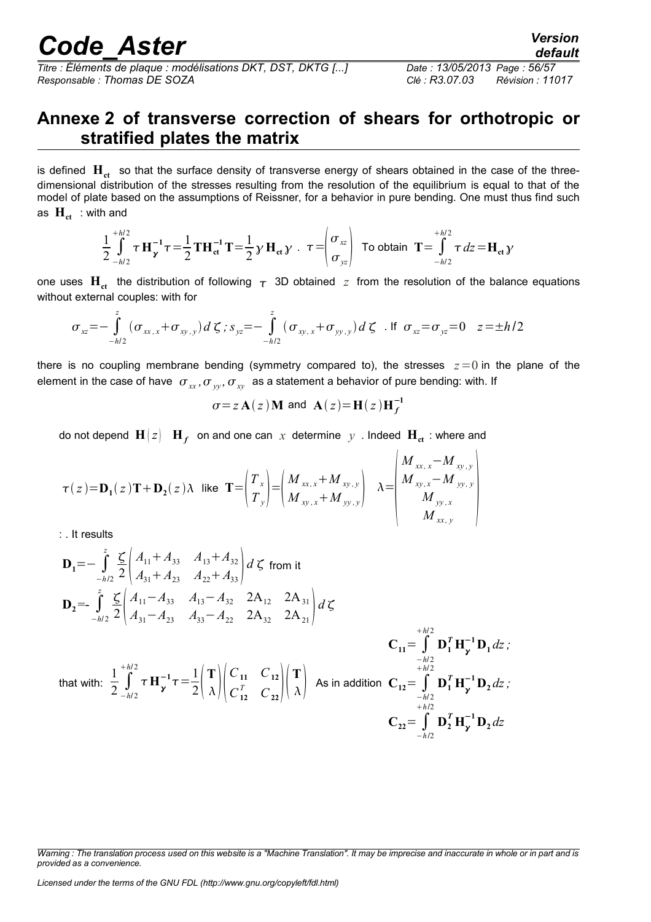*Titre : Éléments de plaque : modélisations DKT, DST, DKTG [...] Date : 13/05/2013 Page : 56/57 Responsable : Thomas DE SOZA Clé : R3.07.03 Révision : 11017*

### **Annexe 2 of transverse correction of shears for orthotropic or stratified plates the matrix**

is defined  $H_{ct}$  so that the surface density of transverse energy of shears obtained in the case of the threedimensional distribution of the stresses resulting from the resolution of the equilibrium is equal to that of the model of plate based on the assumptions of Reissner, for a behavior in pure bending. One must thus find such as  $H_{\text{ct}}$  : with and

$$
\frac{1}{2} \int_{-h/2}^{+h/2} \tau \mathbf{H}_{\gamma}^{-1} \tau = \frac{1}{2} \mathbf{T} \mathbf{H}_{\mathfrak{c} \mathfrak{t}}^{-1} \mathbf{T} = \frac{1}{2} \gamma \mathbf{H}_{\mathfrak{c} \mathfrak{t}} \gamma \cdot \tau = \begin{pmatrix} \sigma_{xz} \\ \sigma_{yz} \end{pmatrix} \text{ To obtain } \mathbf{T} = \int_{-h/2}^{+h/2} \tau dz = \mathbf{H}_{\mathfrak{c} \mathfrak{t}} \gamma
$$

one uses  $H_{ct}$  the distribution of following  $\tau$  3D obtained  $z$  from the resolution of the balance equations without external couples: with for

$$
\sigma_{xz} = -\int_{-h/2}^{z} (\sigma_{xx,x} + \sigma_{xy,y}) d\zeta; s_{yz} = -\int_{-h/2}^{z} (\sigma_{xy,x} + \sigma_{yy,y}) d\zeta \text{ . If } \sigma_{xz} = \sigma_{yz} = 0 \text{ } z = \pm h/2
$$

there is no coupling membrane bending (symmetry compared to), the stresses  $z=0$  in the plane of the element in the case of have  $\sigma_{xx}$ ,  $\sigma_{yy}$ ,  $\sigma_{xy}$  as a statement a behavior of pure bending: with. If

$$
\sigma \!=\! z\, \mathbf{A}(z)\, \mathbf{M} \text{ and } \mathbf{A}(z) \!=\! \mathbf{H}(z)\, \mathbf{H}_f^{-1}
$$

do not depend  $\mathbf{H}\left(z\right)$   $\mathbf{H}_{f}$  on and one can  $\,x\,$  determine  $\,$   $y\,$  . Indeed  $\,\mathbf{H}_{\textrm{et}}\,$  : where and

$$
\tau(z) = D_1(z)T + D_2(z)\lambda \text{ like } T = \begin{pmatrix} T_x \\ T_y \end{pmatrix} = \begin{pmatrix} M_{xx,x} + M_{xy,y} \\ M_{xy,x} + M_{yy,y} \end{pmatrix} \lambda = \begin{pmatrix} M_{xx,x} - M_{xy,y} \\ M_{xy,x} - M_{yy,y} \\ M_{yy,x} \\ M_{xx,y} \end{pmatrix}
$$

: . It results

$$
\mathbf{D}_{1} = -\int_{-h/2}^{z} \frac{\zeta}{2} \begin{pmatrix} A_{11} + A_{33} & A_{13} + A_{32} \\ A_{31} + A_{23} & A_{22} + A_{33} \end{pmatrix} d \zeta \text{ from it}
$$
\n
$$
\mathbf{D}_{2} = -\int_{-h/2}^{z} \frac{\zeta}{2} \begin{pmatrix} A_{11} - A_{33} & A_{13} - A_{32} & 2A_{12} & 2A_{31} \\ A_{31} - A_{23} & A_{33} - A_{22} & 2A_{32} & 2A_{21} \end{pmatrix} d \zeta
$$
\n
$$
\mathbf{C}_{11} = \int_{-h/2}^{h/2} \mathbf{D}_{1}^{T} \mathbf{H}_{\mathbf{y}}^{-1} \mathbf{D}_{1} dz ;
$$
\nthat with: 
$$
\frac{1}{2} \int_{-h/2}^{h/2} \tau \mathbf{H}_{\mathbf{y}}^{-1} \tau = \frac{1}{2} \begin{pmatrix} \mathbf{T} \\ \lambda \end{pmatrix} \begin{pmatrix} C_{11} & C_{12} \\ C_{12}^{T} & C_{22} \end{pmatrix} \begin{pmatrix} \mathbf{T} \\ \lambda \end{pmatrix} \text{ As in addition } \mathbf{C}_{12} = \int_{-h/2}^{h/2} \mathbf{D}_{1}^{T} \mathbf{H}_{\mathbf{y}}^{-1} \mathbf{D}_{2} dz ;
$$
\n
$$
\mathbf{C}_{22} = \int_{-h/2}^{h/2} \mathbf{D}_{2}^{T} \mathbf{H}_{\mathbf{y}}^{-1} \mathbf{D}_{2} dz
$$

*Warning : The translation process used on this website is a "Machine Translation". It may be imprecise and inaccurate in whole or in part and is provided as a convenience.*